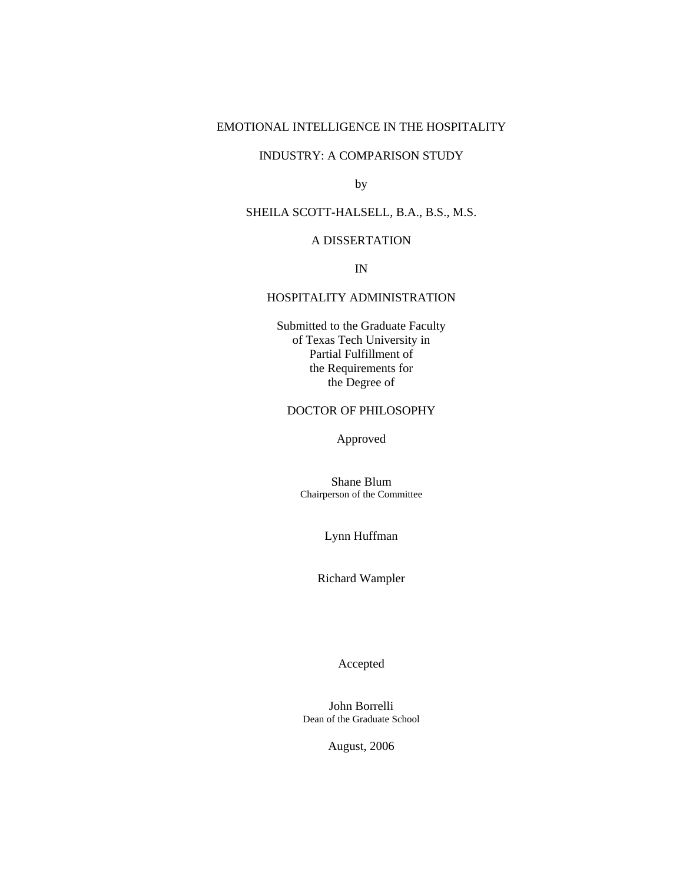# EMOTIONAL INTELLIGENCE IN THE HOSPITALITY

# INDUSTRY: A COMPARISON STUDY

by

# SHEILA SCOTT-HALSELL, B.A., B.S., M.S.

# A DISSERTATION

IN

# HOSPITALITY ADMINISTRATION

Submitted to the Graduate Faculty of Texas Tech University in Partial Fulfillment of the Requirements for the Degree of

## DOCTOR OF PHILOSOPHY

Approved

Shane Blum Chairperson of the Committee

Lynn Huffman

Richard Wampler

Accepted

John Borrelli Dean of the Graduate School

August, 2006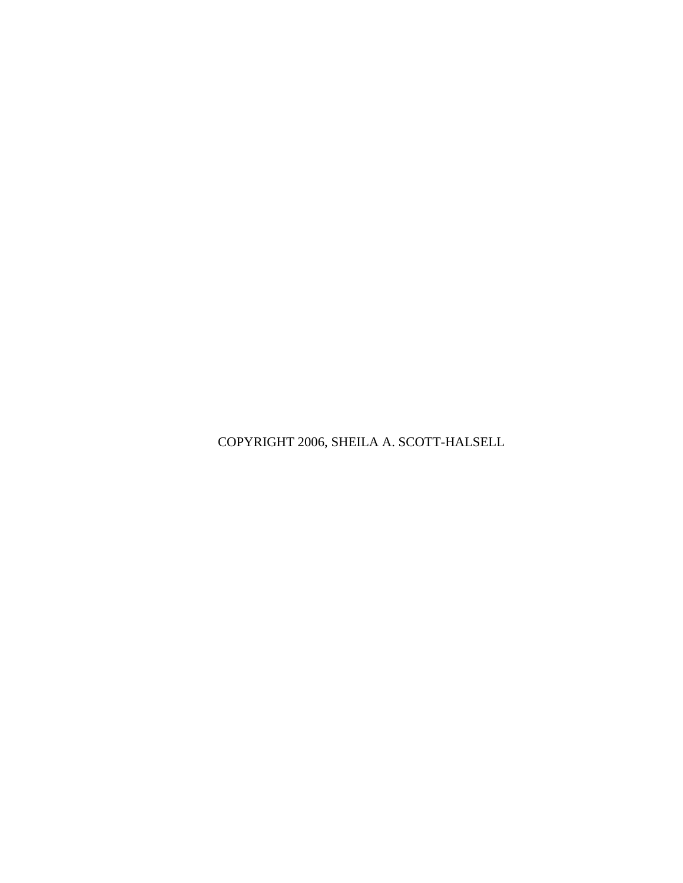COPYRIGHT 2006, SHEILA A. SCOTT-HALSELL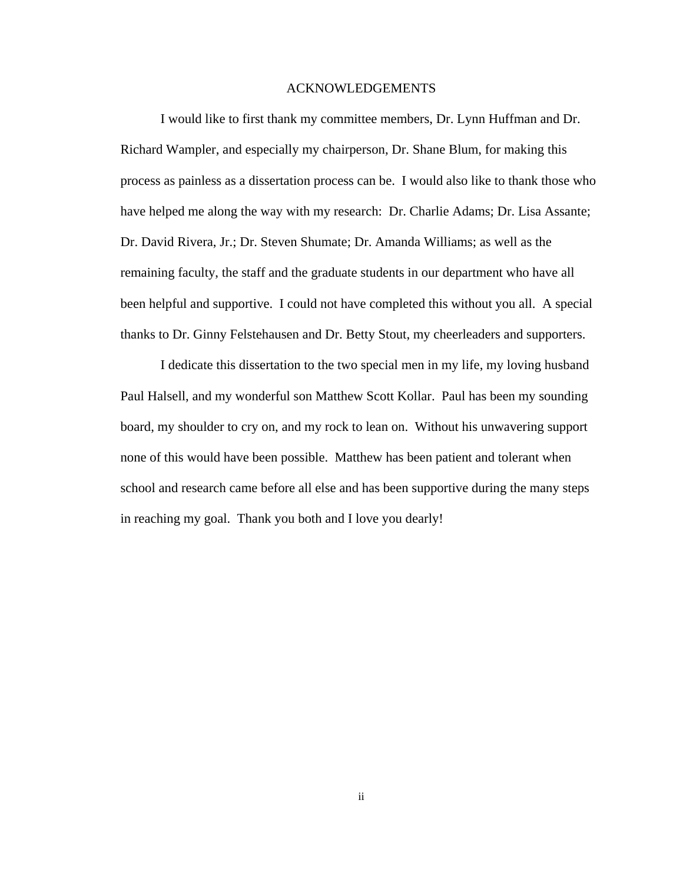#### ACKNOWLEDGEMENTS

<span id="page-2-0"></span> I would like to first thank my committee members, Dr. Lynn Huffman and Dr. Richard Wampler, and especially my chairperson, Dr. Shane Blum, for making this process as painless as a dissertation process can be. I would also like to thank those who have helped me along the way with my research: Dr. Charlie Adams; Dr. Lisa Assante; Dr. David Rivera, Jr.; Dr. Steven Shumate; Dr. Amanda Williams; as well as the remaining faculty, the staff and the graduate students in our department who have all been helpful and supportive. I could not have completed this without you all. A special thanks to Dr. Ginny Felstehausen and Dr. Betty Stout, my cheerleaders and supporters.

 I dedicate this dissertation to the two special men in my life, my loving husband Paul Halsell, and my wonderful son Matthew Scott Kollar. Paul has been my sounding board, my shoulder to cry on, and my rock to lean on. Without his unwavering support none of this would have been possible. Matthew has been patient and tolerant when school and research came before all else and has been supportive during the many steps in reaching my goal. Thank you both and I love you dearly!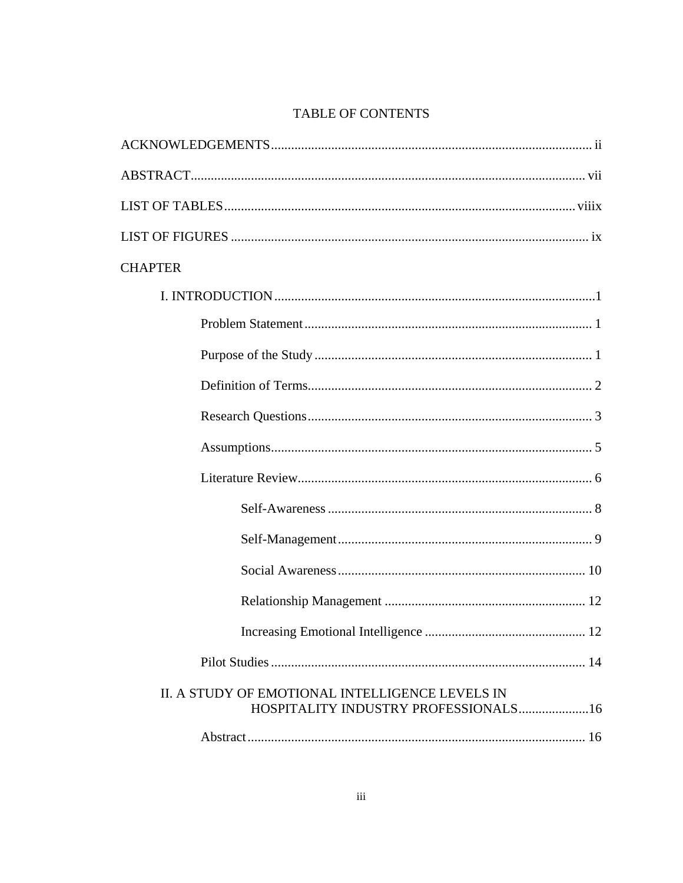# TABLE OF CONTENTS

| <b>CHAPTER</b>                                                                          |
|-----------------------------------------------------------------------------------------|
|                                                                                         |
|                                                                                         |
|                                                                                         |
|                                                                                         |
|                                                                                         |
|                                                                                         |
|                                                                                         |
|                                                                                         |
|                                                                                         |
|                                                                                         |
|                                                                                         |
|                                                                                         |
|                                                                                         |
| II. A STUDY OF EMOTIONAL INTELLIGENCE LEVELS IN<br>HOSPITALITY INDUSTRY PROFESSIONALS16 |
|                                                                                         |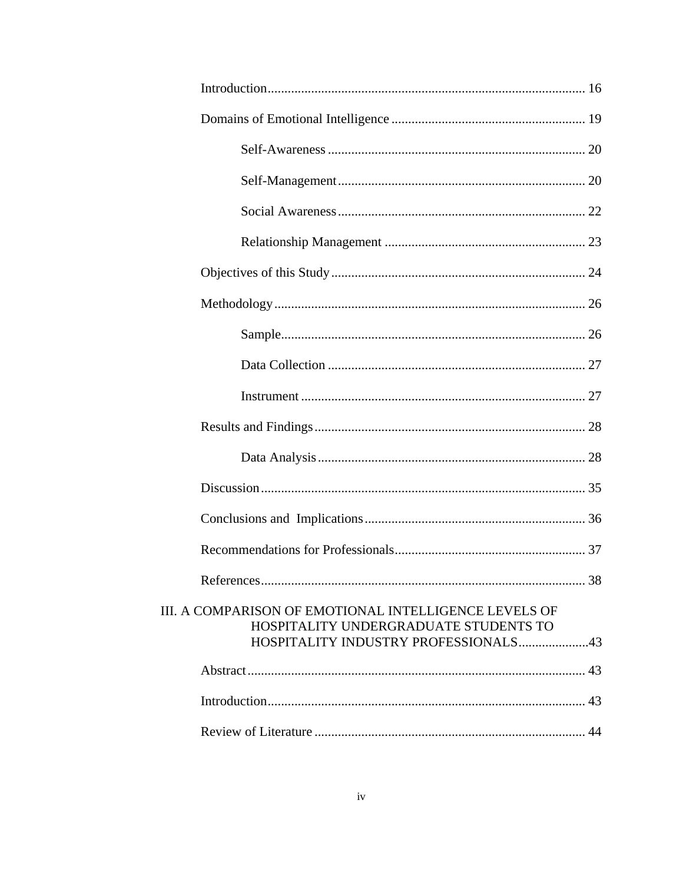| III. A COMPARISON OF EMOTIONAL INTELLIGENCE LEVELS OF<br>HOSPITALITY UNDERGRADUATE STUDENTS TO<br>HOSPITALITY INDUSTRY PROFESSIONALS43 |  |
|----------------------------------------------------------------------------------------------------------------------------------------|--|
|                                                                                                                                        |  |
|                                                                                                                                        |  |
|                                                                                                                                        |  |
|                                                                                                                                        |  |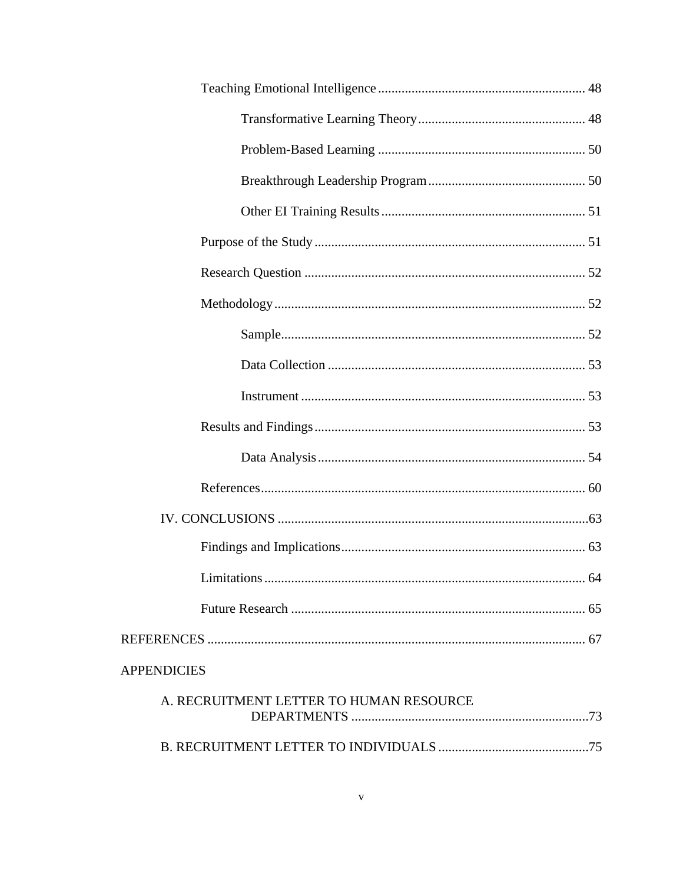| <b>APPENDICIES</b>                      |  |
|-----------------------------------------|--|
| A. RECRUITMENT LETTER TO HUMAN RESOURCE |  |
|                                         |  |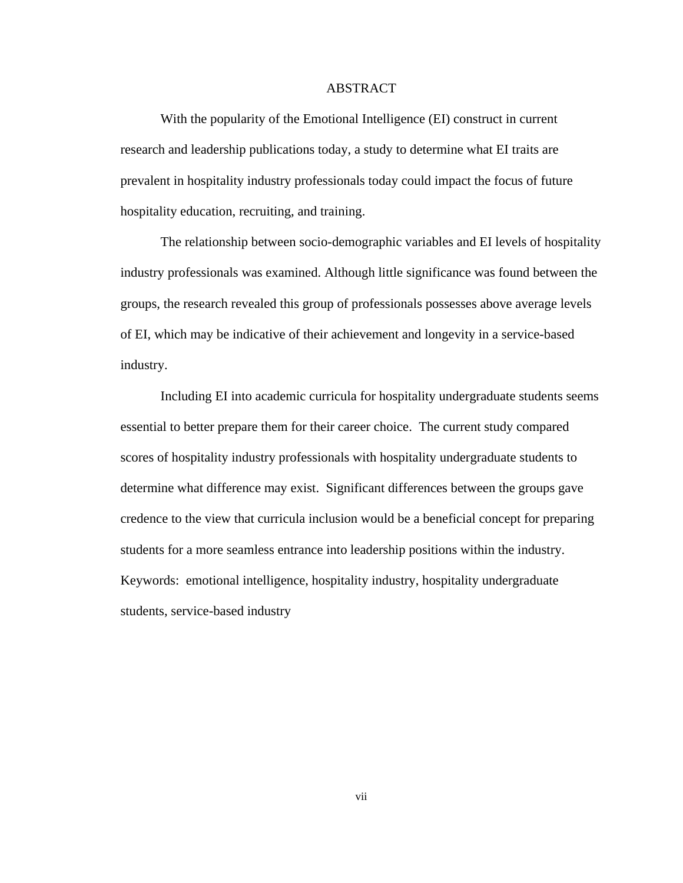### ABSTRACT

<span id="page-7-0"></span> With the popularity of the Emotional Intelligence (EI) construct in current research and leadership publications today, a study to determine what EI traits are prevalent in hospitality industry professionals today could impact the focus of future hospitality education, recruiting, and training.

 The relationship between socio-demographic variables and EI levels of hospitality industry professionals was examined. Although little significance was found between the groups, the research revealed this group of professionals possesses above average levels of EI, which may be indicative of their achievement and longevity in a service-based industry.

Including EI into academic curricula for hospitality undergraduate students seems essential to better prepare them for their career choice. The current study compared scores of hospitality industry professionals with hospitality undergraduate students to determine what difference may exist. Significant differences between the groups gave credence to the view that curricula inclusion would be a beneficial concept for preparing students for a more seamless entrance into leadership positions within the industry. Keywords: emotional intelligence, hospitality industry, hospitality undergraduate students, service-based industry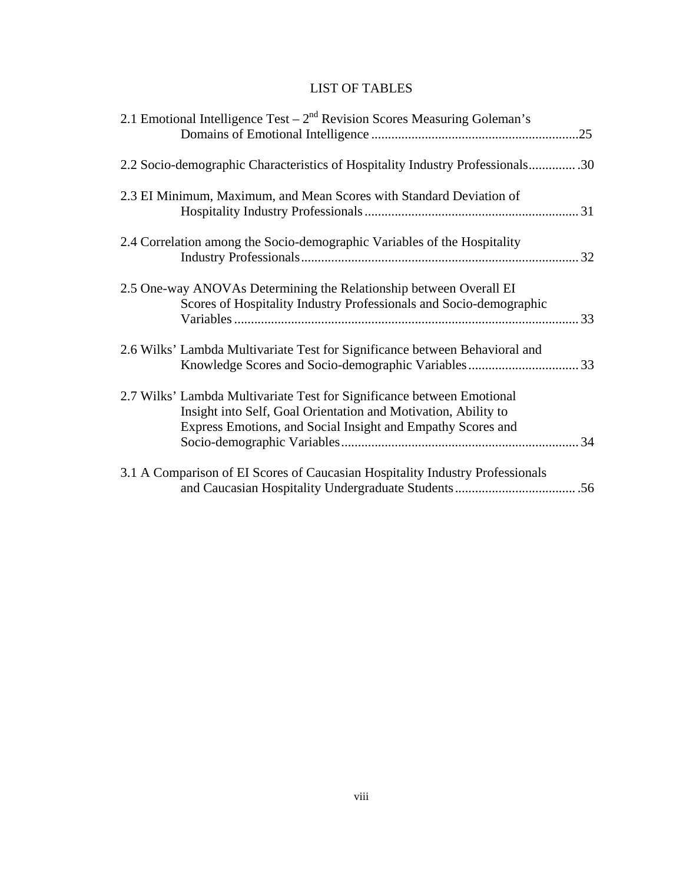# LIST OF TABLES

| 2.1 Emotional Intelligence Test $-2nd$ Revision Scores Measuring Goleman's                                                                                                                              |  |
|---------------------------------------------------------------------------------------------------------------------------------------------------------------------------------------------------------|--|
| 2.2 Socio-demographic Characteristics of Hospitality Industry Professionals30                                                                                                                           |  |
| 2.3 EI Minimum, Maximum, and Mean Scores with Standard Deviation of                                                                                                                                     |  |
| 2.4 Correlation among the Socio-demographic Variables of the Hospitality                                                                                                                                |  |
| 2.5 One-way ANOVAs Determining the Relationship between Overall EI<br>Scores of Hospitality Industry Professionals and Socio-demographic                                                                |  |
| 2.6 Wilks' Lambda Multivariate Test for Significance between Behavioral and                                                                                                                             |  |
| 2.7 Wilks' Lambda Multivariate Test for Significance between Emotional<br>Insight into Self, Goal Orientation and Motivation, Ability to<br>Express Emotions, and Social Insight and Empathy Scores and |  |
| 3.1 A Comparison of EI Scores of Caucasian Hospitality Industry Professionals                                                                                                                           |  |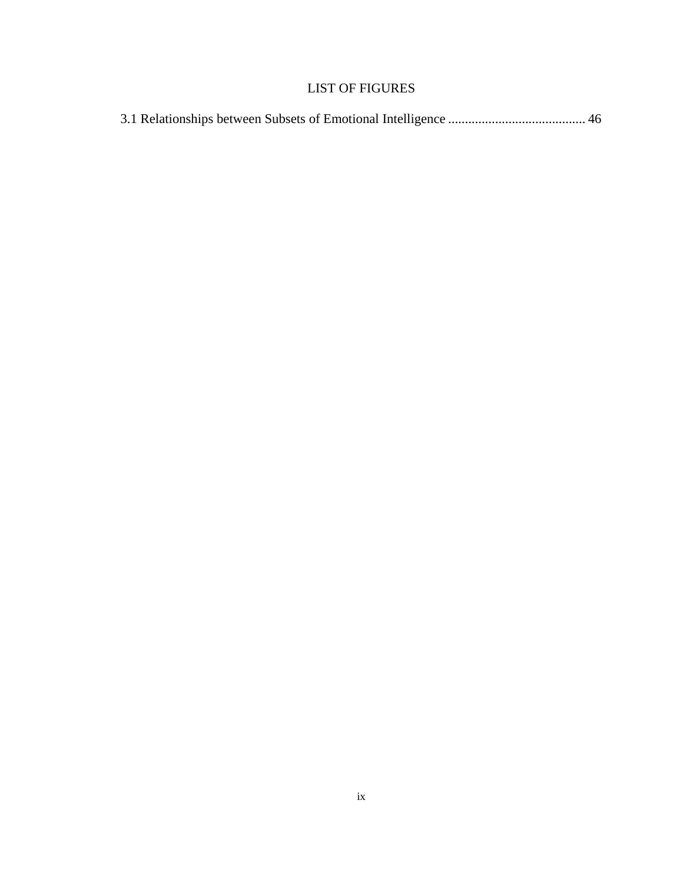# LIST OF FIGURES

<span id="page-9-0"></span>

|--|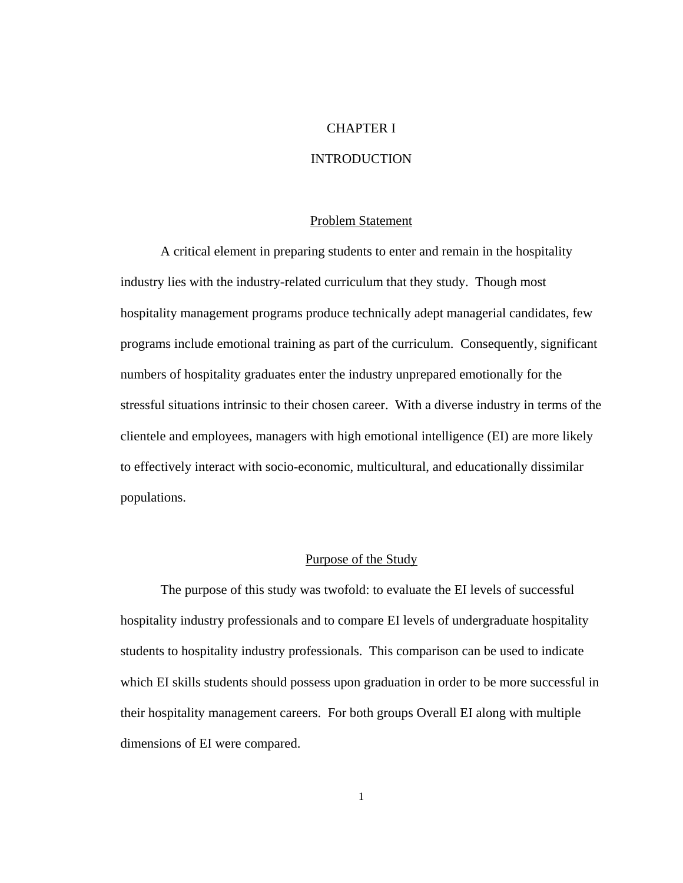# CHAPTER I

# INTRODUCTION

#### Problem Statement

<span id="page-10-0"></span>A critical element in preparing students to enter and remain in the hospitality industry lies with the industry-related curriculum that they study. Though most hospitality management programs produce technically adept managerial candidates, few programs include emotional training as part of the curriculum. Consequently, significant numbers of hospitality graduates enter the industry unprepared emotionally for the stressful situations intrinsic to their chosen career. With a diverse industry in terms of the clientele and employees, managers with high emotional intelligence (EI) are more likely to effectively interact with socio-economic, multicultural, and educationally dissimilar populations.

## Purpose of the Study

 The purpose of this study was twofold: to evaluate the EI levels of successful hospitality industry professionals and to compare EI levels of undergraduate hospitality students to hospitality industry professionals. This comparison can be used to indicate which EI skills students should possess upon graduation in order to be more successful in their hospitality management careers. For both groups Overall EI along with multiple dimensions of EI were compared.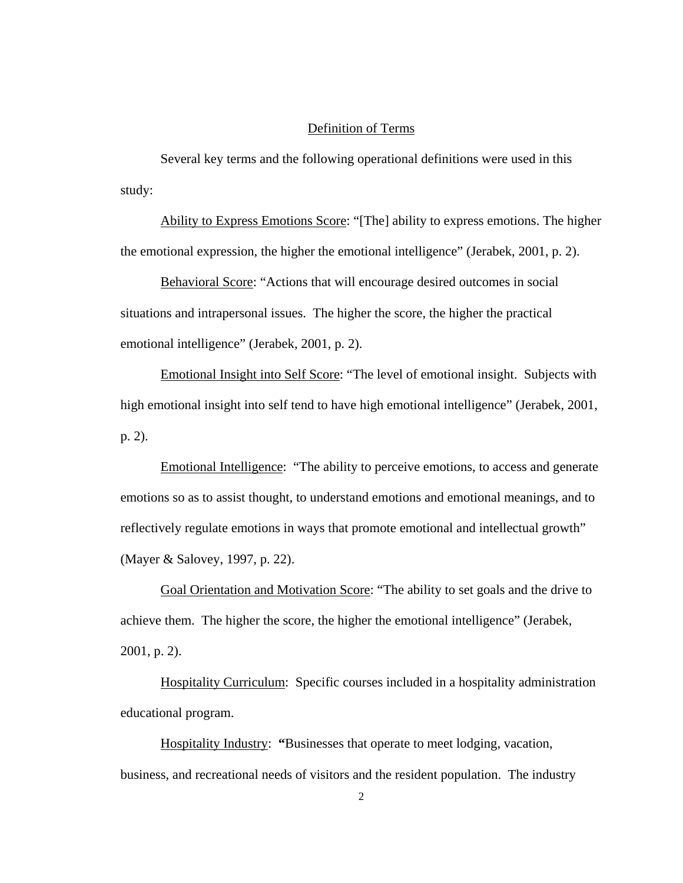# Definition of Terms

<span id="page-11-0"></span> Several key terms and the following operational definitions were used in this study:

Ability to Express Emotions Score: "[The] ability to express emotions. The higher the emotional expression, the higher the emotional intelligence" (Jerabek, 2001, p. 2).

Behavioral Score: "Actions that will encourage desired outcomes in social situations and intrapersonal issues. The higher the score, the higher the practical emotional intelligence" (Jerabek, 2001, p. 2).

Emotional Insight into Self Score: "The level of emotional insight. Subjects with high emotional insight into self tend to have high emotional intelligence" (Jerabek, 2001, p. 2).

Emotional Intelligence: "The ability to perceive emotions, to access and generate emotions so as to assist thought, to understand emotions and emotional meanings, and to reflectively regulate emotions in ways that promote emotional and intellectual growth" (Mayer & Salovey, 1997, p. 22).

Goal Orientation and Motivation Score: "The ability to set goals and the drive to achieve them. The higher the score, the higher the emotional intelligence" (Jerabek, 2001, p. 2).

Hospitality Curriculum: Specific courses included in a hospitality administration educational program.

Hospitality Industry: **"**Businesses that operate to meet lodging, vacation, business, and recreational needs of visitors and the resident population. The industry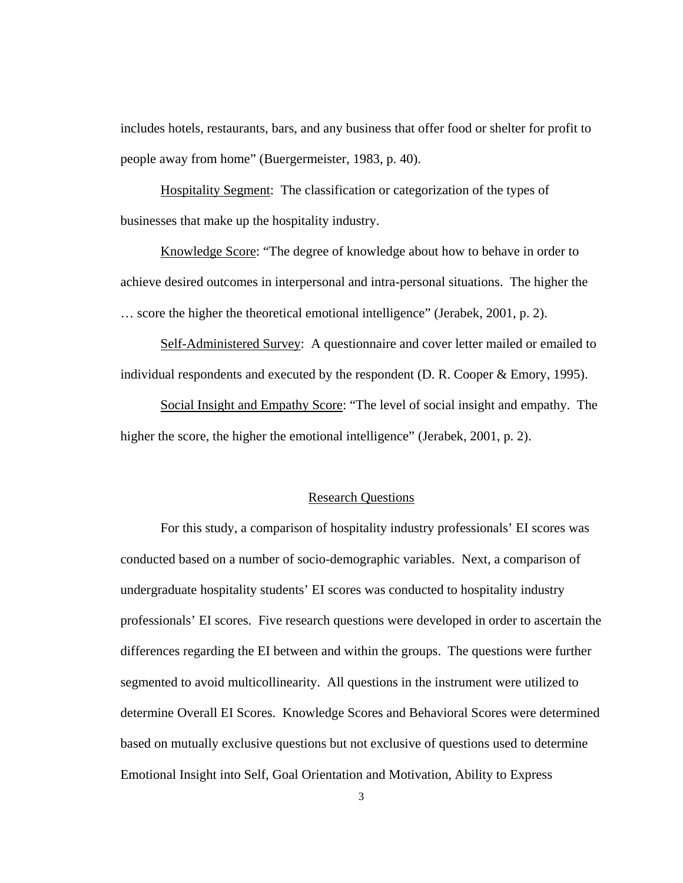<span id="page-12-0"></span>includes hotels, restaurants, bars, and any business that offer food or shelter for profit to people away from home" (Buergermeister, 1983, p. 40).

Hospitality Segment: The classification or categorization of the types of businesses that make up the hospitality industry.

Knowledge Score: "The degree of knowledge about how to behave in order to achieve desired outcomes in interpersonal and intra-personal situations. The higher the … score the higher the theoretical emotional intelligence" (Jerabek, 2001, p. 2).

Self-Administered Survey:A questionnaire and cover letter mailed or emailed to individual respondents and executed by the respondent (D. R. Cooper & Emory, 1995).

Social Insight and Empathy Score: "The level of social insight and empathy. The higher the score, the higher the emotional intelligence" (Jerabek, 2001, p. 2).

#### Research Questions

 For this study, a comparison of hospitality industry professionals' EI scores was conducted based on a number of socio-demographic variables. Next, a comparison of undergraduate hospitality students' EI scores was conducted to hospitality industry professionals' EI scores. Five research questions were developed in order to ascertain the differences regarding the EI between and within the groups. The questions were further segmented to avoid multicollinearity. All questions in the instrument were utilized to determine Overall EI Scores. Knowledge Scores and Behavioral Scores were determined based on mutually exclusive questions but not exclusive of questions used to determine Emotional Insight into Self, Goal Orientation and Motivation, Ability to Express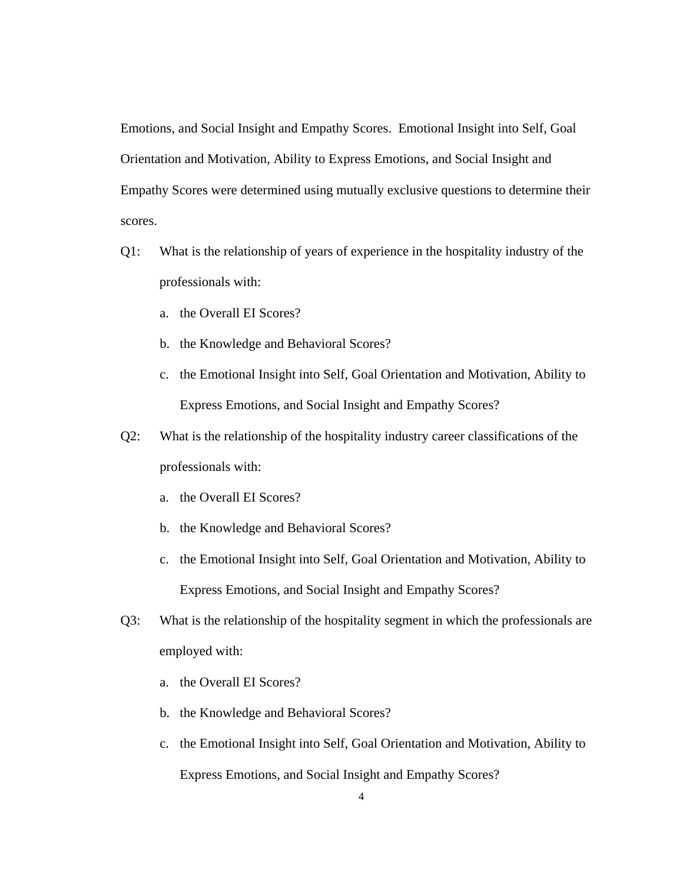Emotions, and Social Insight and Empathy Scores. Emotional Insight into Self, Goal Orientation and Motivation, Ability to Express Emotions, and Social Insight and Empathy Scores were determined using mutually exclusive questions to determine their scores.

- Q1: What is the relationship of years of experience in the hospitality industry of the professionals with:
	- a. the Overall EI Scores?
	- b. the Knowledge and Behavioral Scores?
	- c. the Emotional Insight into Self, Goal Orientation and Motivation, Ability to Express Emotions, and Social Insight and Empathy Scores?
- Q2: What is the relationship of the hospitality industry career classifications of the professionals with:
	- a. the Overall EI Scores?
	- b. the Knowledge and Behavioral Scores?
	- c. the Emotional Insight into Self, Goal Orientation and Motivation, Ability to Express Emotions, and Social Insight and Empathy Scores?
- Q3: What is the relationship of the hospitality segment in which the professionals are employed with:
	- a. the Overall EI Scores?
	- b. the Knowledge and Behavioral Scores?
	- c. the Emotional Insight into Self, Goal Orientation and Motivation, Ability to Express Emotions, and Social Insight and Empathy Scores?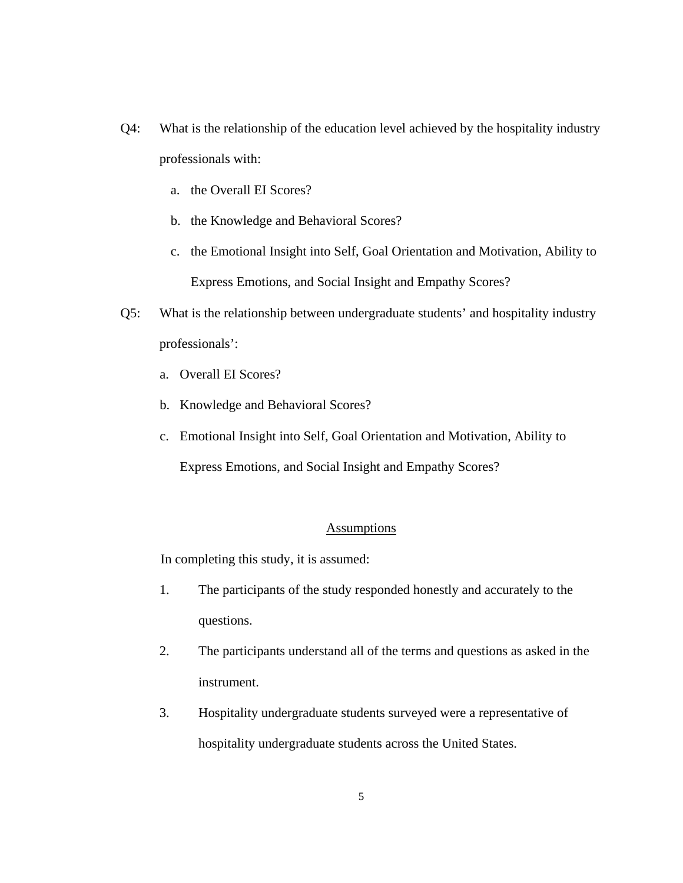- <span id="page-14-0"></span>Q4: What is the relationship of the education level achieved by the hospitality industry professionals with:
	- a. the Overall EI Scores?
	- b. the Knowledge and Behavioral Scores?
	- c. the Emotional Insight into Self, Goal Orientation and Motivation, Ability to Express Emotions, and Social Insight and Empathy Scores?
- Q5: What is the relationship between undergraduate students' and hospitality industry professionals':
	- a. Overall EI Scores?
	- b. Knowledge and Behavioral Scores?
	- c. Emotional Insight into Self, Goal Orientation and Motivation, Ability to

Express Emotions, and Social Insight and Empathy Scores?

# Assumptions

In completing this study, it is assumed:

- 1. The participants of the study responded honestly and accurately to the questions.
- 2. The participants understand all of the terms and questions as asked in the instrument.
- 3. Hospitality undergraduate students surveyed were a representative of hospitality undergraduate students across the United States.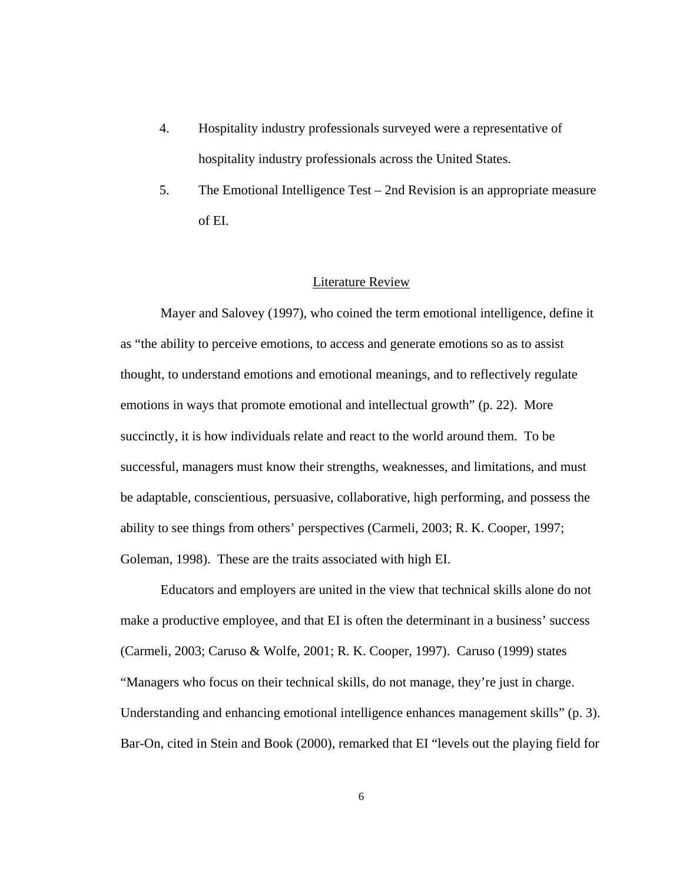- <span id="page-15-0"></span>4. Hospitality industry professionals surveyed were a representative of hospitality industry professionals across the United States.
- 5. The Emotional Intelligence Test 2nd Revision is an appropriate measure of EI.

#### Literature Review

Mayer and Salovey (1997), who coined the term emotional intelligence, define it as "the ability to perceive emotions, to access and generate emotions so as to assist thought, to understand emotions and emotional meanings, and to reflectively regulate emotions in ways that promote emotional and intellectual growth" (p. 22). More succinctly, it is how individuals relate and react to the world around them. To be successful, managers must know their strengths, weaknesses, and limitations, and must be adaptable, conscientious, persuasive, collaborative, high performing, and possess the ability to see things from others' perspectives (Carmeli, 2003; R. K. Cooper, 1997; Goleman, 1998). These are the traits associated with high EI.

Educators and employers are united in the view that technical skills alone do not make a productive employee, and that EI is often the determinant in a business' success (Carmeli, 2003; Caruso & Wolfe, 2001; R. K. Cooper, 1997). Caruso (1999) states "Managers who focus on their technical skills, do not manage, they're just in charge. Understanding and enhancing emotional intelligence enhances management skills" (p. 3). Bar-On, cited in Stein and Book (2000), remarked that EI "levels out the playing field for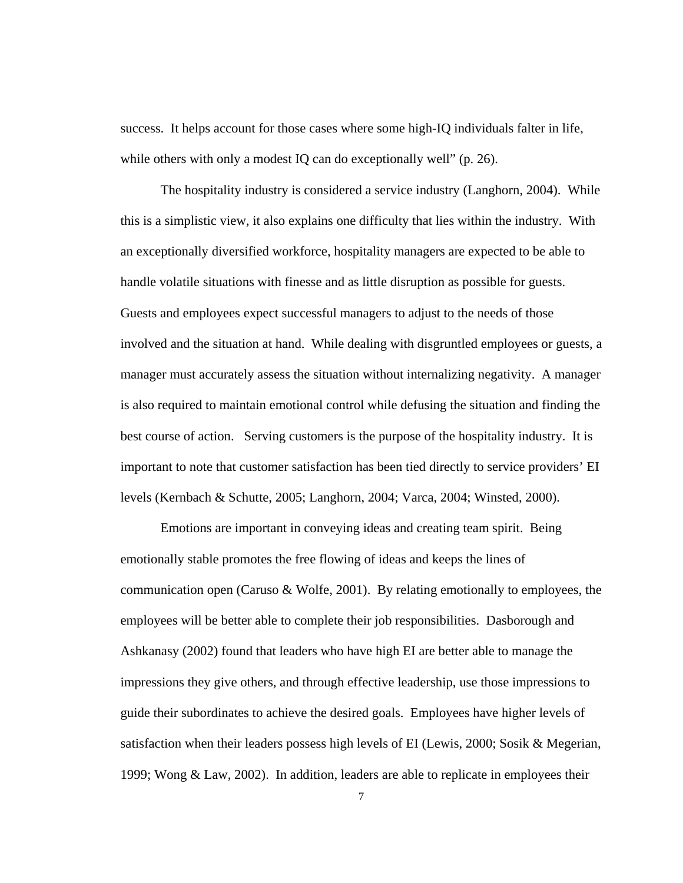success. It helps account for those cases where some high-IQ individuals falter in life, while others with only a modest IQ can do exceptionally well" (p. 26).

The hospitality industry is considered a service industry (Langhorn, 2004). While this is a simplistic view, it also explains one difficulty that lies within the industry. With an exceptionally diversified workforce, hospitality managers are expected to be able to handle volatile situations with finesse and as little disruption as possible for guests. Guests and employees expect successful managers to adjust to the needs of those involved and the situation at hand. While dealing with disgruntled employees or guests, a manager must accurately assess the situation without internalizing negativity. A manager is also required to maintain emotional control while defusing the situation and finding the best course of action. Serving customers is the purpose of the hospitality industry. It is important to note that customer satisfaction has been tied directly to service providers' EI levels (Kernbach & Schutte, 2005; Langhorn, 2004; Varca, 2004; Winsted, 2000).

Emotions are important in conveying ideas and creating team spirit. Being emotionally stable promotes the free flowing of ideas and keeps the lines of communication open (Caruso & Wolfe, 2001). By relating emotionally to employees, the employees will be better able to complete their job responsibilities. Dasborough and Ashkanasy (2002) found that leaders who have high EI are better able to manage the impressions they give others, and through effective leadership, use those impressions to guide their subordinates to achieve the desired goals. Employees have higher levels of satisfaction when their leaders possess high levels of EI (Lewis, 2000; Sosik & Megerian, 1999; Wong & Law, 2002). In addition, leaders are able to replicate in employees their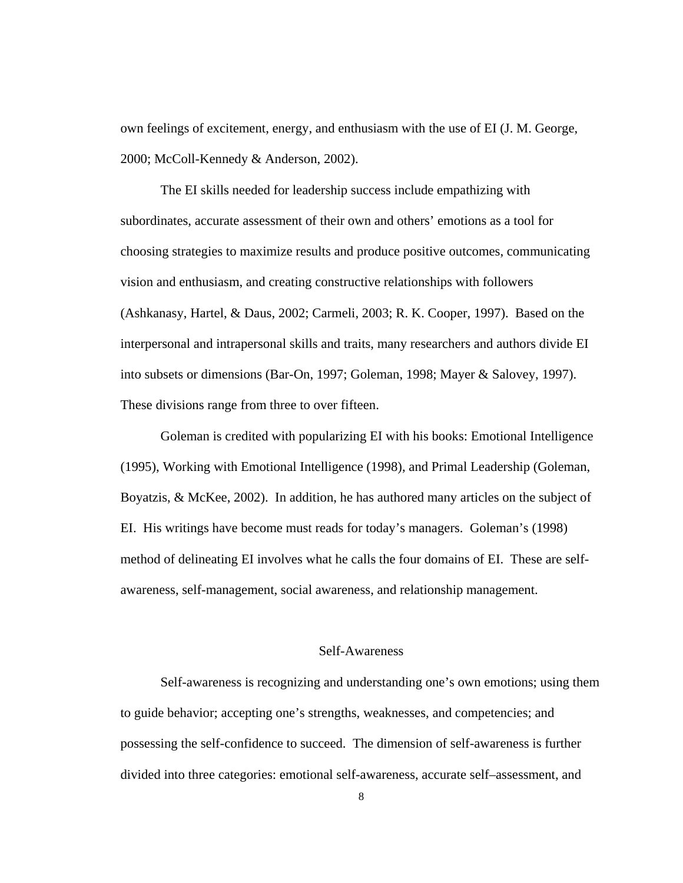<span id="page-17-0"></span>own feelings of excitement, energy, and enthusiasm with the use of EI (J. M. George, 2000; McColl-Kennedy & Anderson, 2002).

The EI skills needed for leadership success include empathizing with subordinates, accurate assessment of their own and others' emotions as a tool for choosing strategies to maximize results and produce positive outcomes, communicating vision and enthusiasm, and creating constructive relationships with followers (Ashkanasy, Hartel, & Daus, 2002; Carmeli, 2003; R. K. Cooper, 1997). Based on the interpersonal and intrapersonal skills and traits, many researchers and authors divide EI into subsets or dimensions (Bar-On, 1997; Goleman, 1998; Mayer & Salovey, 1997). These divisions range from three to over fifteen.

 Goleman is credited with popularizing EI with his books: Emotional Intelligence (1995), Working with Emotional Intelligence (1998), and Primal Leadership (Goleman, Boyatzis, & McKee, 2002). In addition, he has authored many articles on the subject of EI. His writings have become must reads for today's managers. Goleman's (1998) method of delineating EI involves what he calls the four domains of EI. These are selfawareness, self-management, social awareness, and relationship management.

# Self-Awareness

Self-awareness is recognizing and understanding one's own emotions; using them to guide behavior; accepting one's strengths, weaknesses, and competencies; and possessing the self-confidence to succeed. The dimension of self-awareness is further divided into three categories: emotional self-awareness, accurate self–assessment, and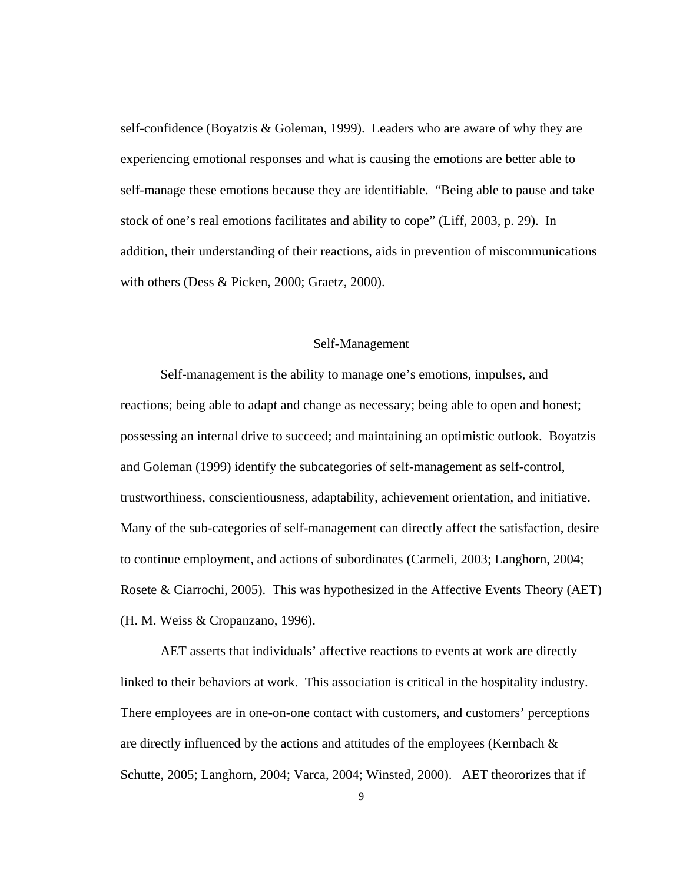<span id="page-18-0"></span>self-confidence (Boyatzis & Goleman, 1999). Leaders who are aware of why they are experiencing emotional responses and what is causing the emotions are better able to self-manage these emotions because they are identifiable. "Being able to pause and take stock of one's real emotions facilitates and ability to cope" (Liff, 2003, p. 29). In addition, their understanding of their reactions, aids in prevention of miscommunications with others (Dess & Picken, 2000; Graetz, 2000).

#### Self-Management

Self-management is the ability to manage one's emotions, impulses, and reactions; being able to adapt and change as necessary; being able to open and honest; possessing an internal drive to succeed; and maintaining an optimistic outlook. Boyatzis and Goleman (1999) identify the subcategories of self-management as self-control, trustworthiness, conscientiousness, adaptability, achievement orientation, and initiative. Many of the sub-categories of self-management can directly affect the satisfaction, desire to continue employment, and actions of subordinates (Carmeli, 2003; Langhorn, 2004; Rosete & Ciarrochi, 2005). This was hypothesized in the Affective Events Theory (AET) (H. M. Weiss & Cropanzano, 1996).

AET asserts that individuals' affective reactions to events at work are directly linked to their behaviors at work. This association is critical in the hospitality industry. There employees are in one-on-one contact with customers, and customers' perceptions are directly influenced by the actions and attitudes of the employees (Kernbach  $\&$ Schutte, 2005; Langhorn, 2004; Varca, 2004; Winsted, 2000). AET theororizes that if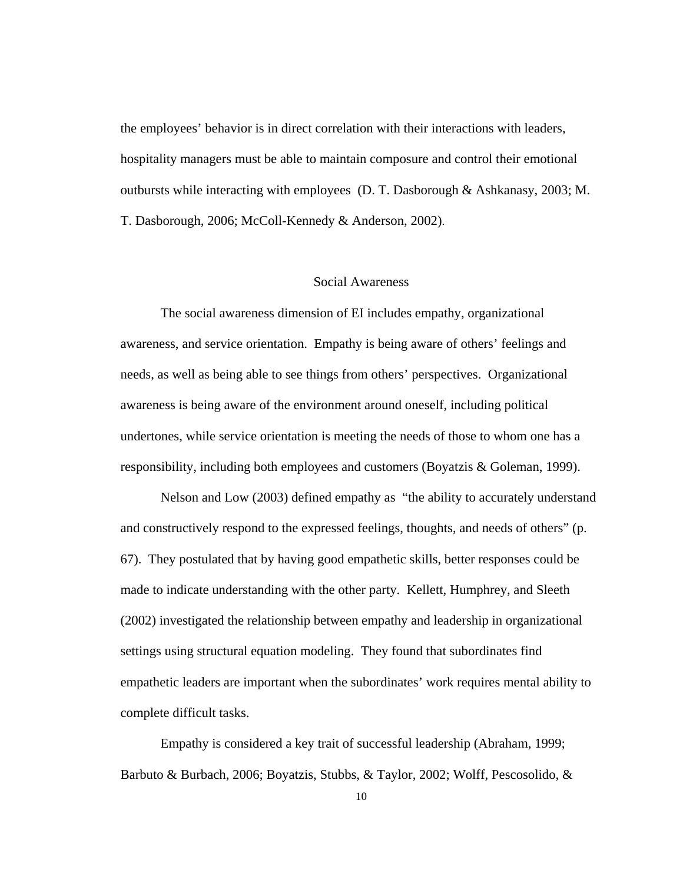<span id="page-19-0"></span>the employees' behavior is in direct correlation with their interactions with leaders, hospitality managers must be able to maintain composure and control their emotional outbursts while interacting with employees (D. T. Dasborough & Ashkanasy, 2003; M. T. Dasborough, 2006; McColl-Kennedy & Anderson, 2002).

## Social Awareness

The social awareness dimension of EI includes empathy, organizational awareness, and service orientation. Empathy is being aware of others' feelings and needs, as well as being able to see things from others' perspectives. Organizational awareness is being aware of the environment around oneself, including political undertones, while service orientation is meeting the needs of those to whom one has a responsibility, including both employees and customers (Boyatzis & Goleman, 1999).

Nelson and Low (2003) defined empathy as "the ability to accurately understand and constructively respond to the expressed feelings, thoughts, and needs of others" (p. 67). They postulated that by having good empathetic skills, better responses could be made to indicate understanding with the other party. Kellett, Humphrey, and Sleeth (2002) investigated the relationship between empathy and leadership in organizational settings using structural equation modeling. They found that subordinates find empathetic leaders are important when the subordinates' work requires mental ability to complete difficult tasks.

Empathy is considered a key trait of successful leadership (Abraham, 1999; Barbuto & Burbach, 2006; Boyatzis, Stubbs, & Taylor, 2002; Wolff, Pescosolido, &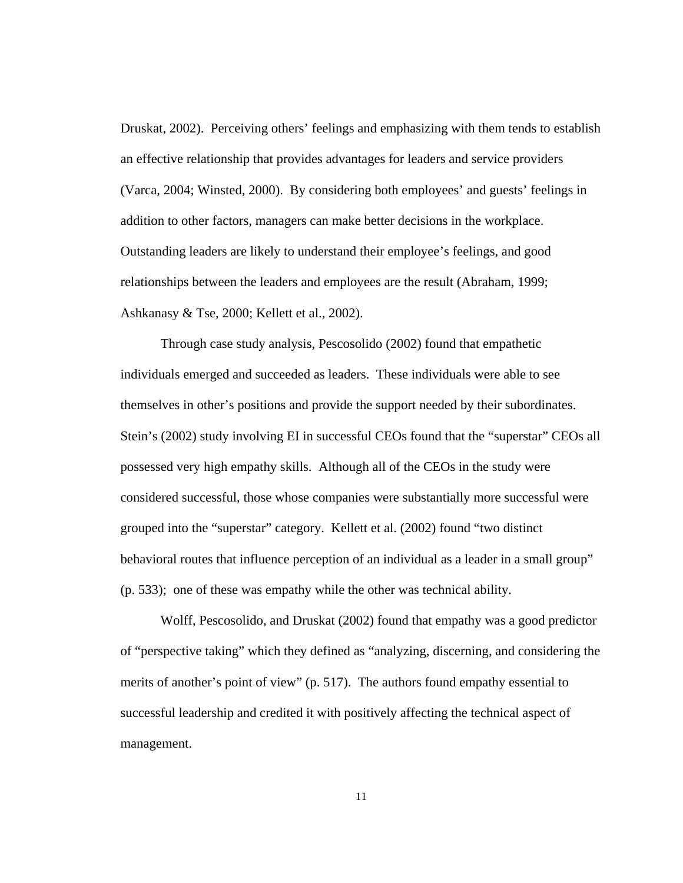Druskat, 2002). Perceiving others' feelings and emphasizing with them tends to establish an effective relationship that provides advantages for leaders and service providers (Varca, 2004; Winsted, 2000). By considering both employees' and guests' feelings in addition to other factors, managers can make better decisions in the workplace. Outstanding leaders are likely to understand their employee's feelings, and good relationships between the leaders and employees are the result (Abraham, 1999; Ashkanasy & Tse, 2000; Kellett et al., 2002).

Through case study analysis, Pescosolido (2002) found that empathetic individuals emerged and succeeded as leaders. These individuals were able to see themselves in other's positions and provide the support needed by their subordinates. Stein's (2002) study involving EI in successful CEOs found that the "superstar" CEOs all possessed very high empathy skills. Although all of the CEOs in the study were considered successful, those whose companies were substantially more successful were grouped into the "superstar" category. Kellett et al. (2002) found "two distinct behavioral routes that influence perception of an individual as a leader in a small group" (p. 533); one of these was empathy while the other was technical ability.

Wolff, Pescosolido, and Druskat (2002) found that empathy was a good predictor of "perspective taking" which they defined as "analyzing, discerning, and considering the merits of another's point of view" (p. 517). The authors found empathy essential to successful leadership and credited it with positively affecting the technical aspect of management.

11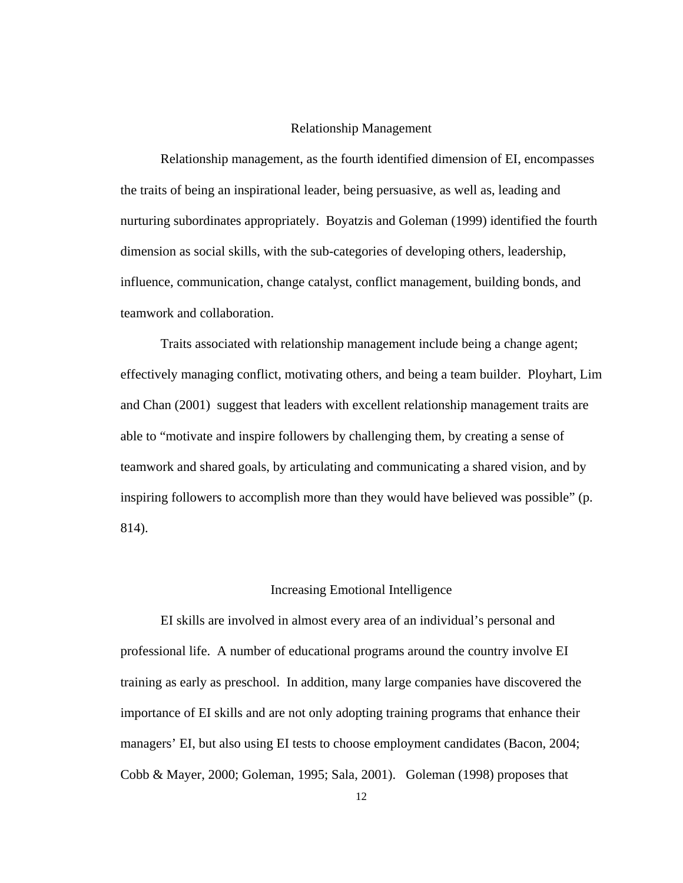## Relationship Management

<span id="page-21-0"></span>Relationship management, as the fourth identified dimension of EI, encompasses the traits of being an inspirational leader, being persuasive, as well as, leading and nurturing subordinates appropriately. Boyatzis and Goleman (1999) identified the fourth dimension as social skills, with the sub-categories of developing others, leadership, influence, communication, change catalyst, conflict management, building bonds, and teamwork and collaboration.

Traits associated with relationship management include being a change agent; effectively managing conflict, motivating others, and being a team builder. Ployhart, Lim and Chan (2001) suggest that leaders with excellent relationship management traits are able to "motivate and inspire followers by challenging them, by creating a sense of teamwork and shared goals, by articulating and communicating a shared vision, and by inspiring followers to accomplish more than they would have believed was possible" (p. 814).

## Increasing Emotional Intelligence

EI skills are involved in almost every area of an individual's personal and professional life. A number of educational programs around the country involve EI training as early as preschool. In addition, many large companies have discovered the importance of EI skills and are not only adopting training programs that enhance their managers' EI, but also using EI tests to choose employment candidates (Bacon, 2004; Cobb & Mayer, 2000; Goleman, 1995; Sala, 2001). Goleman (1998) proposes that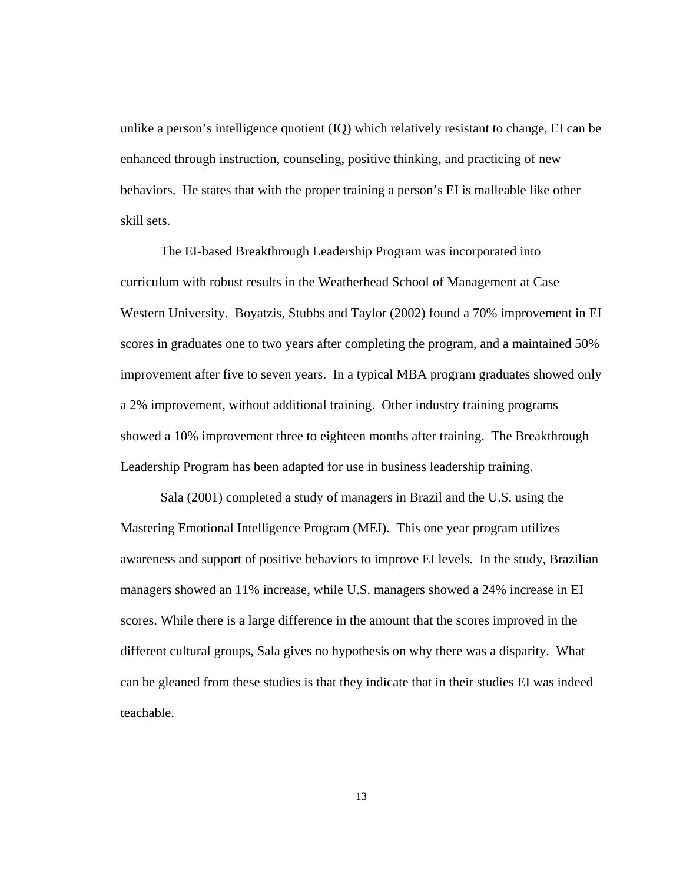unlike a person's intelligence quotient (IQ) which relatively resistant to change, EI can be enhanced through instruction, counseling, positive thinking, and practicing of new behaviors. He states that with the proper training a person's EI is malleable like other skill sets.

The EI-based Breakthrough Leadership Program was incorporated into curriculum with robust results in the Weatherhead School of Management at Case Western University. Boyatzis, Stubbs and Taylor (2002) found a 70% improvement in EI scores in graduates one to two years after completing the program, and a maintained 50% improvement after five to seven years. In a typical MBA program graduates showed only a 2% improvement, without additional training. Other industry training programs showed a 10% improvement three to eighteen months after training. The Breakthrough Leadership Program has been adapted for use in business leadership training.

Sala (2001) completed a study of managers in Brazil and the U.S. using the Mastering Emotional Intelligence Program (MEI). This one year program utilizes awareness and support of positive behaviors to improve EI levels. In the study, Brazilian managers showed an 11% increase, while U.S. managers showed a 24% increase in EI scores. While there is a large difference in the amount that the scores improved in the different cultural groups, Sala gives no hypothesis on why there was a disparity. What can be gleaned from these studies is that they indicate that in their studies EI was indeed teachable.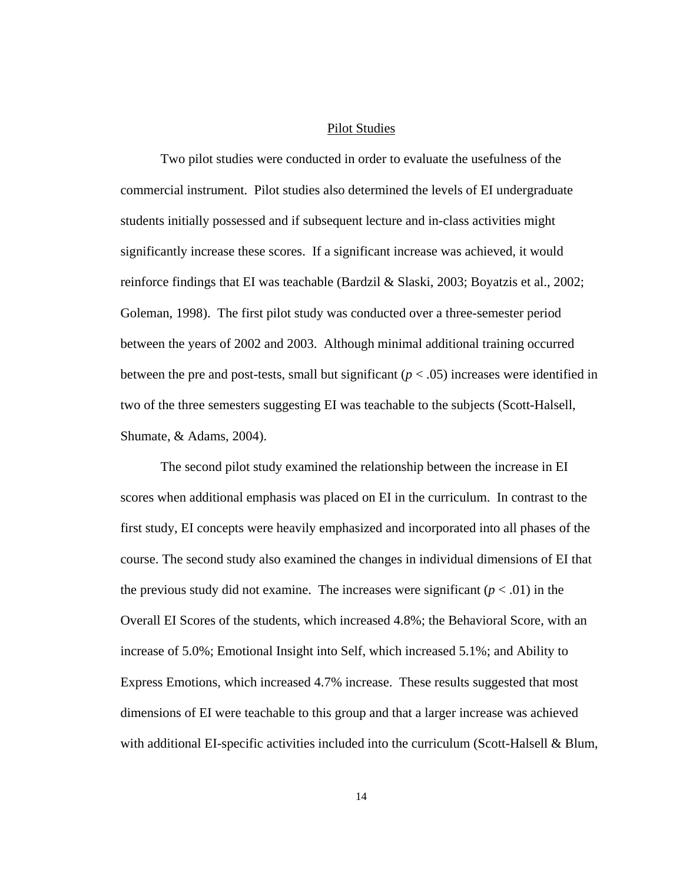# Pilot Studies

<span id="page-23-0"></span>Two pilot studies were conducted in order to evaluate the usefulness of the commercial instrument. Pilot studies also determined the levels of EI undergraduate students initially possessed and if subsequent lecture and in-class activities might significantly increase these scores. If a significant increase was achieved, it would reinforce findings that EI was teachable (Bardzil & Slaski, 2003; Boyatzis et al., 2002; Goleman, 1998). The first pilot study was conducted over a three-semester period between the years of 2002 and 2003. Although minimal additional training occurred between the pre and post-tests, small but significant  $(p < .05)$  increases were identified in two of the three semesters suggesting EI was teachable to the subjects (Scott-Halsell, Shumate, & Adams, 2004).

The second pilot study examined the relationship between the increase in EI scores when additional emphasis was placed on EI in the curriculum. In contrast to the first study, EI concepts were heavily emphasized and incorporated into all phases of the course. The second study also examined the changes in individual dimensions of EI that the previous study did not examine. The increases were significant  $(p < .01)$  in the Overall EI Scores of the students, which increased 4.8%; the Behavioral Score, with an increase of 5.0%; Emotional Insight into Self, which increased 5.1%; and Ability to Express Emotions, which increased 4.7% increase. These results suggested that most dimensions of EI were teachable to this group and that a larger increase was achieved with additional EI-specific activities included into the curriculum (Scott-Halsell & Blum,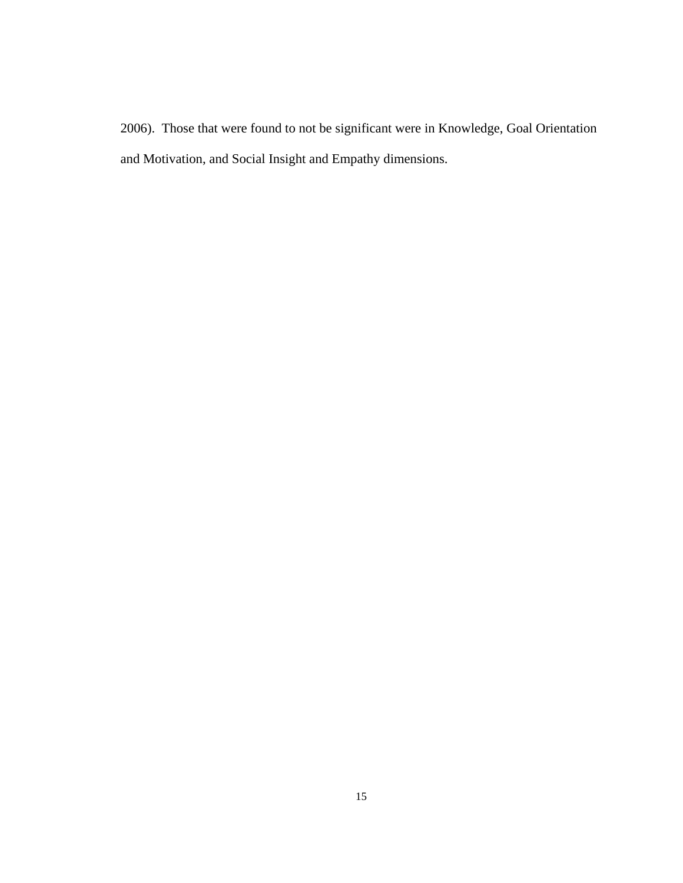2006). Those that were found to not be significant were in Knowledge, Goal Orientation and Motivation, and Social Insight and Empathy dimensions.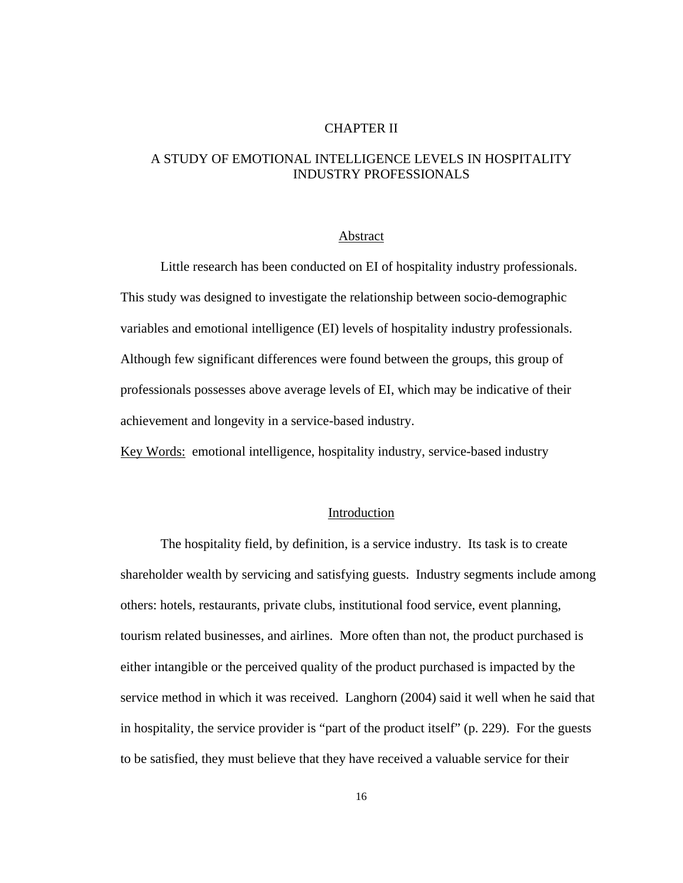# CHAPTER II

# <span id="page-25-0"></span>A STUDY OF EMOTIONAL INTELLIGENCE LEVELS IN HOSPITALITY INDUSTRY PROFESSIONALS

#### Abstract

 Little research has been conducted on EI of hospitality industry professionals. This study was designed to investigate the relationship between socio-demographic variables and emotional intelligence (EI) levels of hospitality industry professionals. Although few significant differences were found between the groups, this group of professionals possesses above average levels of EI, which may be indicative of their achievement and longevity in a service-based industry.

Key Words: emotional intelligence, hospitality industry, service-based industry

# Introduction

The hospitality field, by definition, is a service industry. Its task is to create shareholder wealth by servicing and satisfying guests. Industry segments include among others: hotels, restaurants, private clubs, institutional food service, event planning, tourism related businesses, and airlines. More often than not, the product purchased is either intangible or the perceived quality of the product purchased is impacted by the service method in which it was received. Langhorn (2004) said it well when he said that in hospitality, the service provider is "part of the product itself" (p. 229). For the guests to be satisfied, they must believe that they have received a valuable service for their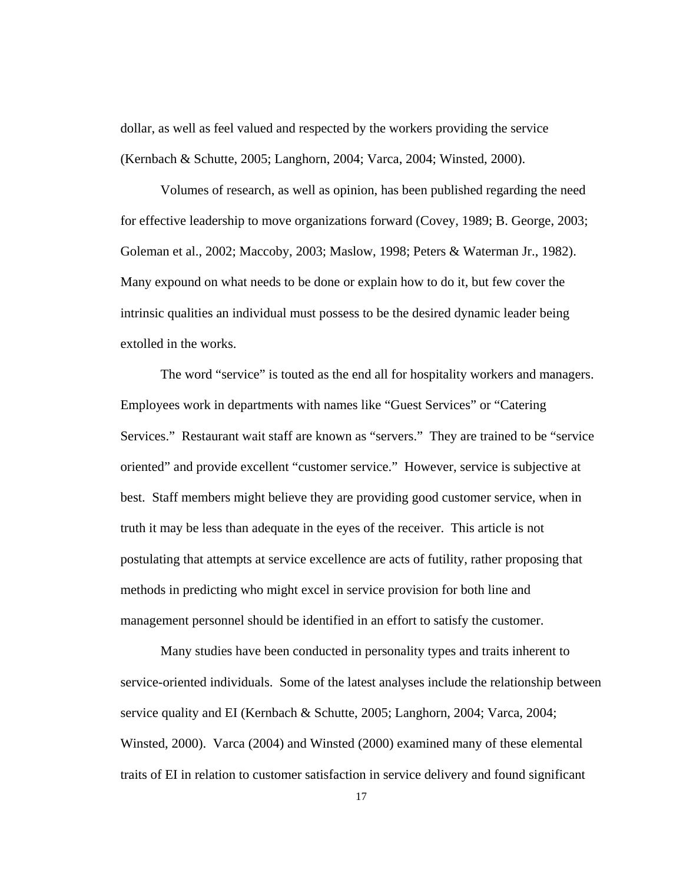dollar, as well as feel valued and respected by the workers providing the service (Kernbach & Schutte, 2005; Langhorn, 2004; Varca, 2004; Winsted, 2000).

Volumes of research, as well as opinion, has been published regarding the need for effective leadership to move organizations forward (Covey, 1989; B. George, 2003; Goleman et al., 2002; Maccoby, 2003; Maslow, 1998; Peters & Waterman Jr., 1982). Many expound on what needs to be done or explain how to do it, but few cover the intrinsic qualities an individual must possess to be the desired dynamic leader being extolled in the works.

The word "service" is touted as the end all for hospitality workers and managers. Employees work in departments with names like "Guest Services" or "Catering Services." Restaurant wait staff are known as "servers." They are trained to be "service oriented" and provide excellent "customer service." However, service is subjective at best. Staff members might believe they are providing good customer service, when in truth it may be less than adequate in the eyes of the receiver. This article is not postulating that attempts at service excellence are acts of futility, rather proposing that methods in predicting who might excel in service provision for both line and management personnel should be identified in an effort to satisfy the customer.

Many studies have been conducted in personality types and traits inherent to service-oriented individuals. Some of the latest analyses include the relationship between service quality and EI (Kernbach & Schutte, 2005; Langhorn, 2004; Varca, 2004; Winsted, 2000). Varca (2004) and Winsted (2000) examined many of these elemental traits of EI in relation to customer satisfaction in service delivery and found significant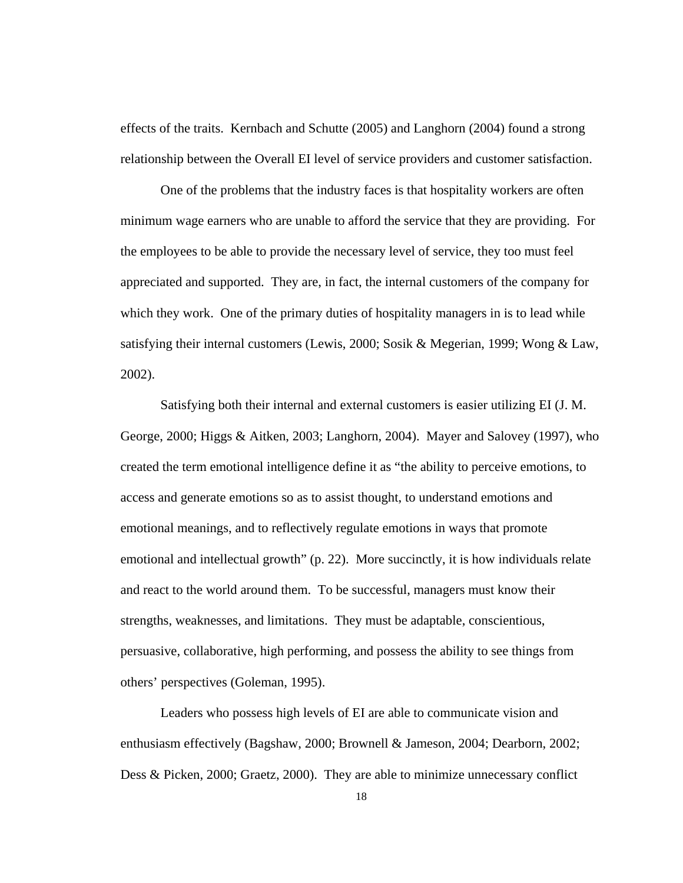effects of the traits. Kernbach and Schutte (2005) and Langhorn (2004) found a strong relationship between the Overall EI level of service providers and customer satisfaction.

One of the problems that the industry faces is that hospitality workers are often minimum wage earners who are unable to afford the service that they are providing. For the employees to be able to provide the necessary level of service, they too must feel appreciated and supported. They are, in fact, the internal customers of the company for which they work. One of the primary duties of hospitality managers in is to lead while satisfying their internal customers (Lewis, 2000; Sosik & Megerian, 1999; Wong & Law, 2002).

Satisfying both their internal and external customers is easier utilizing EI (J. M. George, 2000; Higgs & Aitken, 2003; Langhorn, 2004). Mayer and Salovey (1997), who created the term emotional intelligence define it as "the ability to perceive emotions, to access and generate emotions so as to assist thought, to understand emotions and emotional meanings, and to reflectively regulate emotions in ways that promote emotional and intellectual growth" (p. 22). More succinctly, it is how individuals relate and react to the world around them. To be successful, managers must know their strengths, weaknesses, and limitations. They must be adaptable, conscientious, persuasive, collaborative, high performing, and possess the ability to see things from others' perspectives (Goleman, 1995).

Leaders who possess high levels of EI are able to communicate vision and enthusiasm effectively (Bagshaw, 2000; Brownell & Jameson, 2004; Dearborn, 2002; Dess & Picken, 2000; Graetz, 2000). They are able to minimize unnecessary conflict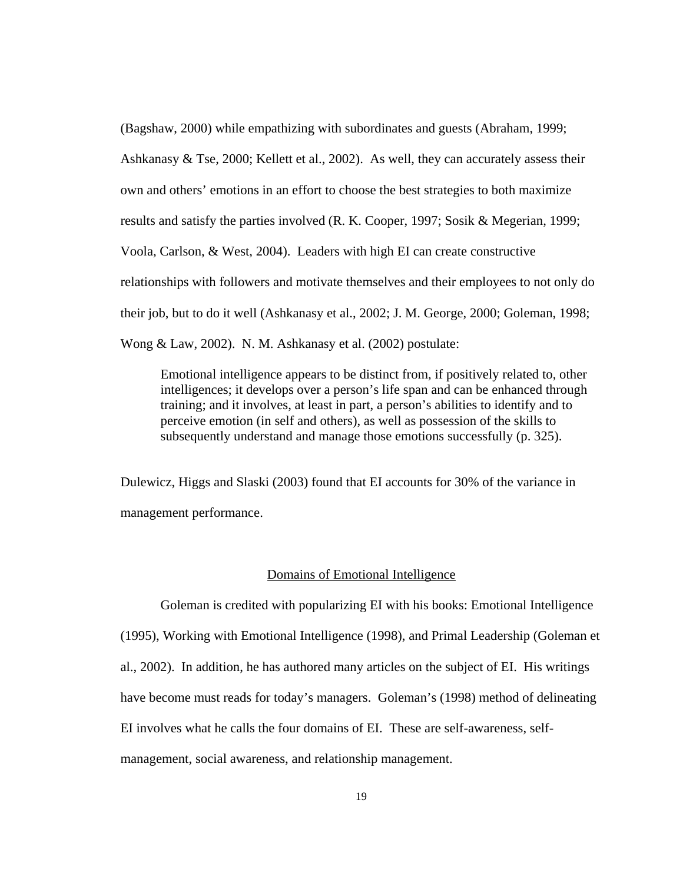<span id="page-28-0"></span>(Bagshaw, 2000) while empathizing with subordinates and guests (Abraham, 1999; Ashkanasy & Tse, 2000; Kellett et al., 2002). As well, they can accurately assess their own and others' emotions in an effort to choose the best strategies to both maximize results and satisfy the parties involved (R. K. Cooper, 1997; Sosik & Megerian, 1999; Voola, Carlson, & West, 2004). Leaders with high EI can create constructive relationships with followers and motivate themselves and their employees to not only do their job, but to do it well (Ashkanasy et al., 2002; J. M. George, 2000; Goleman, 1998; Wong & Law, 2002). N. M. Ashkanasy et al. (2002) postulate:

Emotional intelligence appears to be distinct from, if positively related to, other intelligences; it develops over a person's life span and can be enhanced through training; and it involves, at least in part, a person's abilities to identify and to perceive emotion (in self and others), as well as possession of the skills to subsequently understand and manage those emotions successfully (p. 325).

Dulewicz, Higgs and Slaski (2003) found that EI accounts for 30% of the variance in management performance.

#### Domains of Emotional Intelligence

 Goleman is credited with popularizing EI with his books: Emotional Intelligence (1995), Working with Emotional Intelligence (1998), and Primal Leadership (Goleman et al., 2002). In addition, he has authored many articles on the subject of EI. His writings have become must reads for today's managers. Goleman's (1998) method of delineating EI involves what he calls the four domains of EI. These are self-awareness, selfmanagement, social awareness, and relationship management.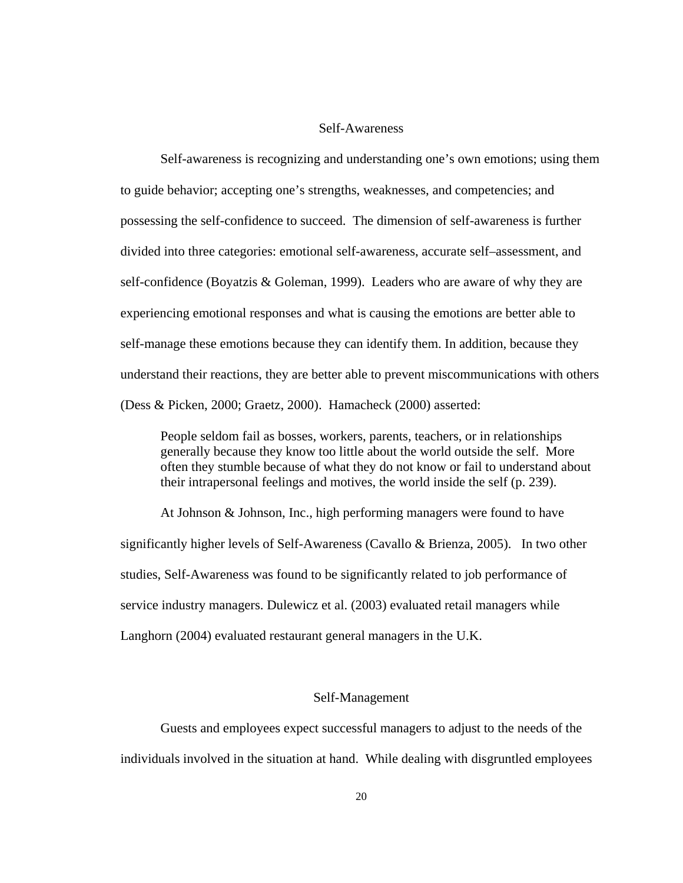# Self-Awareness

<span id="page-29-0"></span>Self-awareness is recognizing and understanding one's own emotions; using them to guide behavior; accepting one's strengths, weaknesses, and competencies; and possessing the self-confidence to succeed. The dimension of self-awareness is further divided into three categories: emotional self-awareness, accurate self–assessment, and self-confidence (Boyatzis & Goleman, 1999). Leaders who are aware of why they are experiencing emotional responses and what is causing the emotions are better able to self-manage these emotions because they can identify them. In addition, because they understand their reactions, they are better able to prevent miscommunications with others (Dess & Picken, 2000; Graetz, 2000). Hamacheck (2000) asserted:

People seldom fail as bosses, workers, parents, teachers, or in relationships generally because they know too little about the world outside the self. More often they stumble because of what they do not know or fail to understand about their intrapersonal feelings and motives, the world inside the self (p. 239).

At Johnson & Johnson, Inc., high performing managers were found to have significantly higher levels of Self-Awareness (Cavallo & Brienza, 2005). In two other studies, Self-Awareness was found to be significantly related to job performance of service industry managers. Dulewicz et al. (2003) evaluated retail managers while Langhorn (2004) evaluated restaurant general managers in the U.K.

#### Self-Management

Guests and employees expect successful managers to adjust to the needs of the individuals involved in the situation at hand. While dealing with disgruntled employees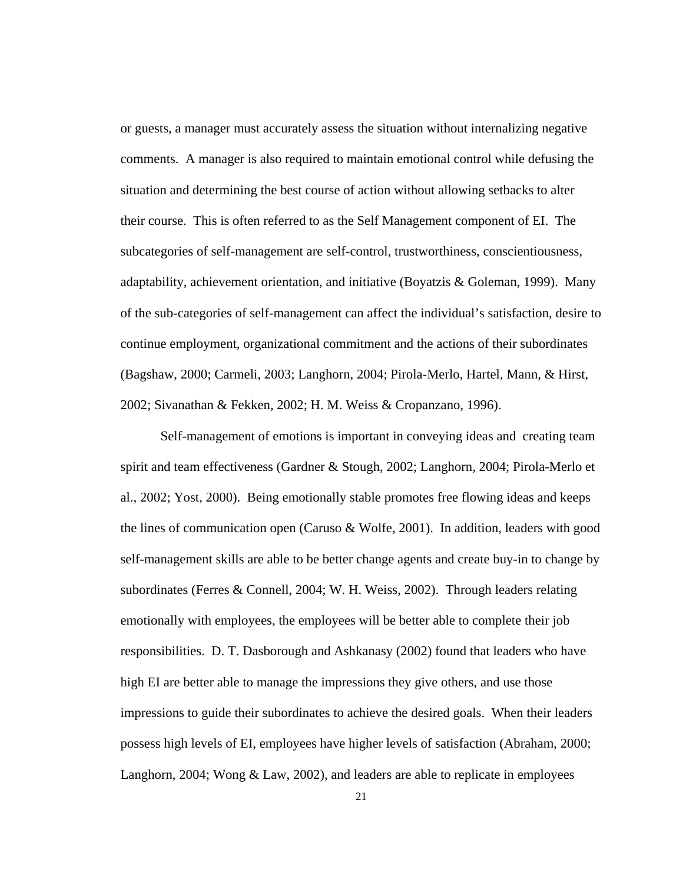or guests, a manager must accurately assess the situation without internalizing negative comments. A manager is also required to maintain emotional control while defusing the situation and determining the best course of action without allowing setbacks to alter their course. This is often referred to as the Self Management component of EI. The subcategories of self-management are self-control, trustworthiness, conscientiousness, adaptability, achievement orientation, and initiative (Boyatzis & Goleman, 1999). Many of the sub-categories of self-management can affect the individual's satisfaction, desire to continue employment, organizational commitment and the actions of their subordinates (Bagshaw, 2000; Carmeli, 2003; Langhorn, 2004; Pirola-Merlo, Hartel, Mann, & Hirst, 2002; Sivanathan & Fekken, 2002; H. M. Weiss & Cropanzano, 1996).

Self-management of emotions is important in conveying ideas and creating team spirit and team effectiveness (Gardner & Stough, 2002; Langhorn, 2004; Pirola-Merlo et al., 2002; Yost, 2000). Being emotionally stable promotes free flowing ideas and keeps the lines of communication open (Caruso & Wolfe, 2001). In addition, leaders with good self-management skills are able to be better change agents and create buy-in to change by subordinates (Ferres & Connell, 2004; W. H. Weiss, 2002). Through leaders relating emotionally with employees, the employees will be better able to complete their job responsibilities. D. T. Dasborough and Ashkanasy (2002) found that leaders who have high EI are better able to manage the impressions they give others, and use those impressions to guide their subordinates to achieve the desired goals. When their leaders possess high levels of EI, employees have higher levels of satisfaction (Abraham, 2000; Langhorn, 2004; Wong & Law, 2002), and leaders are able to replicate in employees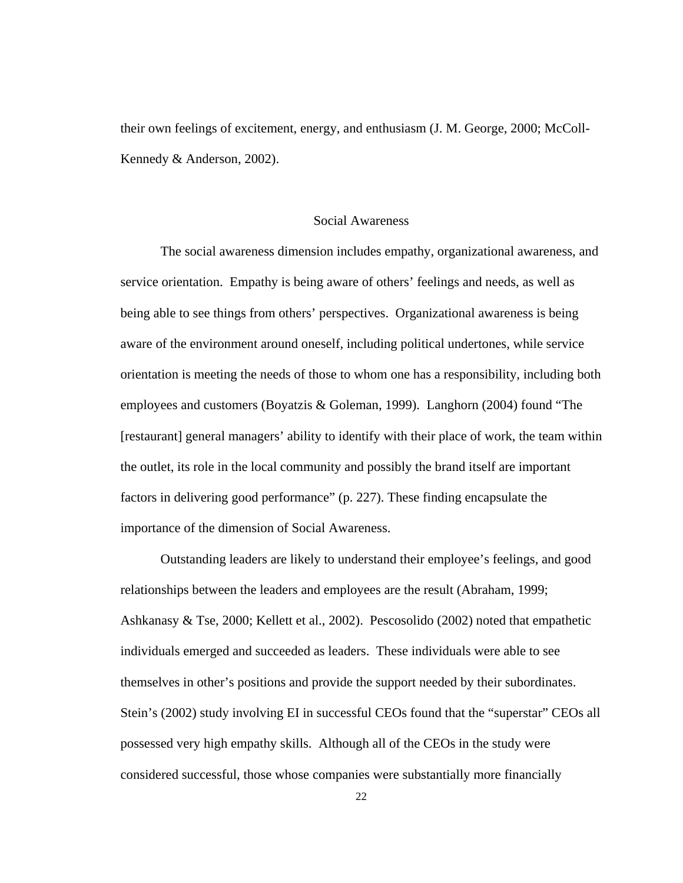<span id="page-31-0"></span>their own feelings of excitement, energy, and enthusiasm (J. M. George, 2000; McColl-Kennedy & Anderson, 2002).

# Social Awareness

The social awareness dimension includes empathy, organizational awareness, and service orientation. Empathy is being aware of others' feelings and needs, as well as being able to see things from others' perspectives. Organizational awareness is being aware of the environment around oneself, including political undertones, while service orientation is meeting the needs of those to whom one has a responsibility, including both employees and customers (Boyatzis & Goleman, 1999). Langhorn (2004) found "The [restaurant] general managers' ability to identify with their place of work, the team within the outlet, its role in the local community and possibly the brand itself are important factors in delivering good performance" (p. 227). These finding encapsulate the importance of the dimension of Social Awareness.

Outstanding leaders are likely to understand their employee's feelings, and good relationships between the leaders and employees are the result (Abraham, 1999; Ashkanasy & Tse, 2000; Kellett et al., 2002). Pescosolido (2002) noted that empathetic individuals emerged and succeeded as leaders. These individuals were able to see themselves in other's positions and provide the support needed by their subordinates. Stein's (2002) study involving EI in successful CEOs found that the "superstar" CEOs all possessed very high empathy skills. Although all of the CEOs in the study were considered successful, those whose companies were substantially more financially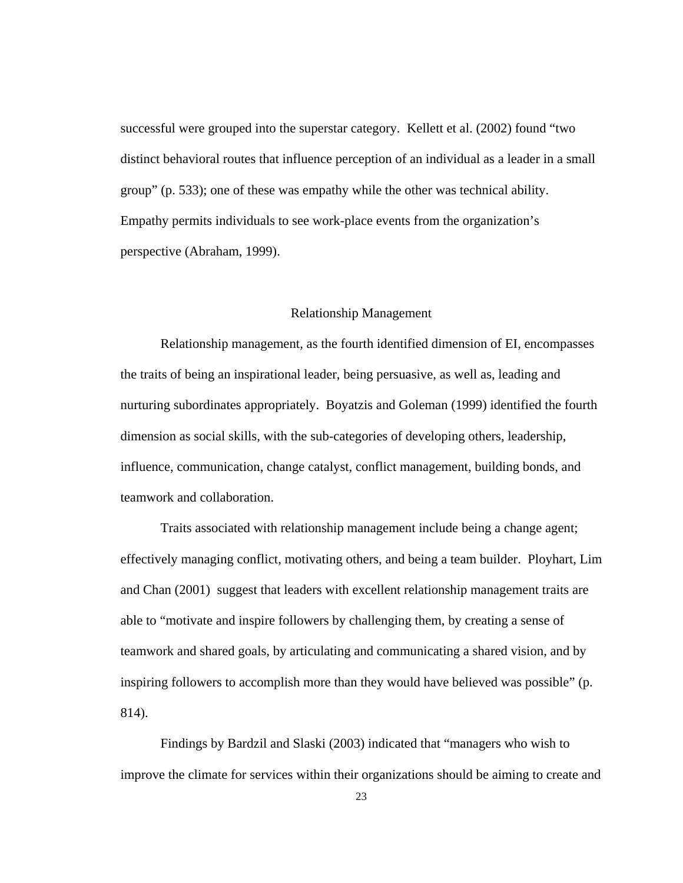<span id="page-32-0"></span>successful were grouped into the superstar category. Kellett et al. (2002) found "two distinct behavioral routes that influence perception of an individual as a leader in a small group" (p. 533); one of these was empathy while the other was technical ability. Empathy permits individuals to see work-place events from the organization's perspective (Abraham, 1999).

# Relationship Management

Relationship management, as the fourth identified dimension of EI, encompasses the traits of being an inspirational leader, being persuasive, as well as, leading and nurturing subordinates appropriately. Boyatzis and Goleman (1999) identified the fourth dimension as social skills, with the sub-categories of developing others, leadership, influence, communication, change catalyst, conflict management, building bonds, and teamwork and collaboration.

Traits associated with relationship management include being a change agent; effectively managing conflict, motivating others, and being a team builder. Ployhart, Lim and Chan (2001) suggest that leaders with excellent relationship management traits are able to "motivate and inspire followers by challenging them, by creating a sense of teamwork and shared goals, by articulating and communicating a shared vision, and by inspiring followers to accomplish more than they would have believed was possible" (p. 814).

Findings by Bardzil and Slaski (2003) indicated that "managers who wish to improve the climate for services within their organizations should be aiming to create and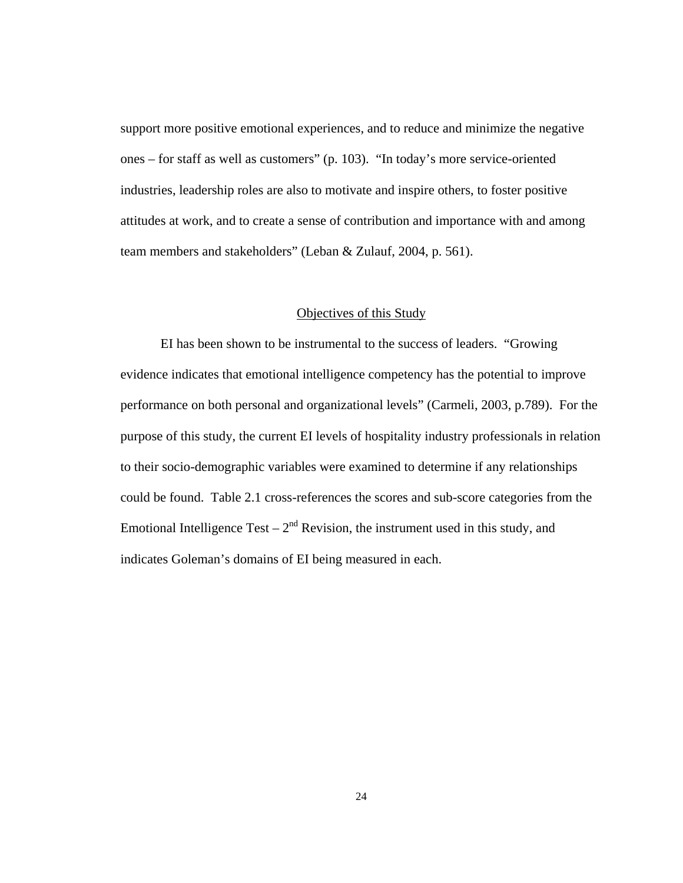<span id="page-33-0"></span>support more positive emotional experiences, and to reduce and minimize the negative ones – for staff as well as customers" (p. 103). "In today's more service-oriented industries, leadership roles are also to motivate and inspire others, to foster positive attitudes at work, and to create a sense of contribution and importance with and among team members and stakeholders" (Leban & Zulauf, 2004, p. 561).

# Objectives of this Study

EI has been shown to be instrumental to the success of leaders. "Growing evidence indicates that emotional intelligence competency has the potential to improve performance on both personal and organizational levels" (Carmeli, 2003, p.789). For the purpose of this study, the current EI levels of hospitality industry professionals in relation to their socio-demographic variables were examined to determine if any relationships could be found. Table 2.1 cross-references the scores and sub-score categories from the Emotional Intelligence Test –  $2<sup>nd</sup>$  Revision, the instrument used in this study, and indicates Goleman's domains of EI being measured in each.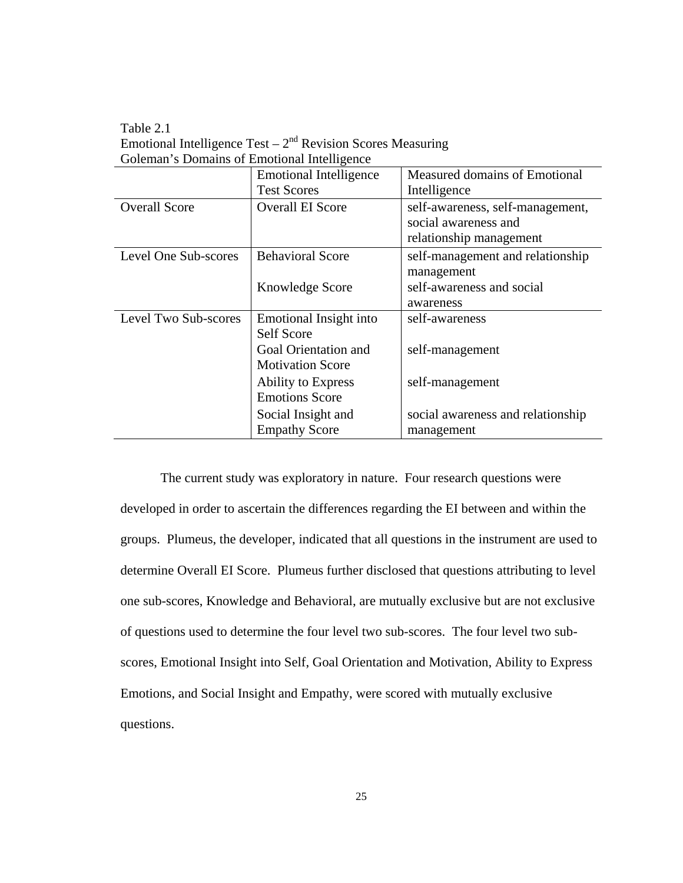Table 2.1 Emotional Intelligence Test  $-2<sup>nd</sup>$  Revision Scores Measuring Goleman's Domains of Emotional Intelligence

|                      | <b>Emotional Intelligence</b> | Measured domains of Emotional                            |
|----------------------|-------------------------------|----------------------------------------------------------|
|                      | <b>Test Scores</b>            | Intelligence                                             |
| <b>Overall Score</b> | <b>Overall EI Score</b>       | self-awareness, self-management,<br>social awareness and |
|                      |                               | relationship management                                  |
| Level One Sub-scores | <b>Behavioral Score</b>       | self-management and relationship<br>management           |
|                      | Knowledge Score               | self-awareness and social                                |
|                      |                               | awareness                                                |
| Level Two Sub-scores | Emotional Insight into        | self-awareness                                           |
|                      | Self Score                    |                                                          |
|                      | Goal Orientation and          | self-management                                          |
|                      | <b>Motivation Score</b>       |                                                          |
|                      | <b>Ability to Express</b>     | self-management                                          |
|                      | <b>Emotions Score</b>         |                                                          |
|                      | Social Insight and            | social awareness and relationship                        |
|                      | <b>Empathy Score</b>          | management                                               |

 The current study was exploratory in nature. Four research questions were developed in order to ascertain the differences regarding the EI between and within the groups. Plumeus, the developer, indicated that all questions in the instrument are used to determine Overall EI Score. Plumeus further disclosed that questions attributing to level one sub-scores, Knowledge and Behavioral, are mutually exclusive but are not exclusive of questions used to determine the four level two sub-scores. The four level two subscores, Emotional Insight into Self, Goal Orientation and Motivation, Ability to Express Emotions, and Social Insight and Empathy, were scored with mutually exclusive questions.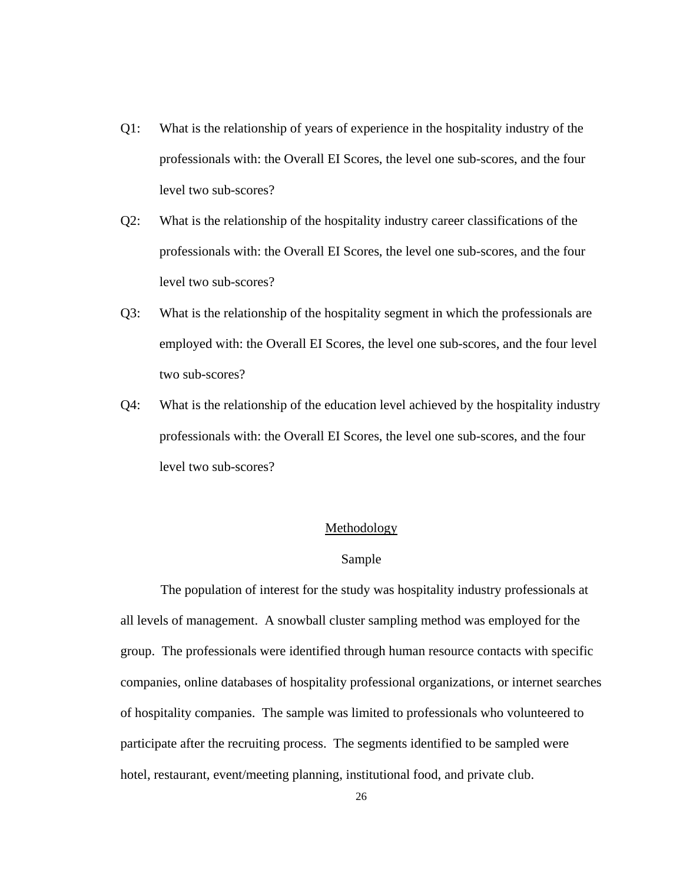- <span id="page-35-0"></span>Q1: What is the relationship of years of experience in the hospitality industry of the professionals with: the Overall EI Scores, the level one sub-scores, and the four level two sub-scores?
- Q2: What is the relationship of the hospitality industry career classifications of the professionals with: the Overall EI Scores, the level one sub-scores, and the four level two sub-scores?
- Q3: What is the relationship of the hospitality segment in which the professionals are employed with: the Overall EI Scores, the level one sub-scores, and the four level two sub-scores?
- Q4: What is the relationship of the education level achieved by the hospitality industry professionals with: the Overall EI Scores, the level one sub-scores, and the four level two sub-scores?

### Methodology

# Sample

The population of interest for the study was hospitality industry professionals at all levels of management. A snowball cluster sampling method was employed for the group. The professionals were identified through human resource contacts with specific companies, online databases of hospitality professional organizations, or internet searches of hospitality companies. The sample was limited to professionals who volunteered to participate after the recruiting process. The segments identified to be sampled were hotel, restaurant, event/meeting planning, institutional food, and private club.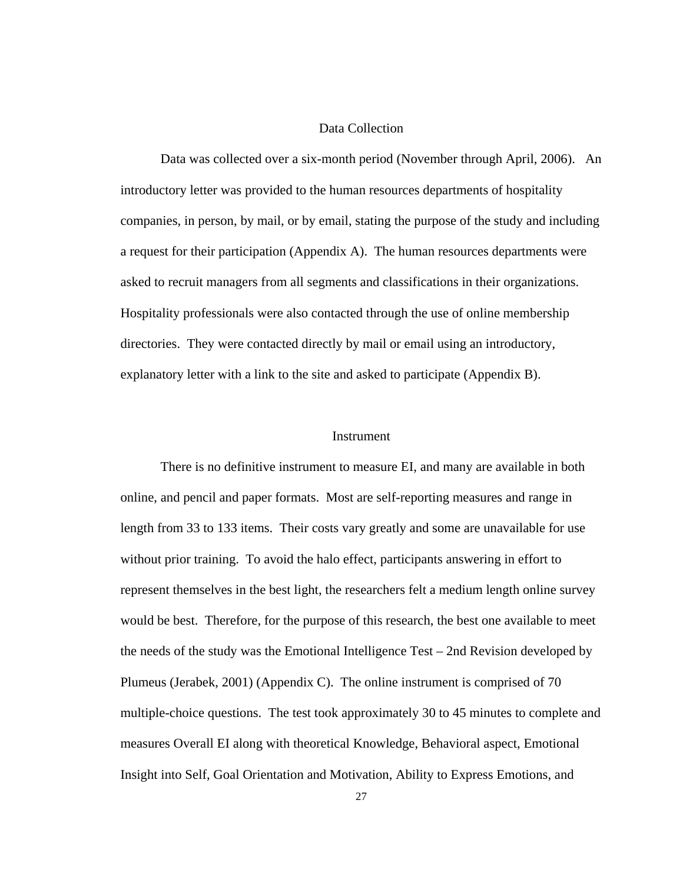## Data Collection

Data was collected over a six-month period (November through April, 2006). An introductory letter was provided to the human resources departments of hospitality companies, in person, by mail, or by email, stating the purpose of the study and including a request for their participation (Appendix A). The human resources departments were asked to recruit managers from all segments and classifications in their organizations. Hospitality professionals were also contacted through the use of online membership directories. They were contacted directly by mail or email using an introductory, explanatory letter with a link to the site and asked to participate (Appendix B).

#### Instrument

There is no definitive instrument to measure EI, and many are available in both online, and pencil and paper formats. Most are self-reporting measures and range in length from 33 to 133 items. Their costs vary greatly and some are unavailable for use without prior training. To avoid the halo effect, participants answering in effort to represent themselves in the best light, the researchers felt a medium length online survey would be best. Therefore, for the purpose of this research, the best one available to meet the needs of the study was the Emotional Intelligence Test – 2nd Revision developed by Plumeus (Jerabek, 2001) (Appendix C). The online instrument is comprised of 70 multiple-choice questions. The test took approximately 30 to 45 minutes to complete and measures Overall EI along with theoretical Knowledge, Behavioral aspect, Emotional Insight into Self, Goal Orientation and Motivation, Ability to Express Emotions, and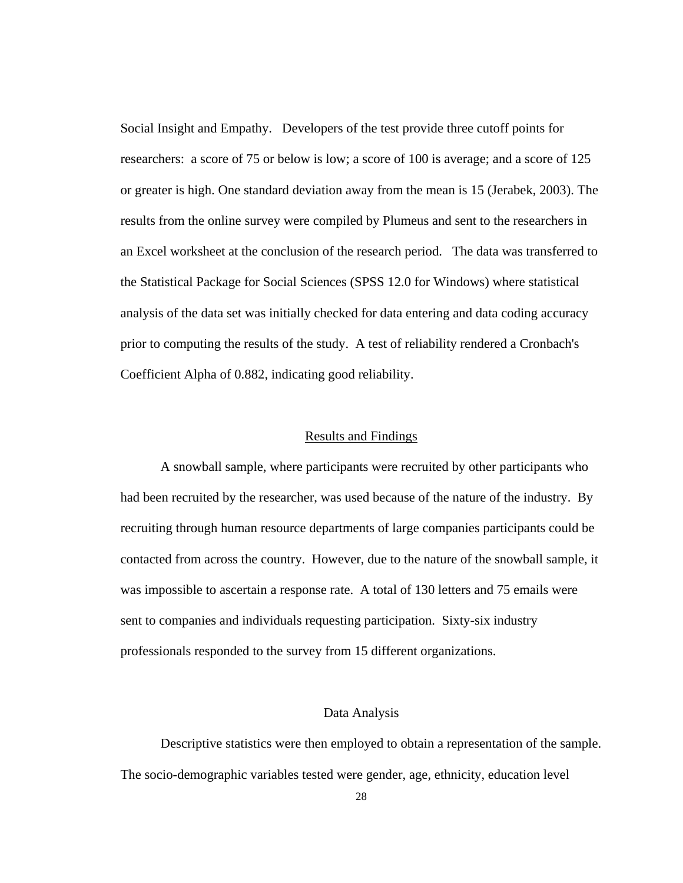Social Insight and Empathy. Developers of the test provide three cutoff points for researchers: a score of 75 or below is low; a score of 100 is average; and a score of 125 or greater is high. One standard deviation away from the mean is 15 (Jerabek, 2003). The results from the online survey were compiled by Plumeus and sent to the researchers in an Excel worksheet at the conclusion of the research period. The data was transferred to the Statistical Package for Social Sciences (SPSS 12.0 for Windows) where statistical analysis of the data set was initially checked for data entering and data coding accuracy prior to computing the results of the study. A test of reliability rendered a Cronbach's Coefficient Alpha of 0.882, indicating good reliability.

#### Results and Findings

A snowball sample, where participants were recruited by other participants who had been recruited by the researcher, was used because of the nature of the industry. By recruiting through human resource departments of large companies participants could be contacted from across the country. However, due to the nature of the snowball sample, it was impossible to ascertain a response rate. A total of 130 letters and 75 emails were sent to companies and individuals requesting participation. Sixty-six industry professionals responded to the survey from 15 different organizations.

## Data Analysis

Descriptive statistics were then employed to obtain a representation of the sample. The socio-demographic variables tested were gender, age, ethnicity, education level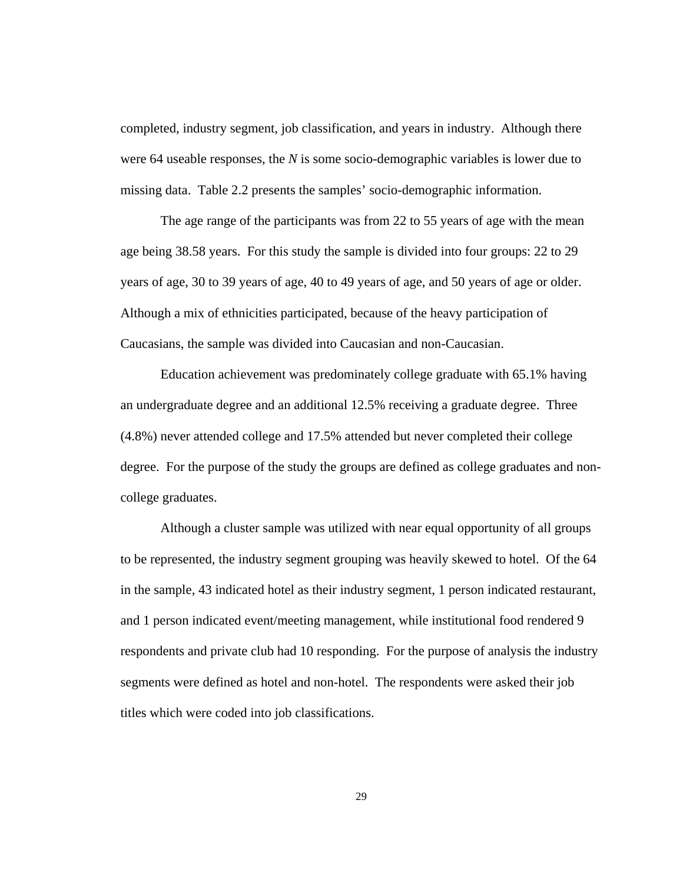completed, industry segment, job classification, and years in industry. Although there were 64 useable responses, the *N* is some socio-demographic variables is lower due to missing data. Table 2.2 presents the samples' socio-demographic information.

The age range of the participants was from 22 to 55 years of age with the mean age being 38.58 years. For this study the sample is divided into four groups: 22 to 29 years of age, 30 to 39 years of age, 40 to 49 years of age, and 50 years of age or older. Although a mix of ethnicities participated, because of the heavy participation of Caucasians, the sample was divided into Caucasian and non-Caucasian.

Education achievement was predominately college graduate with 65.1% having an undergraduate degree and an additional 12.5% receiving a graduate degree. Three (4.8%) never attended college and 17.5% attended but never completed their college degree. For the purpose of the study the groups are defined as college graduates and noncollege graduates.

Although a cluster sample was utilized with near equal opportunity of all groups to be represented, the industry segment grouping was heavily skewed to hotel. Of the 64 in the sample, 43 indicated hotel as their industry segment, 1 person indicated restaurant, and 1 person indicated event/meeting management, while institutional food rendered 9 respondents and private club had 10 responding. For the purpose of analysis the industry segments were defined as hotel and non-hotel. The respondents were asked their job titles which were coded into job classifications.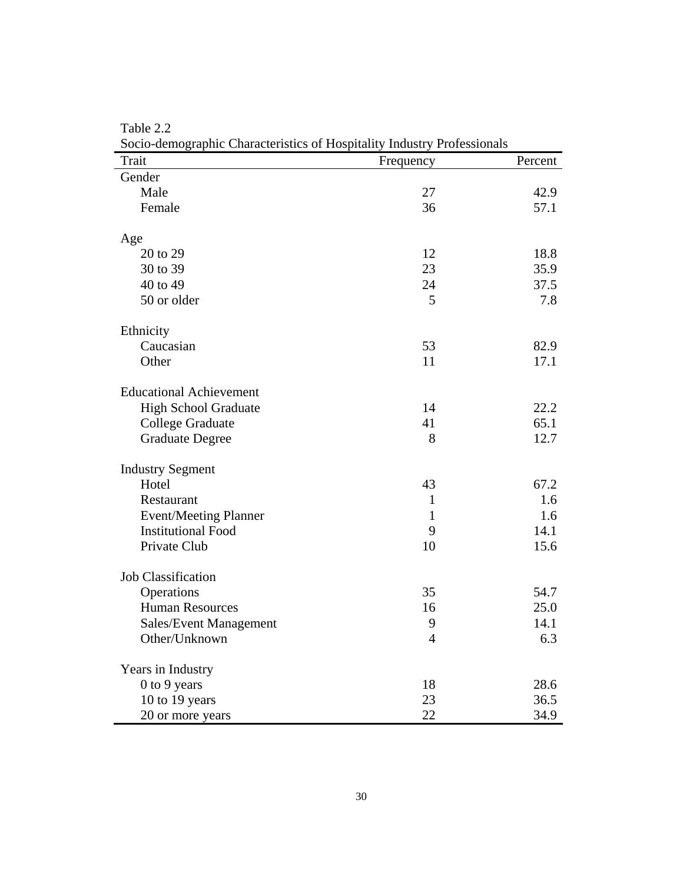| Socio-demographic Characteristics of Hospitality muustry Frotessionals<br>Trait | Frequency    | Percent |
|---------------------------------------------------------------------------------|--------------|---------|
| Gender                                                                          |              |         |
| Male                                                                            | 27           | 42.9    |
| Female                                                                          | 36           | 57.1    |
| Age                                                                             |              |         |
| 20 to 29                                                                        | 12           | 18.8    |
| 30 to 39                                                                        | 23           | 35.9    |
| 40 to 49                                                                        | 24           | 37.5    |
| 50 or older                                                                     | 5            | 7.8     |
| Ethnicity                                                                       |              |         |
| Caucasian                                                                       | 53           | 82.9    |
| Other                                                                           | 11           | 17.1    |
| <b>Educational Achievement</b>                                                  |              |         |
| <b>High School Graduate</b>                                                     | 14           | 22.2    |
| <b>College Graduate</b>                                                         | 41           | 65.1    |
| <b>Graduate Degree</b>                                                          | 8            | 12.7    |
| <b>Industry Segment</b>                                                         |              |         |
| Hotel                                                                           | 43           | 67.2    |
| Restaurant                                                                      | $\mathbf{1}$ | 1.6     |
| <b>Event/Meeting Planner</b>                                                    | $\mathbf{1}$ | 1.6     |
| <b>Institutional Food</b>                                                       | 9            | 14.1    |
| Private Club                                                                    | 10           | 15.6    |
| <b>Job Classification</b>                                                       |              |         |
| Operations                                                                      | 35           | 54.7    |
| <b>Human Resources</b>                                                          | 16           | 25.0    |
| Sales/Event Management                                                          | 9            | 14.1    |
| Other/Unknown                                                                   | 4            | 6.3     |
| Years in Industry                                                               |              |         |
| 0 to 9 years                                                                    | 18           | 28.6    |
| 10 to 19 years                                                                  | 23           | 36.5    |
| 20 or more years                                                                | 22           | 34.9    |

Table 2.2 Socio-demographic Characteristics of Hospitality Industry Professionals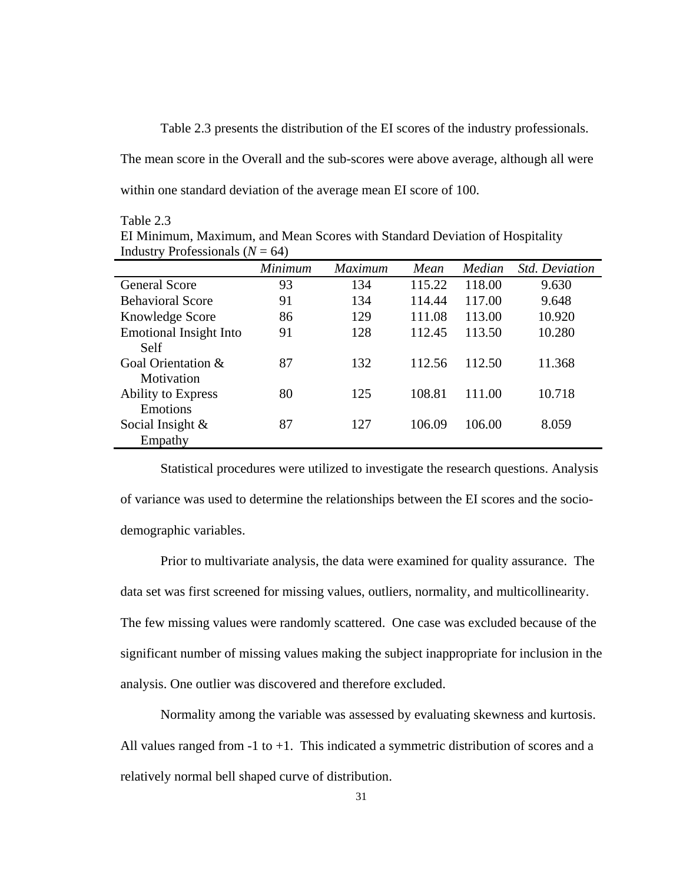Table 2.3 presents the distribution of the EI scores of the industry professionals.

The mean score in the Overall and the sub-scores were above average, although all were within one standard deviation of the average mean EI score of 100.

#### Table 2.3

EI Minimum, Maximum, and Mean Scores with Standard Deviation of Hospitality Industry Professionals  $(N = 64)$ 

|                                       | Minimum | <b>Maximum</b> | Mean   | Median | <b>Std. Deviation</b> |
|---------------------------------------|---------|----------------|--------|--------|-----------------------|
| <b>General Score</b>                  | 93      | 134            | 115.22 | 118.00 | 9.630                 |
| <b>Behavioral Score</b>               | 91      | 134            | 114.44 | 117.00 | 9.648                 |
| Knowledge Score                       | 86      | 129            | 111.08 | 113.00 | 10.920                |
| <b>Emotional Insight Into</b><br>Self | 91      | 128            | 112.45 | 113.50 | 10.280                |
| Goal Orientation &<br>Motivation      | 87      | 132            | 112.56 | 112.50 | 11.368                |
| <b>Ability to Express</b><br>Emotions | 80      | 125            | 108.81 | 111.00 | 10.718                |
| Social Insight $\&$<br>Empathy        | 87      | 127            | 106.09 | 106.00 | 8.059                 |

 Statistical procedures were utilized to investigate the research questions. Analysis of variance was used to determine the relationships between the EI scores and the sociodemographic variables.

 Prior to multivariate analysis, the data were examined for quality assurance. The data set was first screened for missing values, outliers, normality, and multicollinearity. The few missing values were randomly scattered. One case was excluded because of the significant number of missing values making the subject inappropriate for inclusion in the analysis. One outlier was discovered and therefore excluded.

 Normality among the variable was assessed by evaluating skewness and kurtosis. All values ranged from  $-1$  to  $+1$ . This indicated a symmetric distribution of scores and a relatively normal bell shaped curve of distribution.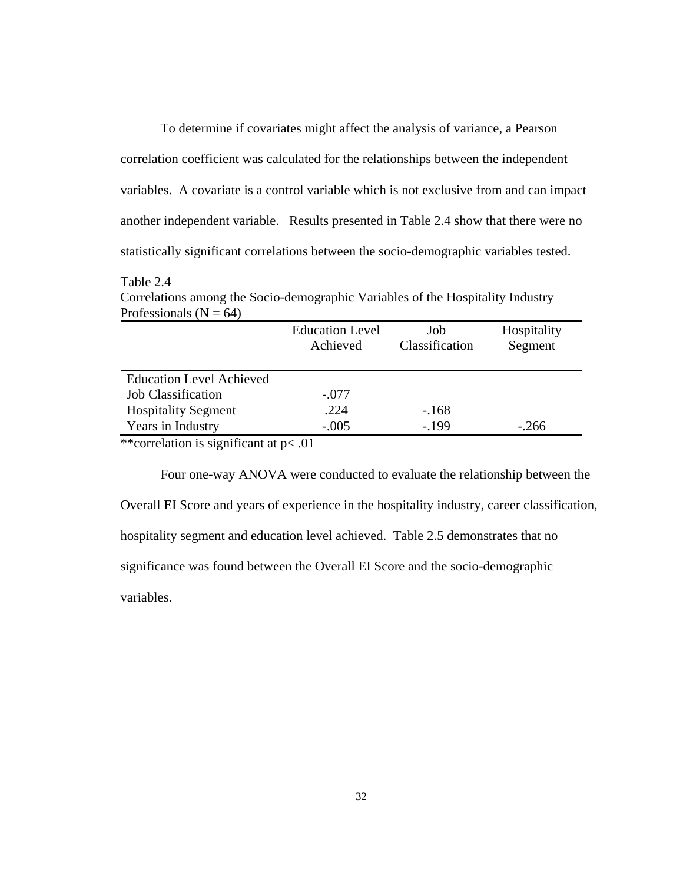To determine if covariates might affect the analysis of variance, a Pearson correlation coefficient was calculated for the relationships between the independent variables. A covariate is a control variable which is not exclusive from and can impact another independent variable. Results presented in Table 2.4 show that there were no statistically significant correlations between the socio-demographic variables tested.

#### Table 2.4

Correlations among the Socio-demographic Variables of the Hospitality Industry Professionals ( $N = 64$ )

|                                 | <b>Education Level</b><br>Achieved | Job<br>Classification | Hospitality<br>Segment |
|---------------------------------|------------------------------------|-----------------------|------------------------|
| <b>Education Level Achieved</b> |                                    |                       |                        |
| <b>Job Classification</b>       | $-.077$                            |                       |                        |
| <b>Hospitality Segment</b>      | .224                               | $-168$                |                        |
| Years in Industry               | $-.005$                            | $-199$                | $-.266$                |

\*\*correlation is significant at p< .01

Four one-way ANOVA were conducted to evaluate the relationship between the Overall EI Score and years of experience in the hospitality industry, career classification, hospitality segment and education level achieved. Table 2.5 demonstrates that no significance was found between the Overall EI Score and the socio-demographic variables.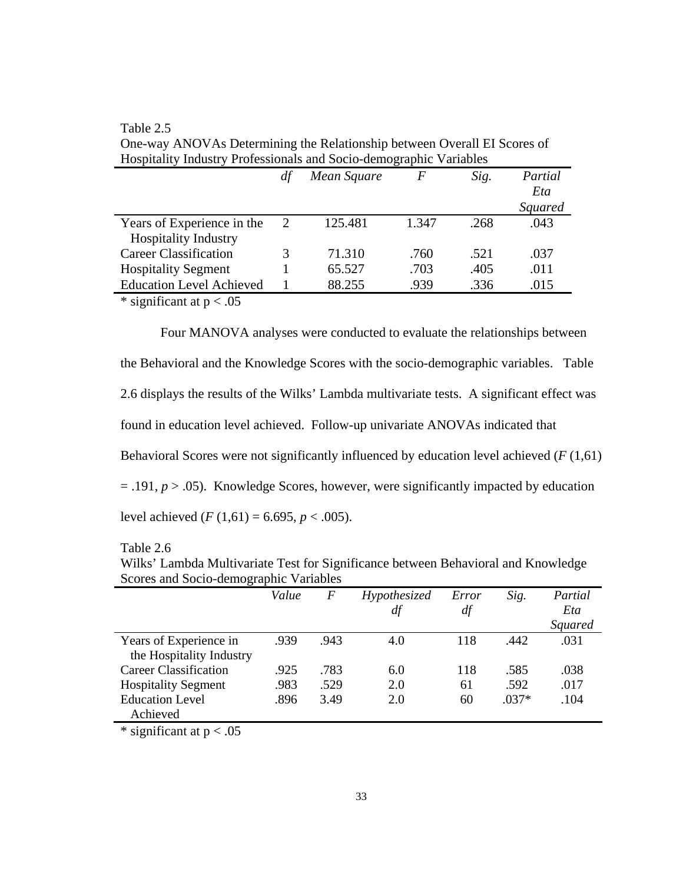|                                 | df | Mean Square | F     | Sig. | Partial        |
|---------------------------------|----|-------------|-------|------|----------------|
|                                 |    |             |       |      | Eta            |
|                                 |    |             |       |      | <b>Squared</b> |
| Years of Experience in the      | 2  | 125.481     | 1.347 | .268 | .043           |
| <b>Hospitality Industry</b>     |    |             |       |      |                |
| <b>Career Classification</b>    |    | 71.310      | .760  | .521 | .037           |
| <b>Hospitality Segment</b>      |    | 65.527      | .703  | .405 | .011           |
| <b>Education Level Achieved</b> |    | 88.255      | .939  | .336 | .015           |
|                                 |    |             |       |      |                |

Table 2.5 One-way ANOVAs Determining the Relationship between Overall EI Scores of Hospitality Industry Professionals and Socio-demographic Variables

\* significant at  $p < .05$ 

Four MANOVA analyses were conducted to evaluate the relationships between the Behavioral and the Knowledge Scores with the socio-demographic variables. Table 2.6 displays the results of the Wilks' Lambda multivariate tests. A significant effect was found in education level achieved. Follow-up univariate ANOVAs indicated that Behavioral Scores were not significantly influenced by education level achieved (*F* (1,61)  $= .191, p > .05$ ). Knowledge Scores, however, were significantly impacted by education level achieved  $(F(1,61) = 6.695, p < .005)$ .

# Table 2.6

| $10010 + 100$ |                                                                                   |                                                                                                                                |  |  |  |              |  |  |
|---------------|-----------------------------------------------------------------------------------|--------------------------------------------------------------------------------------------------------------------------------|--|--|--|--------------|--|--|
|               | Wilks' Lambda Multivariate Test for Significance between Behavioral and Knowledge |                                                                                                                                |  |  |  |              |  |  |
|               | Scores and Socio-demographic Variables                                            |                                                                                                                                |  |  |  |              |  |  |
|               |                                                                                   | $\mathbf{v}$ , and $\mathbf{v}$ , and $\mathbf{v}$ , and $\mathbf{v}$ , and $\mathbf{v}$ , and $\mathbf{v}$ , and $\mathbf{v}$ |  |  |  | $\mathbf{r}$ |  |  |

|                              | Value | $\boldsymbol{F}$ | Hypothesized | Error | Sig.    | Partial        |
|------------------------------|-------|------------------|--------------|-------|---------|----------------|
|                              |       |                  | df           | df    |         | Eta            |
|                              |       |                  |              |       |         | <b>Squared</b> |
| Years of Experience in       | .939  | .943             | 4.0          | 118   | .442    | .031           |
| the Hospitality Industry     |       |                  |              |       |         |                |
| <b>Career Classification</b> | .925  | .783             | 6.0          | 118   | .585    | .038           |
| <b>Hospitality Segment</b>   | .983  | .529             | 2.0          | 61    | .592    | .017           |
| <b>Education Level</b>       | .896  | 3.49             | 2.0          | 60    | $.037*$ | .104           |
| Achieved                     |       |                  |              |       |         |                |
| $\cdot$<br>.<br>$\sim$ $-$   |       |                  |              |       |         |                |

\* significant at  $p < .05$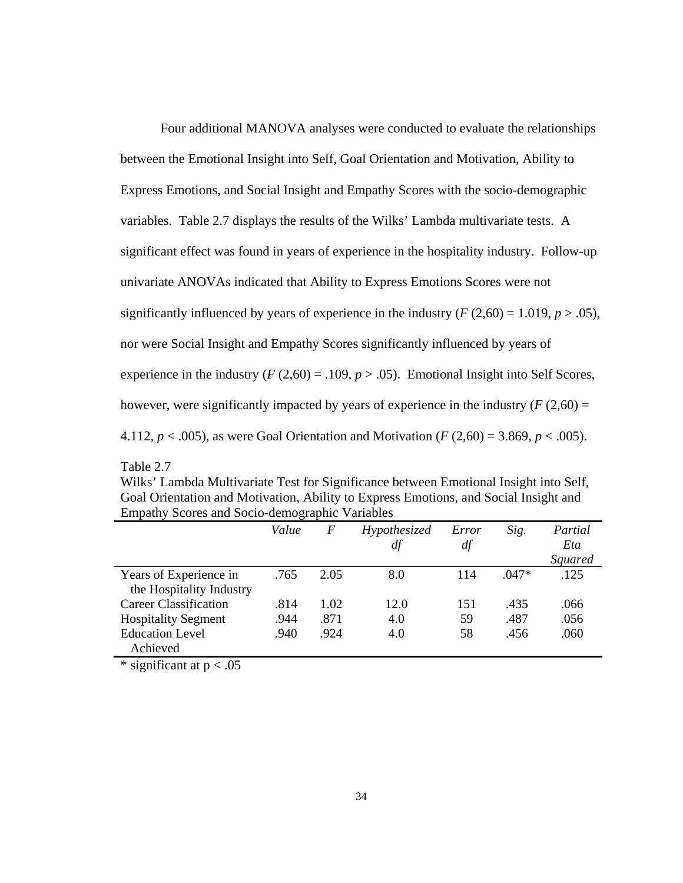Four additional MANOVA analyses were conducted to evaluate the relationships between the Emotional Insight into Self, Goal Orientation and Motivation, Ability to Express Emotions, and Social Insight and Empathy Scores with the socio-demographic variables. Table 2.7 displays the results of the Wilks' Lambda multivariate tests. A significant effect was found in years of experience in the hospitality industry. Follow-up univariate ANOVAs indicated that Ability to Express Emotions Scores were not significantly influenced by years of experience in the industry  $(F(2,60) = 1.019, p > .05)$ , nor were Social Insight and Empathy Scores significantly influenced by years of experience in the industry  $(F(2,60) = .109, p > .05)$ . Emotional Insight into Self Scores, however, were significantly impacted by years of experience in the industry  $(F(2,60) =$ 4.112, *p* < .005), as were Goal Orientation and Motivation (*F* (2,60) = 3.869, *p* < .005).

Wilks' Lambda Multivariate Test for Significance between Emotional Insight into Self, Goal Orientation and Motivation, Ability to Express Emotions, and Social Insight and Empathy Scores and Socio-demographic Variables

|                                  | Value | $\overline{F}$ | Hypothesized | Error | Sig.    | Partial |
|----------------------------------|-------|----------------|--------------|-------|---------|---------|
|                                  |       |                | df           | df    |         | Eta     |
|                                  |       |                |              |       |         | Squared |
| Years of Experience in           | .765  | 2.05           | 8.0          | 114   | $.047*$ | .125    |
| the Hospitality Industry         |       |                |              |       |         |         |
| <b>Career Classification</b>     | .814  | 1.02           | 12.0         | 151   | .435    | .066    |
| <b>Hospitality Segment</b>       | .944  | .871           | 4.0          | 59    | .487    | .056    |
| <b>Education Level</b>           | .940  | .924           | 4.0          | 58    | .456    | .060    |
| Achieved                         |       |                |              |       |         |         |
| $*$ cionificant at $n \times 05$ |       |                |              |       |         |         |

significant at  $p < 0.05$ 

Table 2.7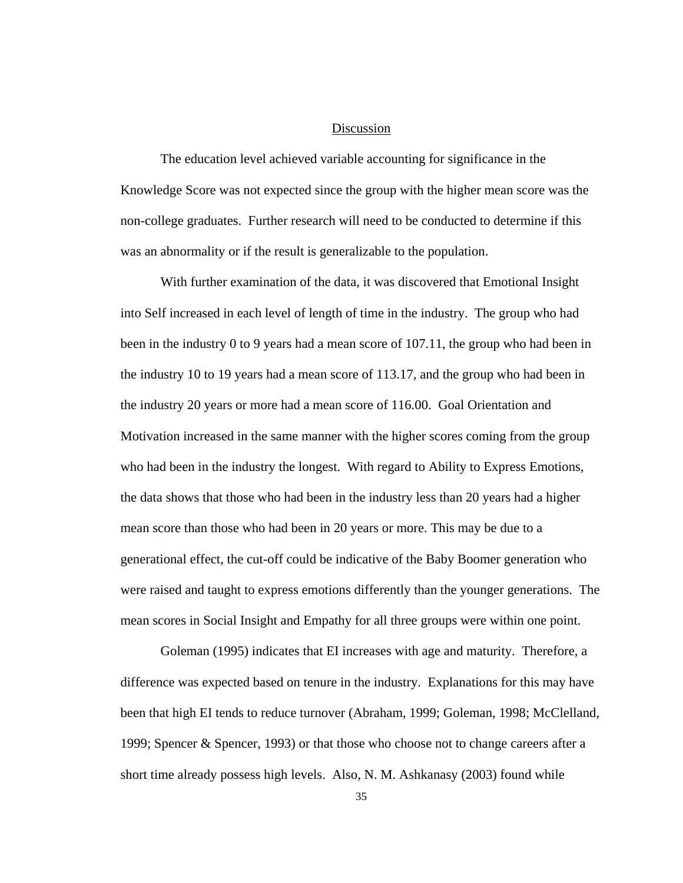## Discussion

The education level achieved variable accounting for significance in the Knowledge Score was not expected since the group with the higher mean score was the non-college graduates. Further research will need to be conducted to determine if this was an abnormality or if the result is generalizable to the population.

With further examination of the data, it was discovered that Emotional Insight into Self increased in each level of length of time in the industry. The group who had been in the industry 0 to 9 years had a mean score of 107.11, the group who had been in the industry 10 to 19 years had a mean score of 113.17, and the group who had been in the industry 20 years or more had a mean score of 116.00. Goal Orientation and Motivation increased in the same manner with the higher scores coming from the group who had been in the industry the longest. With regard to Ability to Express Emotions, the data shows that those who had been in the industry less than 20 years had a higher mean score than those who had been in 20 years or more. This may be due to a generational effect, the cut-off could be indicative of the Baby Boomer generation who were raised and taught to express emotions differently than the younger generations. The mean scores in Social Insight and Empathy for all three groups were within one point.

Goleman (1995) indicates that EI increases with age and maturity. Therefore, a difference was expected based on tenure in the industry. Explanations for this may have been that high EI tends to reduce turnover (Abraham, 1999; Goleman, 1998; McClelland, 1999; Spencer & Spencer, 1993) or that those who choose not to change careers after a short time already possess high levels. Also, N. M. Ashkanasy (2003) found while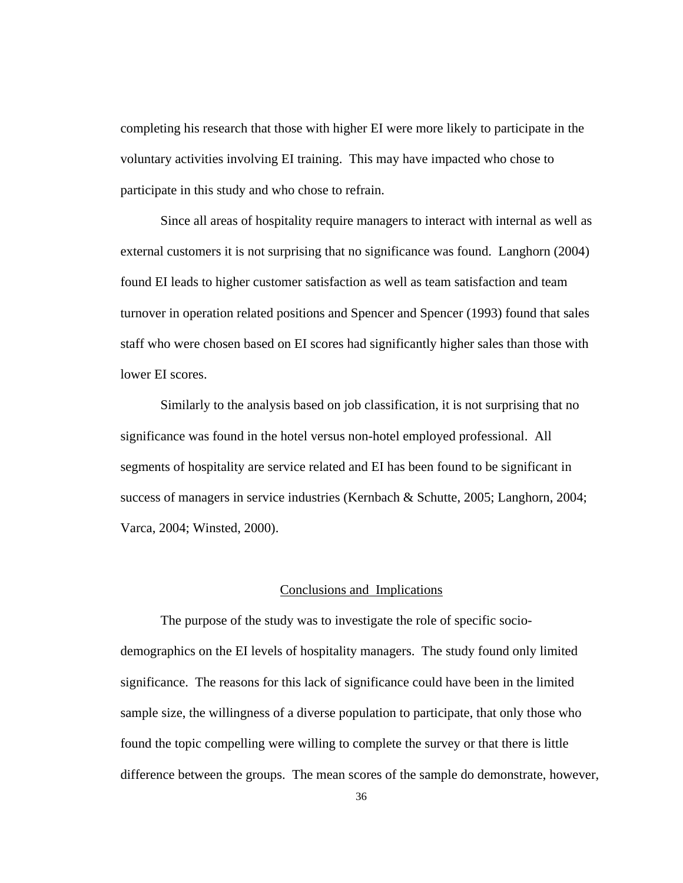completing his research that those with higher EI were more likely to participate in the voluntary activities involving EI training. This may have impacted who chose to participate in this study and who chose to refrain.

 Since all areas of hospitality require managers to interact with internal as well as external customers it is not surprising that no significance was found. Langhorn (2004) found EI leads to higher customer satisfaction as well as team satisfaction and team turnover in operation related positions and Spencer and Spencer (1993) found that sales staff who were chosen based on EI scores had significantly higher sales than those with lower EI scores.

Similarly to the analysis based on job classification, it is not surprising that no significance was found in the hotel versus non-hotel employed professional. All segments of hospitality are service related and EI has been found to be significant in success of managers in service industries (Kernbach & Schutte, 2005; Langhorn, 2004; Varca, 2004; Winsted, 2000).

#### Conclusions and Implications

 The purpose of the study was to investigate the role of specific sociodemographics on the EI levels of hospitality managers. The study found only limited significance. The reasons for this lack of significance could have been in the limited sample size, the willingness of a diverse population to participate, that only those who found the topic compelling were willing to complete the survey or that there is little difference between the groups. The mean scores of the sample do demonstrate, however,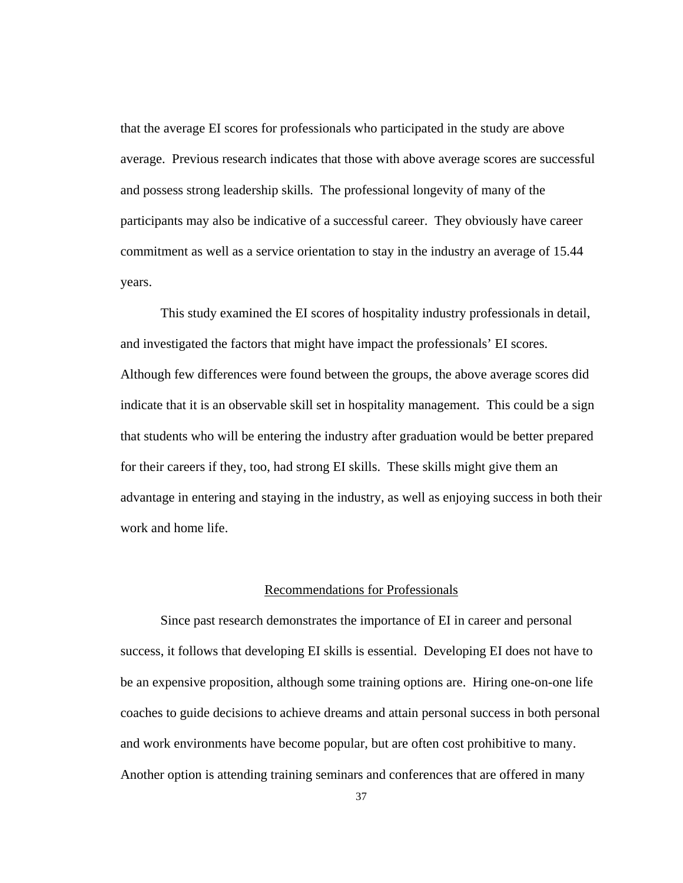that the average EI scores for professionals who participated in the study are above average. Previous research indicates that those with above average scores are successful and possess strong leadership skills. The professional longevity of many of the participants may also be indicative of a successful career. They obviously have career commitment as well as a service orientation to stay in the industry an average of 15.44 years.

This study examined the EI scores of hospitality industry professionals in detail, and investigated the factors that might have impact the professionals' EI scores. Although few differences were found between the groups, the above average scores did indicate that it is an observable skill set in hospitality management. This could be a sign that students who will be entering the industry after graduation would be better prepared for their careers if they, too, had strong EI skills. These skills might give them an advantage in entering and staying in the industry, as well as enjoying success in both their work and home life.

#### Recommendations for Professionals

 Since past research demonstrates the importance of EI in career and personal success, it follows that developing EI skills is essential. Developing EI does not have to be an expensive proposition, although some training options are. Hiring one-on-one life coaches to guide decisions to achieve dreams and attain personal success in both personal and work environments have become popular, but are often cost prohibitive to many. Another option is attending training seminars and conferences that are offered in many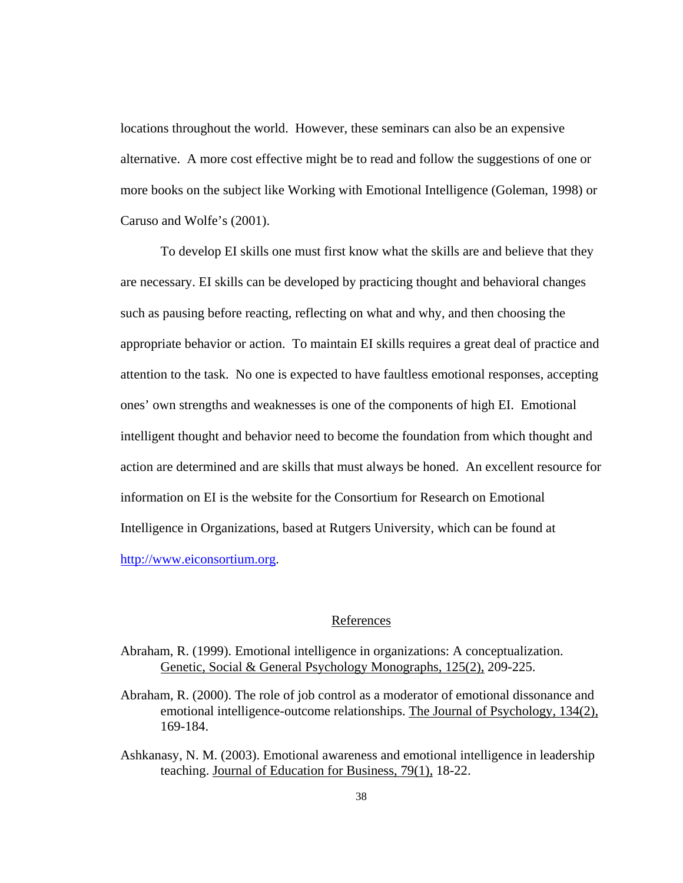locations throughout the world. However, these seminars can also be an expensive alternative. A more cost effective might be to read and follow the suggestions of one or more books on the subject like Working with Emotional Intelligence (Goleman, 1998) or Caruso and Wolfe's (2001).

 To develop EI skills one must first know what the skills are and believe that they are necessary. EI skills can be developed by practicing thought and behavioral changes such as pausing before reacting, reflecting on what and why, and then choosing the appropriate behavior or action. To maintain EI skills requires a great deal of practice and attention to the task. No one is expected to have faultless emotional responses, accepting ones' own strengths and weaknesses is one of the components of high EI. Emotional intelligent thought and behavior need to become the foundation from which thought and action are determined and are skills that must always be honed. An excellent resource for information on EI is the website for the Consortium for Research on Emotional Intelligence in Organizations, based at Rutgers University, which can be found at [http://www.eiconsortium.org](http://www.eiconsortium.org/).

#### References

- Abraham, R. (1999). Emotional intelligence in organizations: A conceptualization. Genetic, Social & General Psychology Monographs, 125(2), 209-225.
- Abraham, R. (2000). The role of job control as a moderator of emotional dissonance and emotional intelligence-outcome relationships. The Journal of Psychology, 134(2), 169-184.
- Ashkanasy, N. M. (2003). Emotional awareness and emotional intelligence in leadership teaching. Journal of Education for Business, 79(1), 18-22.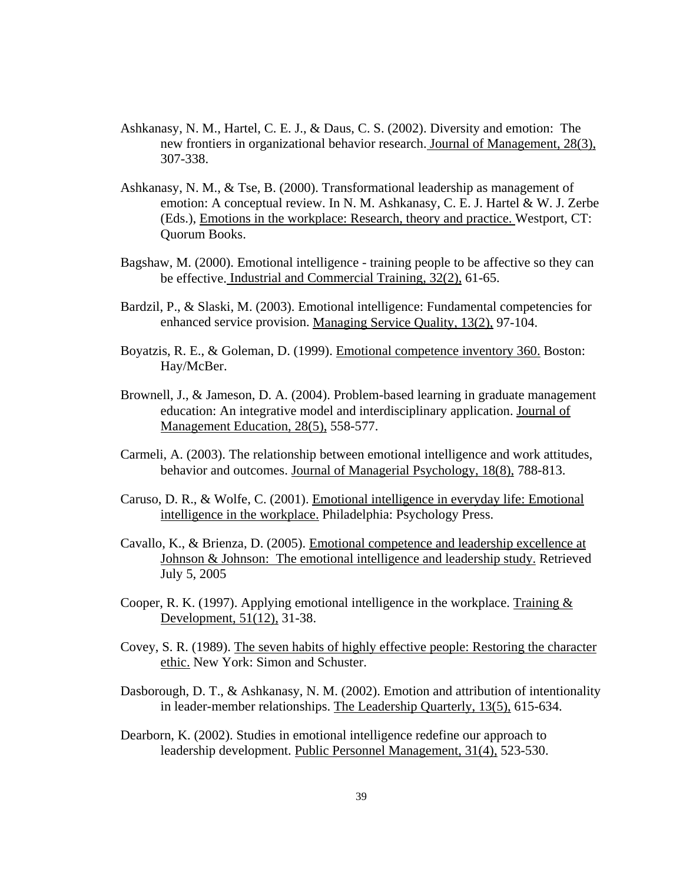- Ashkanasy, N. M., Hartel, C. E. J., & Daus, C. S. (2002). Diversity and emotion: The new frontiers in organizational behavior research. Journal of Management, 28(3), 307-338.
- Ashkanasy, N. M., & Tse, B. (2000). Transformational leadership as management of emotion: A conceptual review. In N. M. Ashkanasy, C. E. J. Hartel & W. J. Zerbe (Eds.), Emotions in the workplace: Research, theory and practice. Westport, CT: Quorum Books.
- Bagshaw, M. (2000). Emotional intelligence training people to be affective so they can be effective. Industrial and Commercial Training, 32(2), 61-65.
- Bardzil, P., & Slaski, M. (2003). Emotional intelligence: Fundamental competencies for enhanced service provision. Managing Service Quality, 13(2), 97-104.
- Boyatzis, R. E., & Goleman, D. (1999). Emotional competence inventory 360. Boston: Hay/McBer.
- Brownell, J., & Jameson, D. A. (2004). Problem-based learning in graduate management education: An integrative model and interdisciplinary application. Journal of Management Education, 28(5), 558-577.
- Carmeli, A. (2003). The relationship between emotional intelligence and work attitudes, behavior and outcomes. Journal of Managerial Psychology, 18(8), 788-813.
- Caruso, D. R., & Wolfe, C. (2001). Emotional intelligence in everyday life: Emotional intelligence in the workplace. Philadelphia: Psychology Press.
- Cavallo, K., & Brienza, D. (2005). Emotional competence and leadership excellence at Johnson & Johnson: The emotional intelligence and leadership study. Retrieved July 5, 2005
- Cooper, R. K. (1997). Applying emotional intelligence in the workplace. Training  $\&$ Development, 51(12), 31-38.
- Covey, S. R. (1989). The seven habits of highly effective people: Restoring the character ethic. New York: Simon and Schuster.
- Dasborough, D. T., & Ashkanasy, N. M. (2002). Emotion and attribution of intentionality in leader-member relationships. The Leadership Quarterly, 13(5), 615-634.
- Dearborn, K. (2002). Studies in emotional intelligence redefine our approach to leadership development. Public Personnel Management, 31(4), 523-530.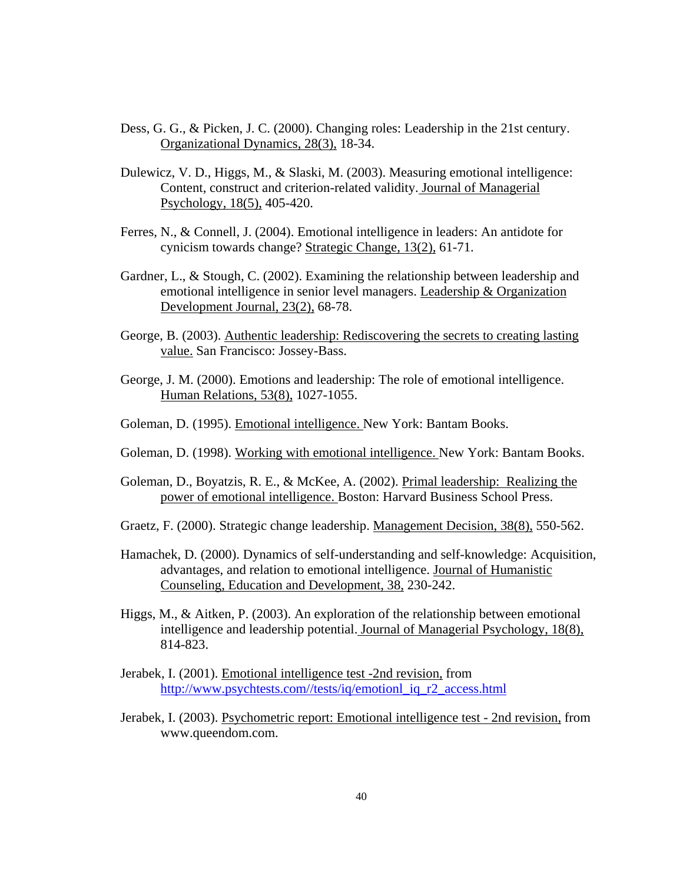- Dess, G. G., & Picken, J. C. (2000). Changing roles: Leadership in the 21st century. Organizational Dynamics, 28(3), 18-34.
- Dulewicz, V. D., Higgs, M., & Slaski, M. (2003). Measuring emotional intelligence: Content, construct and criterion-related validity. Journal of Managerial Psychology, 18(5), 405-420.
- Ferres, N., & Connell, J. (2004). Emotional intelligence in leaders: An antidote for cynicism towards change? Strategic Change, 13(2), 61-71.
- Gardner, L., & Stough, C. (2002). Examining the relationship between leadership and emotional intelligence in senior level managers. Leadership & Organization Development Journal, 23(2), 68-78.
- George, B. (2003). Authentic leadership: Rediscovering the secrets to creating lasting value. San Francisco: Jossey-Bass.
- George, J. M. (2000). Emotions and leadership: The role of emotional intelligence. Human Relations, 53(8), 1027-1055.
- Goleman, D. (1995). Emotional intelligence. New York: Bantam Books.
- Goleman, D. (1998). Working with emotional intelligence. New York: Bantam Books.
- Goleman, D., Boyatzis, R. E., & McKee, A. (2002). Primal leadership: Realizing the power of emotional intelligence. Boston: Harvard Business School Press.
- Graetz, F. (2000). Strategic change leadership. Management Decision, 38(8), 550-562.
- Hamachek, D. (2000). Dynamics of self-understanding and self-knowledge: Acquisition, advantages, and relation to emotional intelligence. Journal of Humanistic Counseling, Education and Development, 38, 230-242.
- Higgs, M., & Aitken, P. (2003). An exploration of the relationship between emotional intelligence and leadership potential. Journal of Managerial Psychology, 18(8), 814-823.
- Jerabek, I. (2001). Emotional intelligence test -2nd revision, from [http://www.psychtests.com//tests/iq/emotionl\\_iq\\_r2\\_access.html](http://www.psychtests.com//tests/iq/emotionl_iq_r2_access.html)
- Jerabek, I. (2003). Psychometric report: Emotional intelligence test 2nd revision, from www.queendom.com.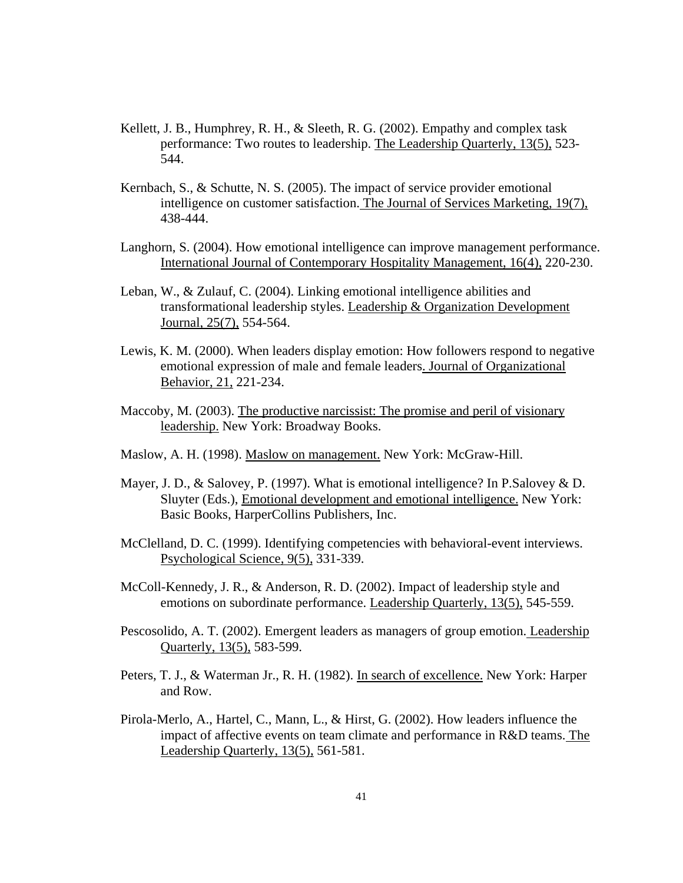- Kellett, J. B., Humphrey, R. H., & Sleeth, R. G. (2002). Empathy and complex task performance: Two routes to leadership. The Leadership Quarterly, 13(5), 523- 544.
- Kernbach, S., & Schutte, N. S. (2005). The impact of service provider emotional intelligence on customer satisfaction. The Journal of Services Marketing, 19(7), 438-444.
- Langhorn, S. (2004). How emotional intelligence can improve management performance. International Journal of Contemporary Hospitality Management, 16(4), 220-230.
- Leban, W., & Zulauf, C. (2004). Linking emotional intelligence abilities and transformational leadership styles. Leadership & Organization Development Journal, 25(7), 554-564.
- Lewis, K. M. (2000). When leaders display emotion: How followers respond to negative emotional expression of male and female leaders. Journal of Organizational Behavior, 21, 221-234.
- Maccoby, M. (2003). The productive narcissist: The promise and peril of visionary leadership. New York: Broadway Books.
- Maslow, A. H. (1998). Maslow on management. New York: McGraw-Hill.
- Mayer, J. D., & Salovey, P. (1997). What is emotional intelligence? In P. Salovey & D. Sluyter (Eds.), Emotional development and emotional intelligence. New York: Basic Books, HarperCollins Publishers, Inc.
- McClelland, D. C. (1999). Identifying competencies with behavioral-event interviews. Psychological Science, 9(5), 331-339.
- McColl-Kennedy, J. R., & Anderson, R. D. (2002). Impact of leadership style and emotions on subordinate performance. Leadership Quarterly, 13(5), 545-559.
- Pescosolido, A. T. (2002). Emergent leaders as managers of group emotion. Leadership Quarterly, 13(5), 583-599.
- Peters, T. J., & Waterman Jr., R. H. (1982). In search of excellence. New York: Harper and Row.
- Pirola-Merlo, A., Hartel, C., Mann, L., & Hirst, G. (2002). How leaders influence the impact of affective events on team climate and performance in R&D teams. The Leadership Quarterly, 13(5), 561-581.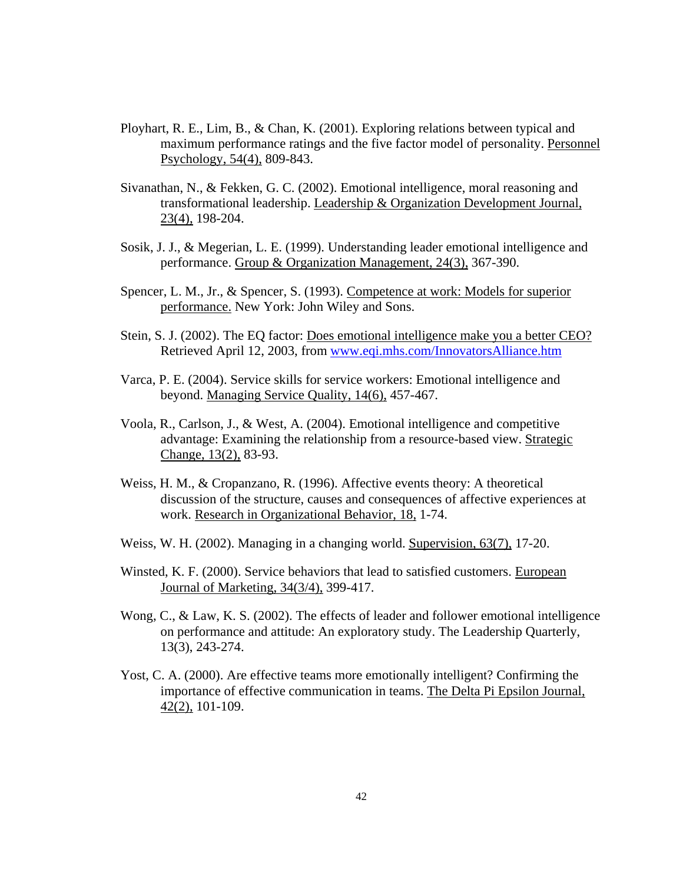- Ployhart, R. E., Lim, B., & Chan, K. (2001). Exploring relations between typical and maximum performance ratings and the five factor model of personality. Personnel Psychology, 54(4), 809-843.
- Sivanathan, N., & Fekken, G. C. (2002). Emotional intelligence, moral reasoning and transformational leadership. Leadership & Organization Development Journal, 23(4), 198-204.
- Sosik, J. J., & Megerian, L. E. (1999). Understanding leader emotional intelligence and performance. Group & Organization Management, 24(3), 367-390.
- Spencer, L. M., Jr., & Spencer, S. (1993). Competence at work: Models for superior performance. New York: John Wiley and Sons.
- Stein, S. J. (2002). The EQ factor: Does emotional intelligence make you a better CEO? Retrieved April 12, 2003, from [www.eqi.mhs.com/InnovatorsAlliance.htm](http://www.eqi.mhs.com/InnovatorsAlliance.htm)
- Varca, P. E. (2004). Service skills for service workers: Emotional intelligence and beyond. Managing Service Quality, 14(6), 457-467.
- Voola, R., Carlson, J., & West, A. (2004). Emotional intelligence and competitive advantage: Examining the relationship from a resource-based view. Strategic Change, 13(2), 83-93.
- Weiss, H. M., & Cropanzano, R. (1996). Affective events theory: A theoretical discussion of the structure, causes and consequences of affective experiences at work. Research in Organizational Behavior, 18, 1-74.
- Weiss, W. H. (2002). Managing in a changing world. Supervision, 63(7), 17-20.
- Winsted, K. F. (2000). Service behaviors that lead to satisfied customers. European Journal of Marketing, 34(3/4), 399-417.
- Wong, C., & Law, K. S. (2002). The effects of leader and follower emotional intelligence on performance and attitude: An exploratory study. The Leadership Quarterly, 13(3), 243-274.
- Yost, C. A. (2000). Are effective teams more emotionally intelligent? Confirming the importance of effective communication in teams. The Delta Pi Epsilon Journal, 42(2), 101-109.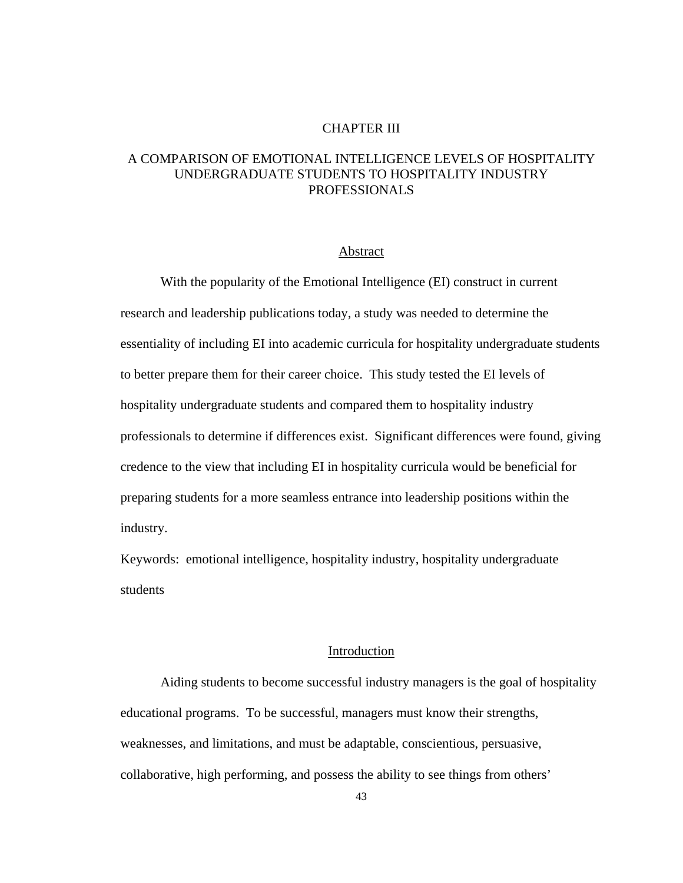# CHAPTER III

# A COMPARISON OF EMOTIONAL INTELLIGENCE LEVELS OF HOSPITALITY UNDERGRADUATE STUDENTS TO HOSPITALITY INDUSTRY PROFESSIONALS

## Abstract

With the popularity of the Emotional Intelligence (EI) construct in current research and leadership publications today, a study was needed to determine the essentiality of including EI into academic curricula for hospitality undergraduate students to better prepare them for their career choice. This study tested the EI levels of hospitality undergraduate students and compared them to hospitality industry professionals to determine if differences exist. Significant differences were found, giving credence to the view that including EI in hospitality curricula would be beneficial for preparing students for a more seamless entrance into leadership positions within the industry.

Keywords: emotional intelligence, hospitality industry, hospitality undergraduate students

#### Introduction

 Aiding students to become successful industry managers is the goal of hospitality educational programs. To be successful, managers must know their strengths, weaknesses, and limitations, and must be adaptable, conscientious, persuasive, collaborative, high performing, and possess the ability to see things from others'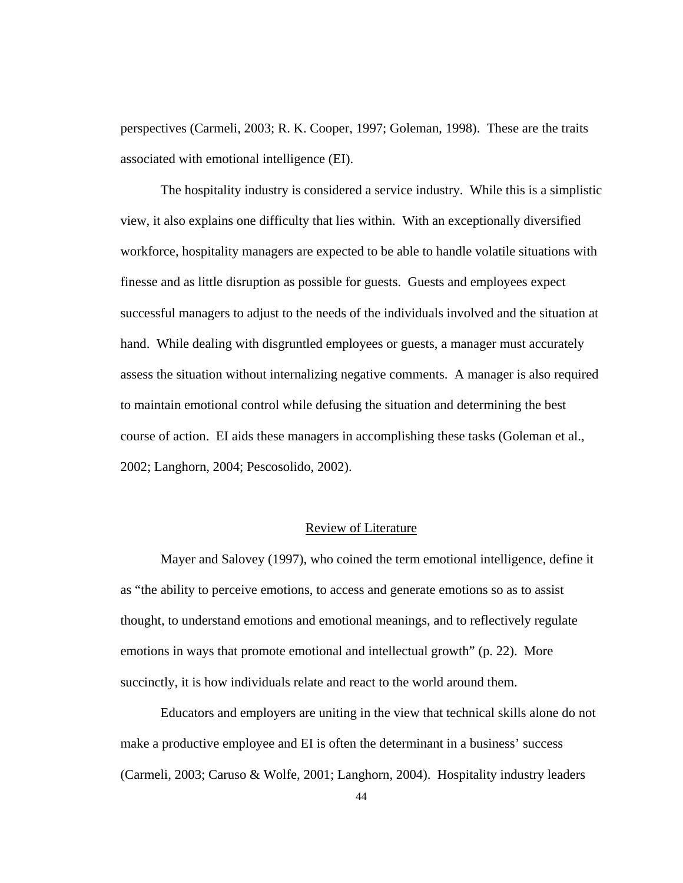perspectives (Carmeli, 2003; R. K. Cooper, 1997; Goleman, 1998). These are the traits associated with emotional intelligence (EI).

The hospitality industry is considered a service industry. While this is a simplistic view, it also explains one difficulty that lies within. With an exceptionally diversified workforce, hospitality managers are expected to be able to handle volatile situations with finesse and as little disruption as possible for guests. Guests and employees expect successful managers to adjust to the needs of the individuals involved and the situation at hand. While dealing with disgruntled employees or guests, a manager must accurately assess the situation without internalizing negative comments. A manager is also required to maintain emotional control while defusing the situation and determining the best course of action. EI aids these managers in accomplishing these tasks (Goleman et al., 2002; Langhorn, 2004; Pescosolido, 2002).

## Review of Literature

 Mayer and Salovey (1997), who coined the term emotional intelligence, define it as "the ability to perceive emotions, to access and generate emotions so as to assist thought, to understand emotions and emotional meanings, and to reflectively regulate emotions in ways that promote emotional and intellectual growth" (p. 22). More succinctly, it is how individuals relate and react to the world around them.

Educators and employers are uniting in the view that technical skills alone do not make a productive employee and EI is often the determinant in a business' success (Carmeli, 2003; Caruso & Wolfe, 2001; Langhorn, 2004). Hospitality industry leaders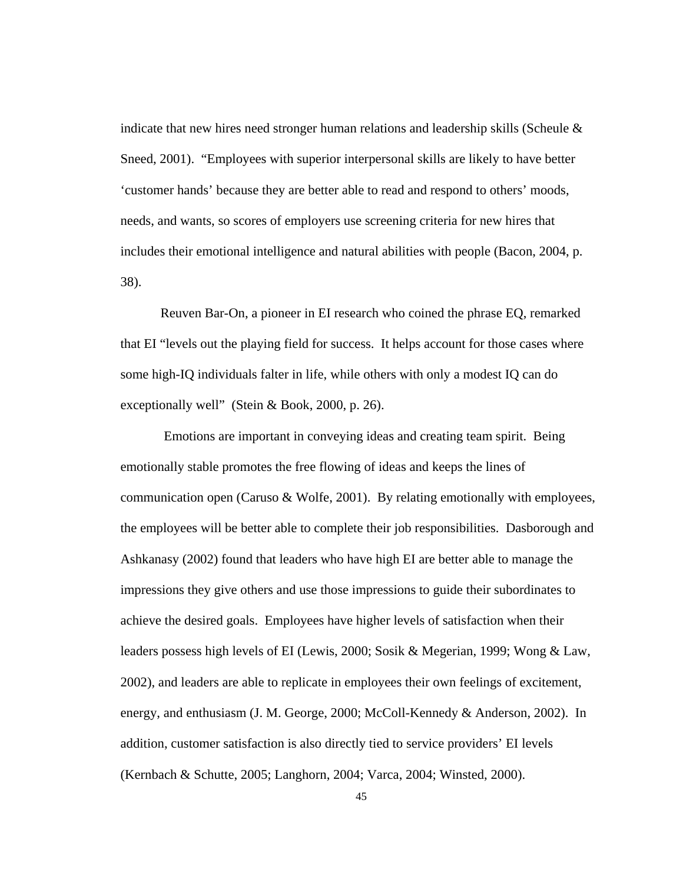indicate that new hires need stronger human relations and leadership skills (Scheule & Sneed, 2001). "Employees with superior interpersonal skills are likely to have better 'customer hands' because they are better able to read and respond to others' moods, needs, and wants, so scores of employers use screening criteria for new hires that includes their emotional intelligence and natural abilities with people (Bacon, 2004, p. 38).

Reuven Bar-On, a pioneer in EI research who coined the phrase EQ, remarked that EI "levels out the playing field for success. It helps account for those cases where some high-IQ individuals falter in life, while others with only a modest IQ can do exceptionally well" (Stein & Book, 2000, p. 26).

 Emotions are important in conveying ideas and creating team spirit. Being emotionally stable promotes the free flowing of ideas and keeps the lines of communication open (Caruso & Wolfe, 2001). By relating emotionally with employees, the employees will be better able to complete their job responsibilities. Dasborough and Ashkanasy (2002) found that leaders who have high EI are better able to manage the impressions they give others and use those impressions to guide their subordinates to achieve the desired goals. Employees have higher levels of satisfaction when their leaders possess high levels of EI (Lewis, 2000; Sosik & Megerian, 1999; Wong & Law, 2002), and leaders are able to replicate in employees their own feelings of excitement, energy, and enthusiasm (J. M. George, 2000; McColl-Kennedy & Anderson, 2002). In addition, customer satisfaction is also directly tied to service providers' EI levels (Kernbach & Schutte, 2005; Langhorn, 2004; Varca, 2004; Winsted, 2000).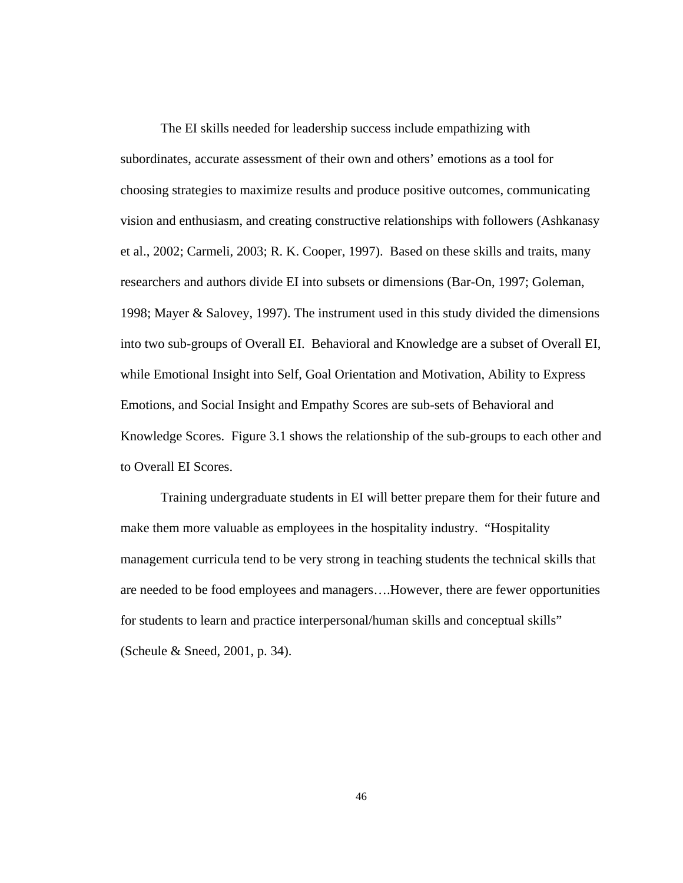The EI skills needed for leadership success include empathizing with subordinates, accurate assessment of their own and others' emotions as a tool for choosing strategies to maximize results and produce positive outcomes, communicating vision and enthusiasm, and creating constructive relationships with followers (Ashkanasy et al., 2002; Carmeli, 2003; R. K. Cooper, 1997). Based on these skills and traits, many researchers and authors divide EI into subsets or dimensions (Bar-On, 1997; Goleman, 1998; Mayer & Salovey, 1997). The instrument used in this study divided the dimensions into two sub-groups of Overall EI. Behavioral and Knowledge are a subset of Overall EI, while Emotional Insight into Self, Goal Orientation and Motivation, Ability to Express Emotions, and Social Insight and Empathy Scores are sub-sets of Behavioral and Knowledge Scores. Figure 3.1 shows the relationship of the sub-groups to each other and to Overall EI Scores.

Training undergraduate students in EI will better prepare them for their future and make them more valuable as employees in the hospitality industry. "Hospitality management curricula tend to be very strong in teaching students the technical skills that are needed to be food employees and managers….However, there are fewer opportunities for students to learn and practice interpersonal/human skills and conceptual skills" (Scheule & Sneed, 2001, p. 34).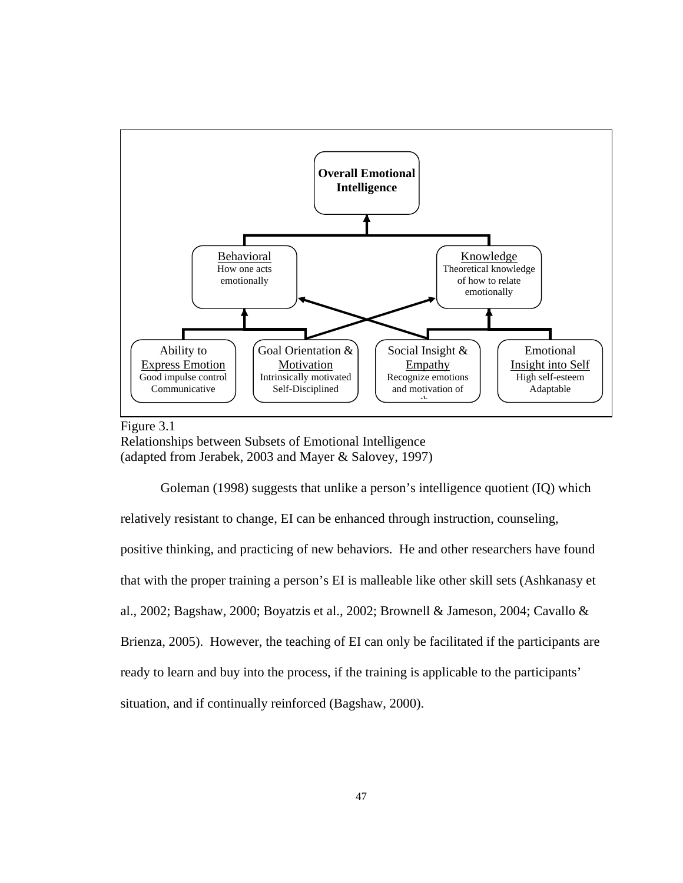

Figure 3.1 Relationships between Subsets of Emotional Intelligence (adapted from Jerabek, 2003 and Mayer & Salovey, 1997)

 Goleman (1998) suggests that unlike a person's intelligence quotient (IQ) which relatively resistant to change, EI can be enhanced through instruction, counseling, positive thinking, and practicing of new behaviors. He and other researchers have found that with the proper training a person's EI is malleable like other skill sets (Ashkanasy et al., 2002; Bagshaw, 2000; Boyatzis et al., 2002; Brownell & Jameson, 2004; Cavallo & Brienza, 2005). However, the teaching of EI can only be facilitated if the participants are ready to learn and buy into the process, if the training is applicable to the participants' situation, and if continually reinforced (Bagshaw, 2000).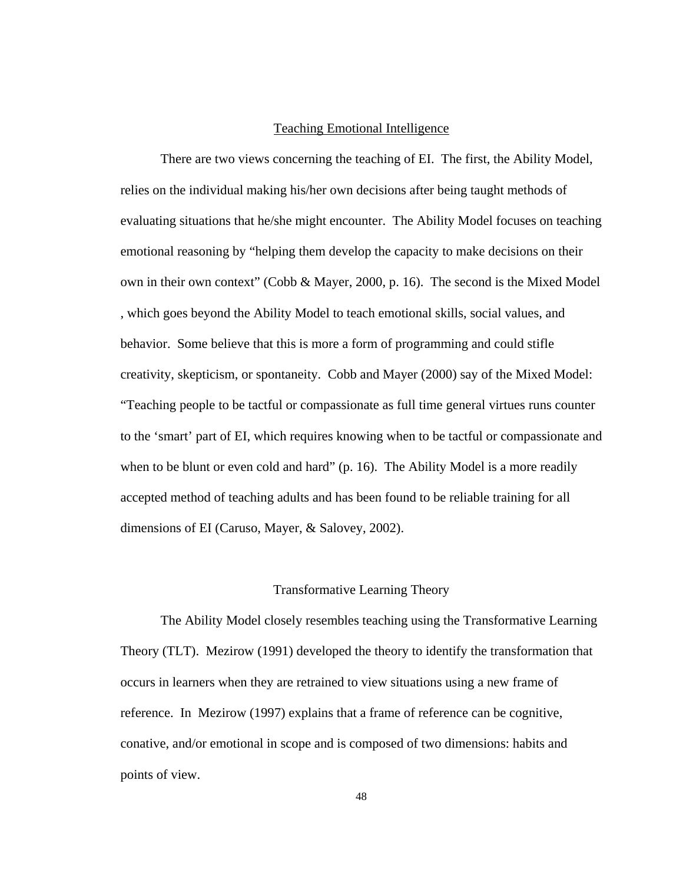## Teaching Emotional Intelligence

There are two views concerning the teaching of EI. The first, the Ability Model, relies on the individual making his/her own decisions after being taught methods of evaluating situations that he/she might encounter. The Ability Model focuses on teaching emotional reasoning by "helping them develop the capacity to make decisions on their own in their own context" (Cobb & Mayer, 2000, p. 16). The second is the Mixed Model , which goes beyond the Ability Model to teach emotional skills, social values, and behavior. Some believe that this is more a form of programming and could stifle creativity, skepticism, or spontaneity. Cobb and Mayer (2000) say of the Mixed Model: "Teaching people to be tactful or compassionate as full time general virtues runs counter to the 'smart' part of EI, which requires knowing when to be tactful or compassionate and when to be blunt or even cold and hard" (p. 16). The Ability Model is a more readily accepted method of teaching adults and has been found to be reliable training for all dimensions of EI (Caruso, Mayer, & Salovey, 2002).

#### Transformative Learning Theory

The Ability Model closely resembles teaching using the Transformative Learning Theory (TLT). Mezirow (1991) developed the theory to identify the transformation that occurs in learners when they are retrained to view situations using a new frame of reference. In Mezirow (1997) explains that a frame of reference can be cognitive, conative, and/or emotional in scope and is composed of two dimensions: habits and points of view.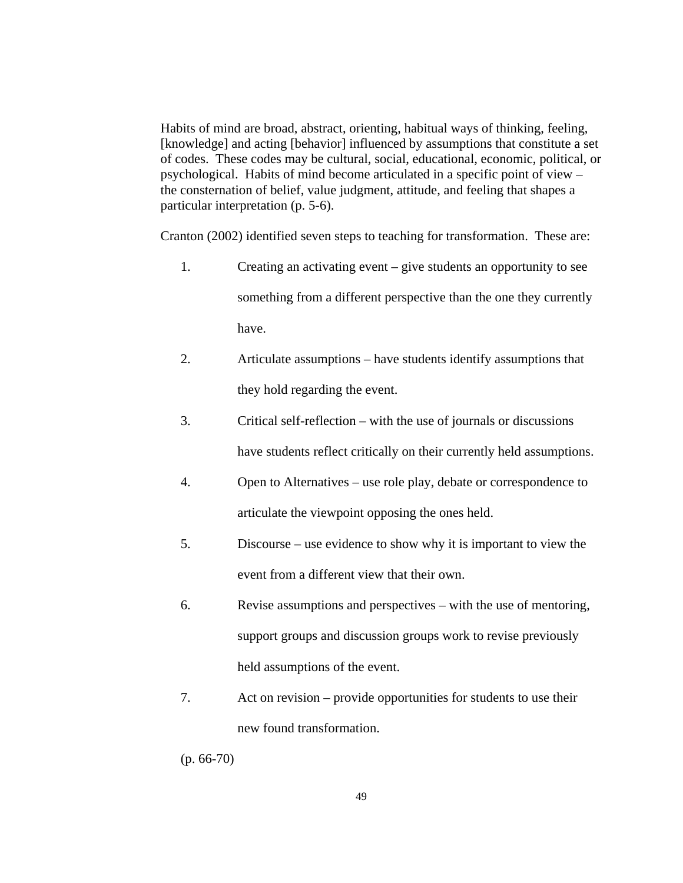Habits of mind are broad, abstract, orienting, habitual ways of thinking, feeling, [knowledge] and acting [behavior] influenced by assumptions that constitute a set of codes. These codes may be cultural, social, educational, economic, political, or psychological. Habits of mind become articulated in a specific point of view – the consternation of belief, value judgment, attitude, and feeling that shapes a particular interpretation (p. 5-6).

Cranton (2002) identified seven steps to teaching for transformation. These are:

- 1. Creating an activating event give students an opportunity to see something from a different perspective than the one they currently have.
- 2. Articulate assumptions have students identify assumptions that they hold regarding the event.
- 3. Critical self-reflection with the use of journals or discussions have students reflect critically on their currently held assumptions.
- 4. Open to Alternatives use role play, debate or correspondence to articulate the viewpoint opposing the ones held.
- 5. Discourse use evidence to show why it is important to view the event from a different view that their own.
- 6. Revise assumptions and perspectives with the use of mentoring, support groups and discussion groups work to revise previously held assumptions of the event.
- 7. Act on revision provide opportunities for students to use their new found transformation.

(p. 66-70)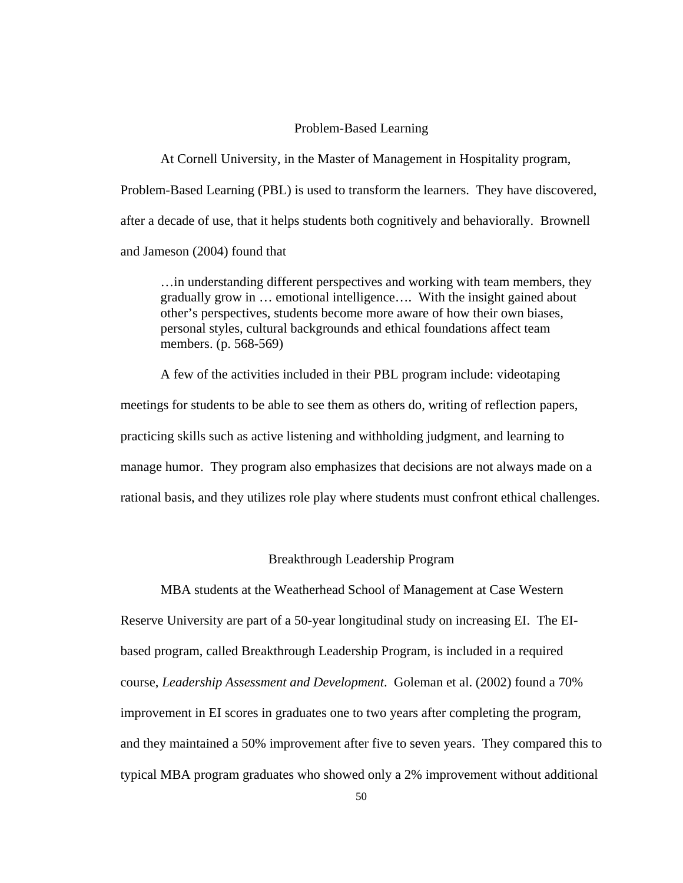#### Problem-Based Learning

At Cornell University, in the Master of Management in Hospitality program, Problem-Based Learning (PBL) is used to transform the learners. They have discovered, after a decade of use, that it helps students both cognitively and behaviorally. Brownell and Jameson (2004) found that

…in understanding different perspectives and working with team members, they gradually grow in … emotional intelligence…. With the insight gained about other's perspectives, students become more aware of how their own biases, personal styles, cultural backgrounds and ethical foundations affect team members. (p. 568-569)

 A few of the activities included in their PBL program include: videotaping meetings for students to be able to see them as others do, writing of reflection papers, practicing skills such as active listening and withholding judgment, and learning to manage humor. They program also emphasizes that decisions are not always made on a rational basis, and they utilizes role play where students must confront ethical challenges.

#### Breakthrough Leadership Program

MBA students at the Weatherhead School of Management at Case Western Reserve University are part of a 50-year longitudinal study on increasing EI. The EIbased program, called Breakthrough Leadership Program, is included in a required course, *Leadership Assessment and Development*. Goleman et al. (2002) found a 70% improvement in EI scores in graduates one to two years after completing the program, and they maintained a 50% improvement after five to seven years. They compared this to typical MBA program graduates who showed only a 2% improvement without additional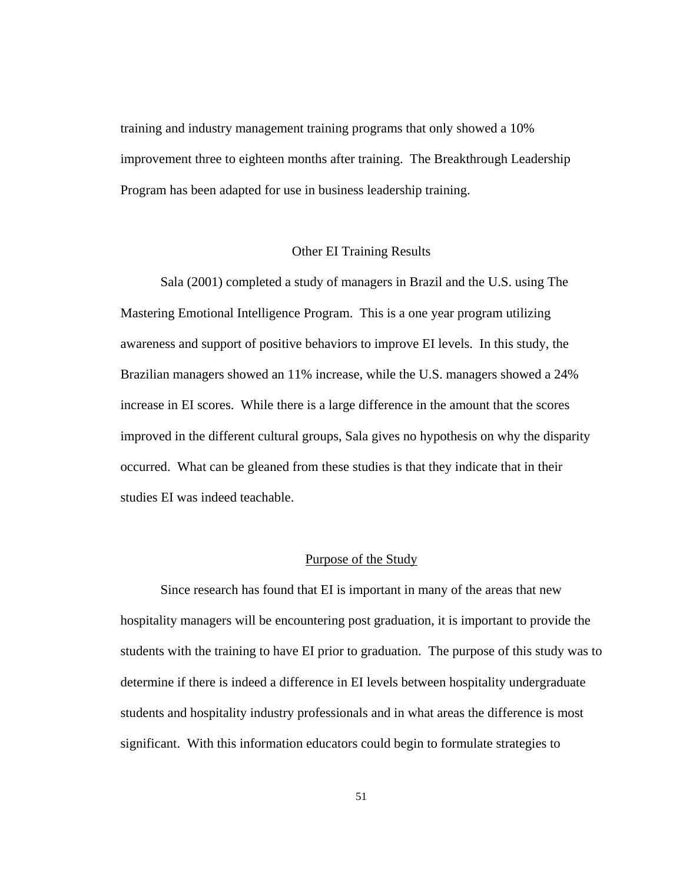training and industry management training programs that only showed a 10% improvement three to eighteen months after training. The Breakthrough Leadership Program has been adapted for use in business leadership training.

#### Other EI Training Results

Sala (2001) completed a study of managers in Brazil and the U.S. using The Mastering Emotional Intelligence Program. This is a one year program utilizing awareness and support of positive behaviors to improve EI levels. In this study, the Brazilian managers showed an 11% increase, while the U.S. managers showed a 24% increase in EI scores. While there is a large difference in the amount that the scores improved in the different cultural groups, Sala gives no hypothesis on why the disparity occurred. What can be gleaned from these studies is that they indicate that in their studies EI was indeed teachable.

#### Purpose of the Study

Since research has found that EI is important in many of the areas that new hospitality managers will be encountering post graduation, it is important to provide the students with the training to have EI prior to graduation. The purpose of this study was to determine if there is indeed a difference in EI levels between hospitality undergraduate students and hospitality industry professionals and in what areas the difference is most significant. With this information educators could begin to formulate strategies to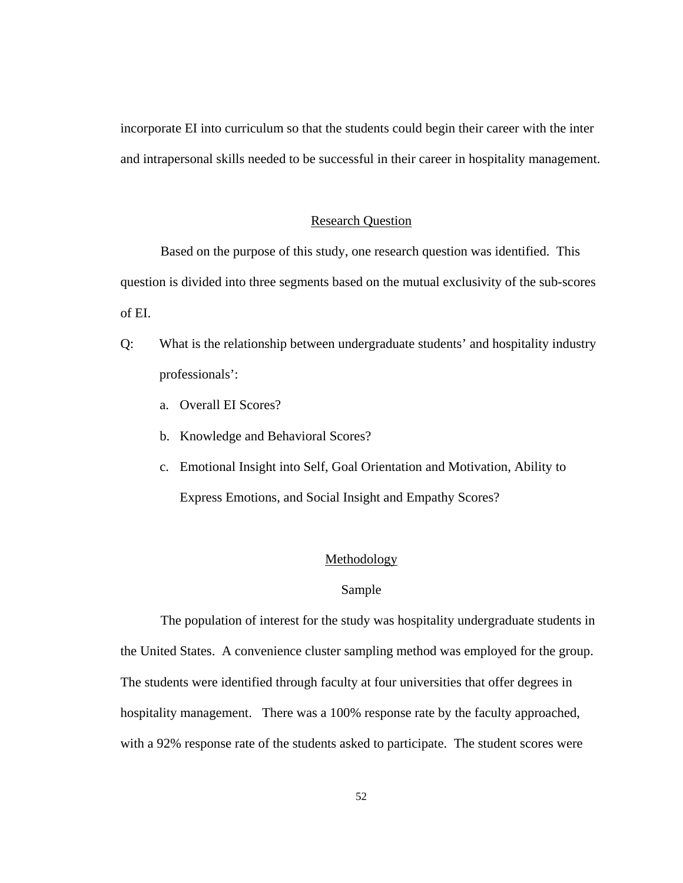incorporate EI into curriculum so that the students could begin their career with the inter and intrapersonal skills needed to be successful in their career in hospitality management.

#### Research Question

Based on the purpose of this study, one research question was identified. This question is divided into three segments based on the mutual exclusivity of the sub-scores of EI.

- Q: What is the relationship between undergraduate students' and hospitality industry professionals':
	- a. Overall EI Scores?
	- b. Knowledge and Behavioral Scores?
	- c. Emotional Insight into Self, Goal Orientation and Motivation, Ability to Express Emotions, and Social Insight and Empathy Scores?

# Methodology

#### Sample

The population of interest for the study was hospitality undergraduate students in the United States. A convenience cluster sampling method was employed for the group. The students were identified through faculty at four universities that offer degrees in hospitality management. There was a 100% response rate by the faculty approached, with a 92% response rate of the students asked to participate. The student scores were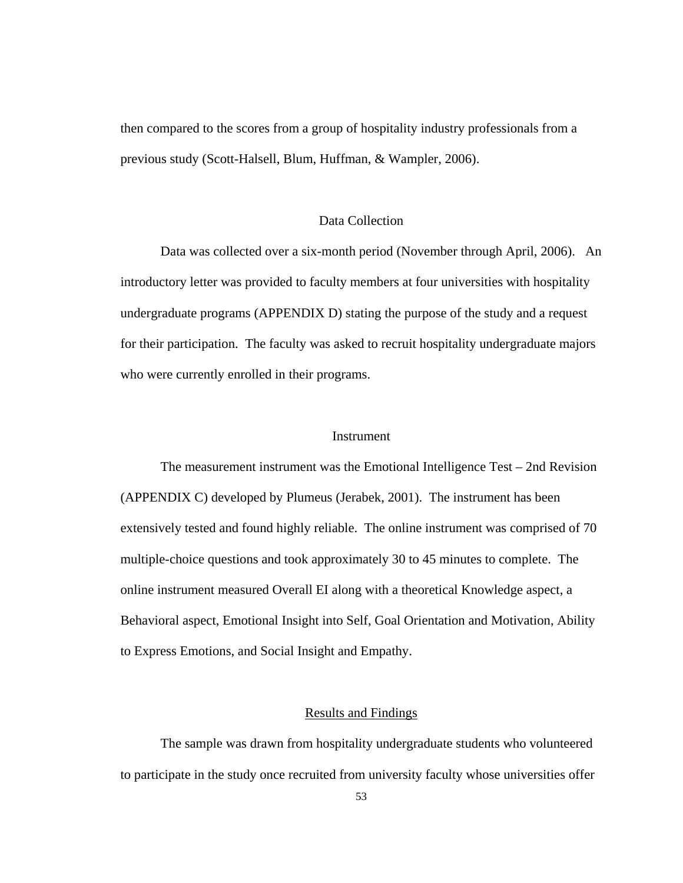then compared to the scores from a group of hospitality industry professionals from a previous study (Scott-Halsell, Blum, Huffman, & Wampler, 2006).

# Data Collection

Data was collected over a six-month period (November through April, 2006). An introductory letter was provided to faculty members at four universities with hospitality undergraduate programs (APPENDIX D) stating the purpose of the study and a request for their participation. The faculty was asked to recruit hospitality undergraduate majors who were currently enrolled in their programs.

#### Instrument

 The measurement instrument was the Emotional Intelligence Test – 2nd Revision (APPENDIX C) developed by Plumeus (Jerabek, 2001). The instrument has been extensively tested and found highly reliable. The online instrument was comprised of 70 multiple-choice questions and took approximately 30 to 45 minutes to complete. The online instrument measured Overall EI along with a theoretical Knowledge aspect, a Behavioral aspect, Emotional Insight into Self, Goal Orientation and Motivation, Ability to Express Emotions, and Social Insight and Empathy.

#### Results and Findings

The sample was drawn from hospitality undergraduate students who volunteered to participate in the study once recruited from university faculty whose universities offer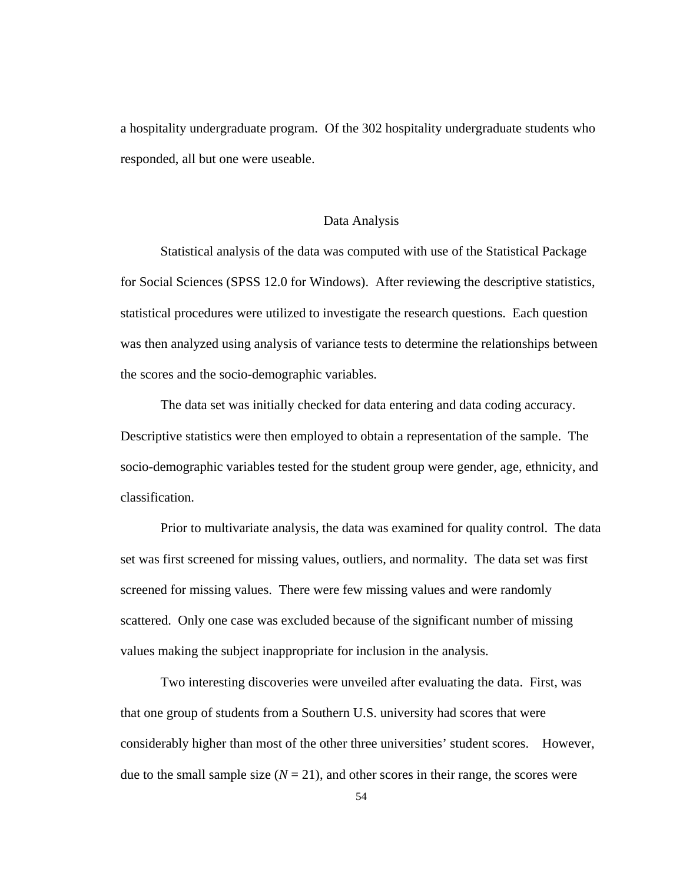a hospitality undergraduate program. Of the 302 hospitality undergraduate students who responded, all but one were useable.

## Data Analysis

Statistical analysis of the data was computed with use of the Statistical Package for Social Sciences (SPSS 12.0 for Windows). After reviewing the descriptive statistics, statistical procedures were utilized to investigate the research questions. Each question was then analyzed using analysis of variance tests to determine the relationships between the scores and the socio-demographic variables.

The data set was initially checked for data entering and data coding accuracy. Descriptive statistics were then employed to obtain a representation of the sample. The socio-demographic variables tested for the student group were gender, age, ethnicity, and classification.

 Prior to multivariate analysis, the data was examined for quality control. The data set was first screened for missing values, outliers, and normality. The data set was first screened for missing values. There were few missing values and were randomly scattered. Only one case was excluded because of the significant number of missing values making the subject inappropriate for inclusion in the analysis.

 Two interesting discoveries were unveiled after evaluating the data. First, was that one group of students from a Southern U.S. university had scores that were considerably higher than most of the other three universities' student scores. However, due to the small sample size  $(N = 21)$ , and other scores in their range, the scores were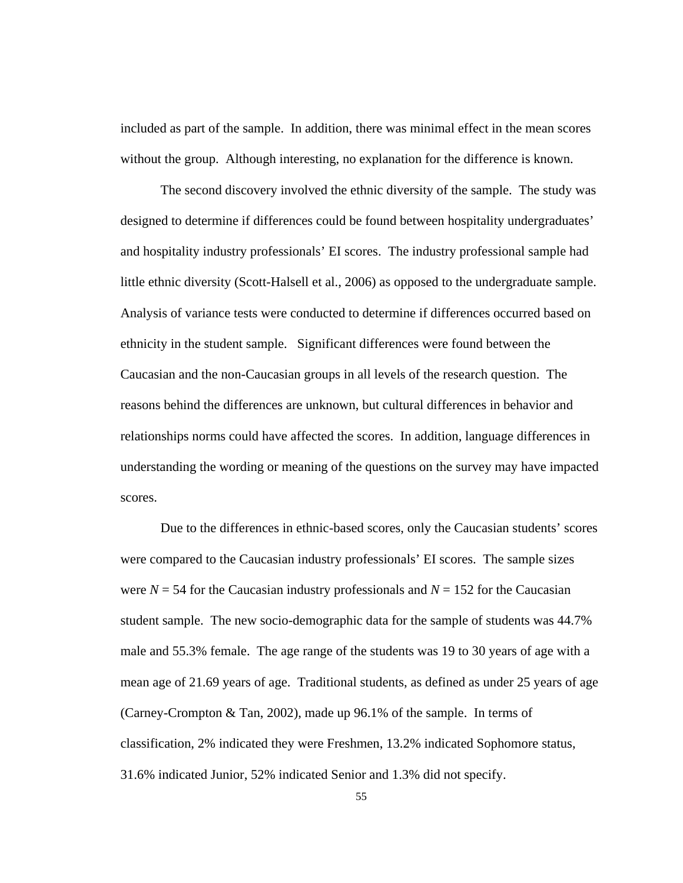included as part of the sample. In addition, there was minimal effect in the mean scores without the group. Although interesting, no explanation for the difference is known.

 The second discovery involved the ethnic diversity of the sample. The study was designed to determine if differences could be found between hospitality undergraduates' and hospitality industry professionals' EI scores. The industry professional sample had little ethnic diversity (Scott-Halsell et al., 2006) as opposed to the undergraduate sample. Analysis of variance tests were conducted to determine if differences occurred based on ethnicity in the student sample. Significant differences were found between the Caucasian and the non-Caucasian groups in all levels of the research question. The reasons behind the differences are unknown, but cultural differences in behavior and relationships norms could have affected the scores. In addition, language differences in understanding the wording or meaning of the questions on the survey may have impacted scores.

 Due to the differences in ethnic-based scores, only the Caucasian students' scores were compared to the Caucasian industry professionals' EI scores. The sample sizes were  $N = 54$  for the Caucasian industry professionals and  $N = 152$  for the Caucasian student sample. The new socio-demographic data for the sample of students was 44.7% male and 55.3% female. The age range of the students was 19 to 30 years of age with a mean age of 21.69 years of age. Traditional students, as defined as under 25 years of age (Carney-Crompton & Tan, 2002), made up 96.1% of the sample. In terms of classification, 2% indicated they were Freshmen, 13.2% indicated Sophomore status, 31.6% indicated Junior, 52% indicated Senior and 1.3% did not specify.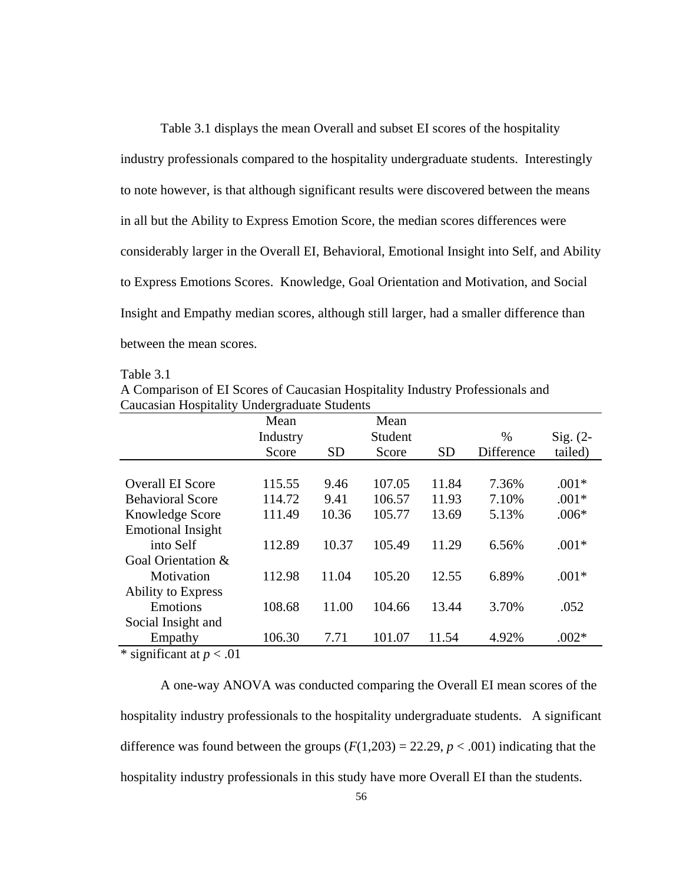Table 3.1 displays the mean Overall and subset EI scores of the hospitality industry professionals compared to the hospitality undergraduate students. Interestingly to note however, is that although significant results were discovered between the means in all but the Ability to Express Emotion Score, the median scores differences were considerably larger in the Overall EI, Behavioral, Emotional Insight into Self, and Ability to Express Emotions Scores. Knowledge, Goal Orientation and Motivation, and Social Insight and Empathy median scores, although still larger, had a smaller difference than between the mean scores.

Table 3.1

A Comparison of EI Scores of Caucasian Hospitality Industry Professionals and Caucasian Hospitality Undergraduate Students

|                                  | Mean     |           | Mean    |           |            |            |
|----------------------------------|----------|-----------|---------|-----------|------------|------------|
|                                  | Industry |           | Student |           | $\%$       | $Sig. (2-$ |
|                                  | Score    | <b>SD</b> | Score   | <b>SD</b> | Difference | tailed)    |
|                                  |          |           |         |           |            |            |
| <b>Overall EI Score</b>          | 115.55   | 9.46      | 107.05  | 11.84     | 7.36%      | $.001*$    |
| <b>Behavioral Score</b>          | 114.72   | 9.41      | 106.57  | 11.93     | 7.10%      | $.001*$    |
| Knowledge Score                  | 111.49   | 10.36     | 105.77  | 13.69     | 5.13%      | $.006*$    |
| <b>Emotional Insight</b>         |          |           |         |           |            |            |
| into Self                        | 112.89   | 10.37     | 105.49  | 11.29     | 6.56%      | $.001*$    |
| Goal Orientation &               |          |           |         |           |            |            |
| Motivation                       | 112.98   | 11.04     | 105.20  | 12.55     | 6.89%      | $.001*$    |
| <b>Ability to Express</b>        |          |           |         |           |            |            |
| Emotions                         | 108.68   | 11.00     | 104.66  | 13.44     | 3.70%      | .052       |
| Social Insight and               |          |           |         |           |            |            |
| Empathy                          | 106.30   | 7.71      | 101.07  | 11.54     | 4.92%      | $.002*$    |
| $*$ cionificant at $n \times 01$ |          |           |         |           |            |            |

\* significant at *p* < .01

 A one-way ANOVA was conducted comparing the Overall EI mean scores of the hospitality industry professionals to the hospitality undergraduate students. A significant difference was found between the groups  $(F(1,203) = 22.29, p < .001)$  indicating that the hospitality industry professionals in this study have more Overall EI than the students.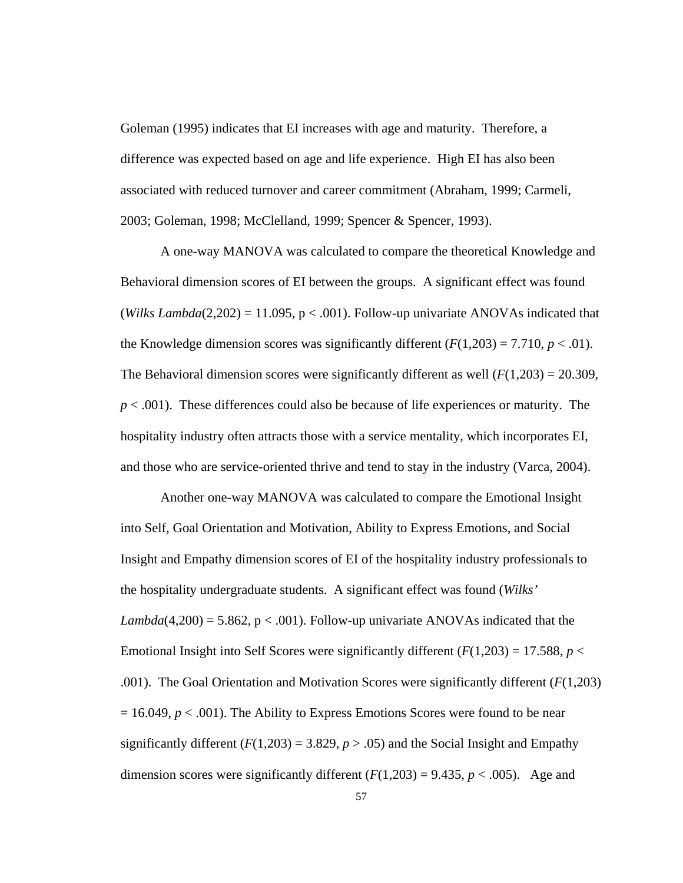Goleman (1995) indicates that EI increases with age and maturity. Therefore, a difference was expected based on age and life experience. High EI has also been associated with reduced turnover and career commitment (Abraham, 1999; Carmeli, 2003; Goleman, 1998; McClelland, 1999; Spencer & Spencer, 1993).

 A one-way MANOVA was calculated to compare the theoretical Knowledge and Behavioral dimension scores of EI between the groups. A significant effect was found (*Wilks Lambda*( $2,202$ ) = 11.095, p < .001). Follow-up univariate ANOVAs indicated that the Knowledge dimension scores was significantly different  $(F(1,203) = 7.710, p < .01)$ . The Behavioral dimension scores were significantly different as well  $(F(1,203) = 20.309$ , *p* < .001). These differences could also be because of life experiences or maturity. The hospitality industry often attracts those with a service mentality, which incorporates EI, and those who are service-oriented thrive and tend to stay in the industry (Varca, 2004).

 Another one-way MANOVA was calculated to compare the Emotional Insight into Self, Goal Orientation and Motivation, Ability to Express Emotions, and Social Insight and Empathy dimension scores of EI of the hospitality industry professionals to the hospitality undergraduate students. A significant effect was found (*Wilks' Lambda*(4,200) = 5.862,  $p < .001$ ). Follow-up univariate ANOVAs indicated that the Emotional Insight into Self Scores were significantly different  $(F(1,203) = 17.588, p <$ .001). The Goal Orientation and Motivation Scores were significantly different (*F*(1,203)  $= 16.049, p < .001$ ). The Ability to Express Emotions Scores were found to be near significantly different  $(F(1,203) = 3.829, p > .05)$  and the Social Insight and Empathy dimension scores were significantly different  $(F(1,203) = 9.435, p < .005)$ . Age and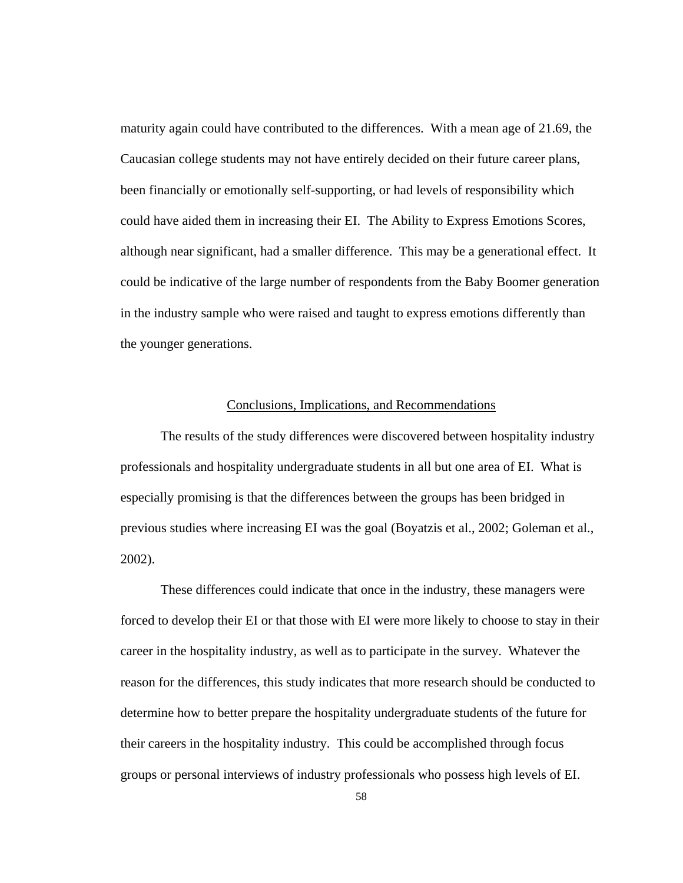maturity again could have contributed to the differences. With a mean age of 21.69, the Caucasian college students may not have entirely decided on their future career plans, been financially or emotionally self-supporting, or had levels of responsibility which could have aided them in increasing their EI. The Ability to Express Emotions Scores, although near significant, had a smaller difference. This may be a generational effect. It could be indicative of the large number of respondents from the Baby Boomer generation in the industry sample who were raised and taught to express emotions differently than the younger generations.

#### Conclusions, Implications, and Recommendations

 The results of the study differences were discovered between hospitality industry professionals and hospitality undergraduate students in all but one area of EI. What is especially promising is that the differences between the groups has been bridged in previous studies where increasing EI was the goal (Boyatzis et al., 2002; Goleman et al., 2002).

 These differences could indicate that once in the industry, these managers were forced to develop their EI or that those with EI were more likely to choose to stay in their career in the hospitality industry, as well as to participate in the survey. Whatever the reason for the differences, this study indicates that more research should be conducted to determine how to better prepare the hospitality undergraduate students of the future for their careers in the hospitality industry. This could be accomplished through focus groups or personal interviews of industry professionals who possess high levels of EI.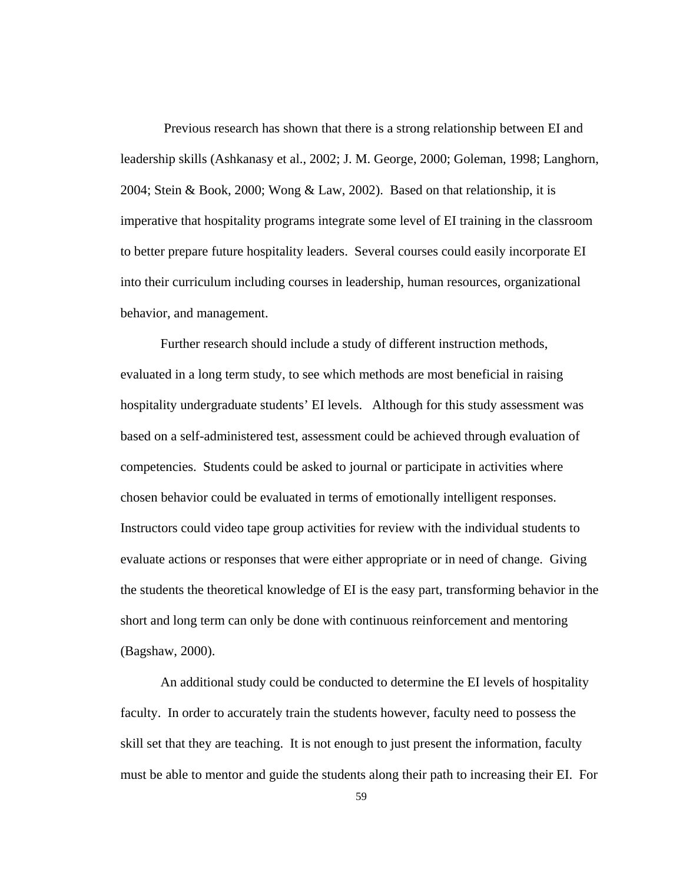Previous research has shown that there is a strong relationship between EI and leadership skills (Ashkanasy et al., 2002; J. M. George, 2000; Goleman, 1998; Langhorn, 2004; Stein & Book, 2000; Wong & Law, 2002). Based on that relationship, it is imperative that hospitality programs integrate some level of EI training in the classroom to better prepare future hospitality leaders. Several courses could easily incorporate EI into their curriculum including courses in leadership, human resources, organizational behavior, and management.

 Further research should include a study of different instruction methods, evaluated in a long term study, to see which methods are most beneficial in raising hospitality undergraduate students' EI levels. Although for this study assessment was based on a self-administered test, assessment could be achieved through evaluation of competencies. Students could be asked to journal or participate in activities where chosen behavior could be evaluated in terms of emotionally intelligent responses. Instructors could video tape group activities for review with the individual students to evaluate actions or responses that were either appropriate or in need of change. Giving the students the theoretical knowledge of EI is the easy part, transforming behavior in the short and long term can only be done with continuous reinforcement and mentoring (Bagshaw, 2000).

 An additional study could be conducted to determine the EI levels of hospitality faculty. In order to accurately train the students however, faculty need to possess the skill set that they are teaching. It is not enough to just present the information, faculty must be able to mentor and guide the students along their path to increasing their EI. For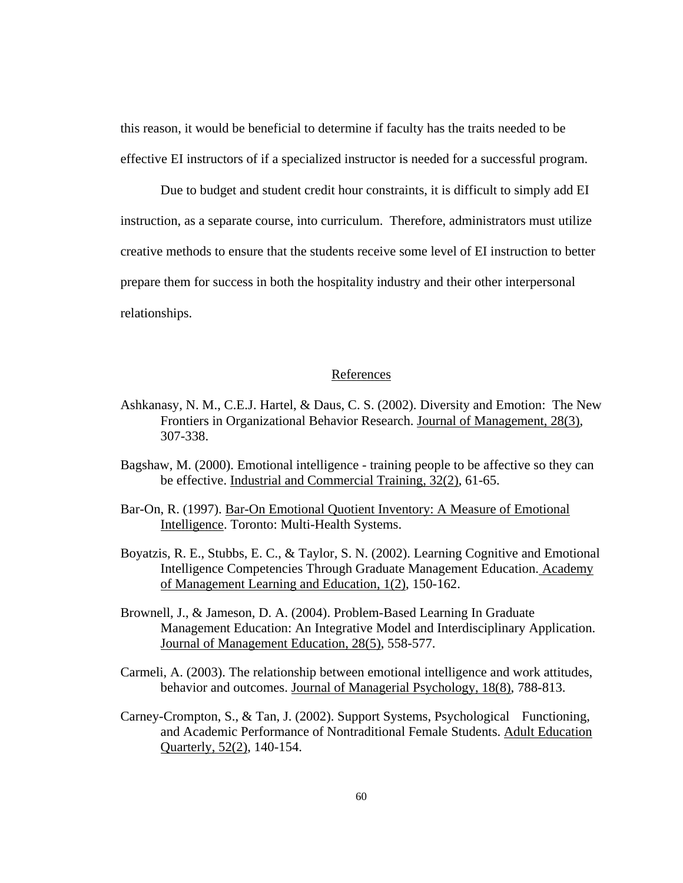this reason, it would be beneficial to determine if faculty has the traits needed to be effective EI instructors of if a specialized instructor is needed for a successful program.

 Due to budget and student credit hour constraints, it is difficult to simply add EI instruction, as a separate course, into curriculum. Therefore, administrators must utilize creative methods to ensure that the students receive some level of EI instruction to better prepare them for success in both the hospitality industry and their other interpersonal relationships.

# References

- Ashkanasy, N. M., C.E.J. Hartel, & Daus, C. S. (2002). Diversity and Emotion: The New Frontiers in Organizational Behavior Research. Journal of Management, 28(3), 307-338.
- Bagshaw, M. (2000). Emotional intelligence training people to be affective so they can be effective. Industrial and Commercial Training, 32(2), 61-65.
- Bar-On, R. (1997). Bar-On Emotional Quotient Inventory: A Measure of Emotional Intelligence. Toronto: Multi-Health Systems.
- Boyatzis, R. E., Stubbs, E. C., & Taylor, S. N. (2002). Learning Cognitive and Emotional Intelligence Competencies Through Graduate Management Education. Academy of Management Learning and Education, 1(2), 150-162.
- Brownell, J., & Jameson, D. A. (2004). Problem-Based Learning In Graduate Management Education: An Integrative Model and Interdisciplinary Application. Journal of Management Education, 28(5), 558-577.
- Carmeli, A. (2003). The relationship between emotional intelligence and work attitudes, behavior and outcomes. Journal of Managerial Psychology, 18(8), 788-813.
- Carney-Crompton, S., & Tan, J. (2002). Support Systems, Psychological Functioning, and Academic Performance of Nontraditional Female Students. Adult Education Quarterly, 52(2), 140-154.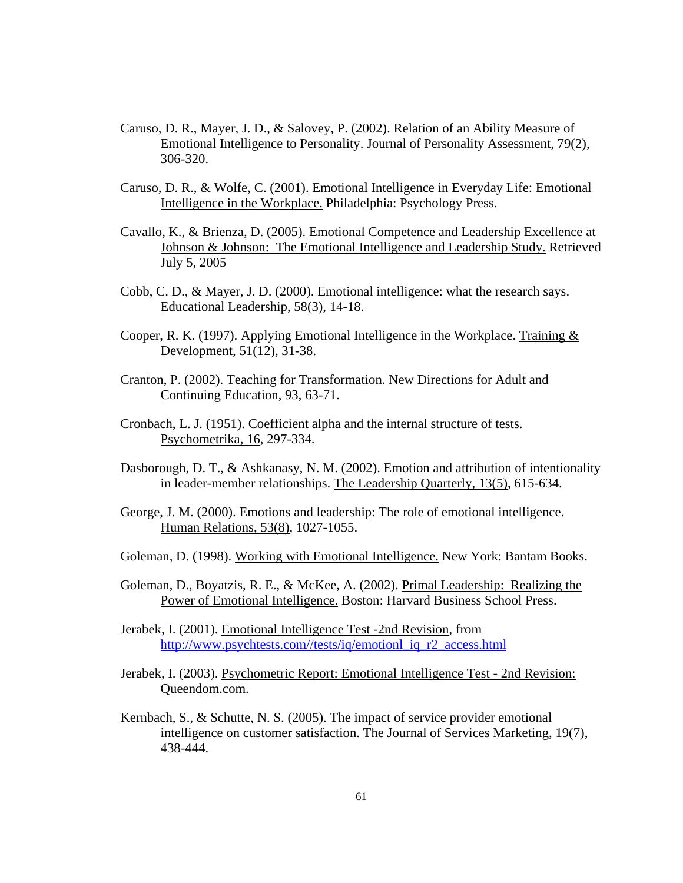- Caruso, D. R., Mayer, J. D., & Salovey, P. (2002). Relation of an Ability Measure of Emotional Intelligence to Personality. Journal of Personality Assessment, 79(2), 306-320.
- Caruso, D. R., & Wolfe, C. (2001). Emotional Intelligence in Everyday Life: Emotional Intelligence in the Workplace. Philadelphia: Psychology Press.
- Cavallo, K., & Brienza, D. (2005). Emotional Competence and Leadership Excellence at Johnson & Johnson: The Emotional Intelligence and Leadership Study. Retrieved July 5, 2005
- Cobb, C. D., & Mayer, J. D. (2000). Emotional intelligence: what the research says. Educational Leadership, 58(3), 14-18.
- Cooper, R. K. (1997). Applying Emotional Intelligence in the Workplace. Training  $\&$ Development, 51(12), 31-38.
- Cranton, P. (2002). Teaching for Transformation. New Directions for Adult and Continuing Education, 93, 63-71.
- Cronbach, L. J. (1951). Coefficient alpha and the internal structure of tests. Psychometrika, 16, 297-334.
- Dasborough, D. T., & Ashkanasy, N. M. (2002). Emotion and attribution of intentionality in leader-member relationships. The Leadership Quarterly, 13(5), 615-634.
- George, J. M. (2000). Emotions and leadership: The role of emotional intelligence. Human Relations, 53(8), 1027-1055.
- Goleman, D. (1998). Working with Emotional Intelligence. New York: Bantam Books.
- Goleman, D., Boyatzis, R. E., & McKee, A. (2002). Primal Leadership: Realizing the Power of Emotional Intelligence. Boston: Harvard Business School Press.
- Jerabek, I. (2001). Emotional Intelligence Test -2nd Revision, from [http://www.psychtests.com//tests/iq/emotionl\\_iq\\_r2\\_access.html](http://www.psychtests.com//tests/iq/emotionl_iq_r2_access.html)
- Jerabek, I. (2003). Psychometric Report: Emotional Intelligence Test 2nd Revision: Queendom.com.
- Kernbach, S., & Schutte, N. S. (2005). The impact of service provider emotional intelligence on customer satisfaction. The Journal of Services Marketing, 19(7), 438-444.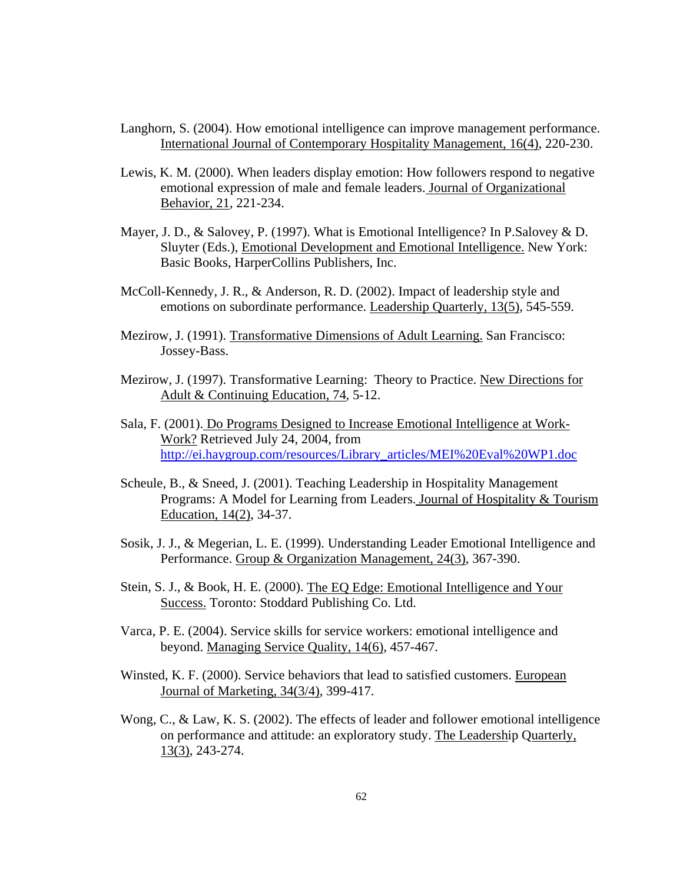- Langhorn, S. (2004). How emotional intelligence can improve management performance. International Journal of Contemporary Hospitality Management, 16(4), 220-230.
- Lewis, K. M. (2000). When leaders display emotion: How followers respond to negative emotional expression of male and female leaders. Journal of Organizational Behavior, 21, 221-234.
- Mayer, J. D., & Salovey, P. (1997). What is Emotional Intelligence? In P.Salovey & D. Sluyter (Eds.), Emotional Development and Emotional Intelligence. New York: Basic Books, HarperCollins Publishers, Inc.
- McColl-Kennedy, J. R., & Anderson, R. D. (2002). Impact of leadership style and emotions on subordinate performance. Leadership Quarterly, 13(5), 545-559.
- Mezirow, J. (1991). Transformative Dimensions of Adult Learning. San Francisco: Jossey-Bass.
- Mezirow, J. (1997). Transformative Learning: Theory to Practice. New Directions for Adult & Continuing Education, 74, 5-12.
- Sala, F. (2001). Do Programs Designed to Increase Emotional Intelligence at Work-Work? Retrieved July 24, 2004, from [http://ei.haygroup.com/resources/Library\\_articles/MEI%20Eval%20WP1.doc](http://ei.haygroup.com/resources/Library_articles/MEI%20Eval%20WP1.doc)
- Scheule, B., & Sneed, J. (2001). Teaching Leadership in Hospitality Management Programs: A Model for Learning from Leaders. Journal of Hospitality & Tourism Education, 14(2), 34-37.
- Sosik, J. J., & Megerian, L. E. (1999). Understanding Leader Emotional Intelligence and Performance. Group & Organization Management, 24(3), 367-390.
- Stein, S. J., & Book, H. E. (2000). The EQ Edge: Emotional Intelligence and Your Success. Toronto: Stoddard Publishing Co. Ltd.
- Varca, P. E. (2004). Service skills for service workers: emotional intelligence and beyond. Managing Service Quality, 14(6), 457-467.
- Winsted, K. F. (2000). Service behaviors that lead to satisfied customers. European Journal of Marketing, 34(3/4), 399-417.
- Wong, C., & Law, K. S. (2002). The effects of leader and follower emotional intelligence on performance and attitude: an exploratory study. The Leadership Quarterly, 13(3), 243-274.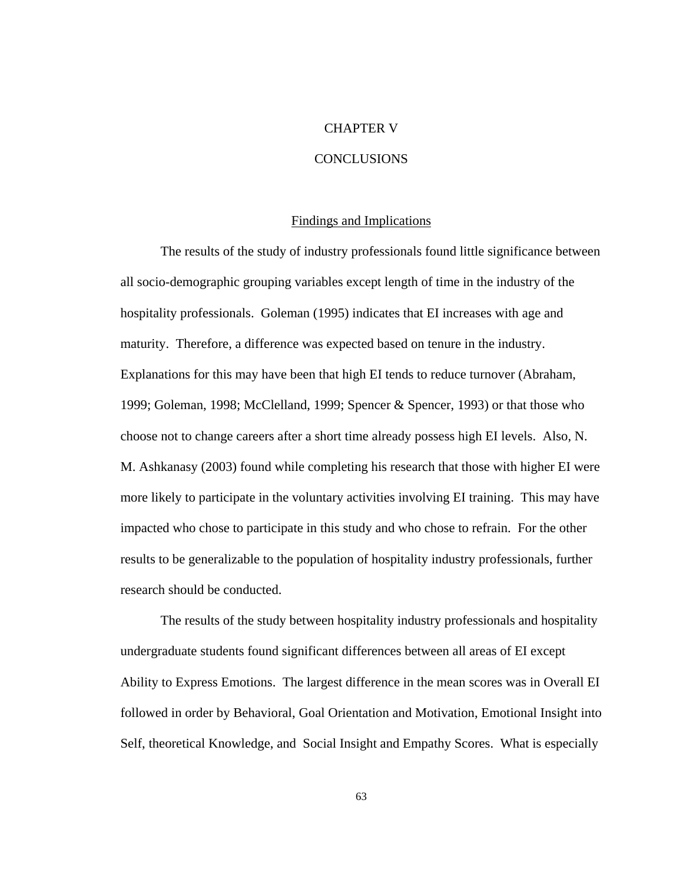# CHAPTER V

# **CONCLUSIONS**

### Findings and Implications

 The results of the study of industry professionals found little significance between all socio-demographic grouping variables except length of time in the industry of the hospitality professionals. Goleman (1995) indicates that EI increases with age and maturity. Therefore, a difference was expected based on tenure in the industry. Explanations for this may have been that high EI tends to reduce turnover (Abraham, 1999; Goleman, 1998; McClelland, 1999; Spencer & Spencer, 1993) or that those who choose not to change careers after a short time already possess high EI levels. Also, N. M. Ashkanasy (2003) found while completing his research that those with higher EI were more likely to participate in the voluntary activities involving EI training. This may have impacted who chose to participate in this study and who chose to refrain. For the other results to be generalizable to the population of hospitality industry professionals, further research should be conducted.

 The results of the study between hospitality industry professionals and hospitality undergraduate students found significant differences between all areas of EI except Ability to Express Emotions. The largest difference in the mean scores was in Overall EI followed in order by Behavioral, Goal Orientation and Motivation, Emotional Insight into Self, theoretical Knowledge, and Social Insight and Empathy Scores. What is especially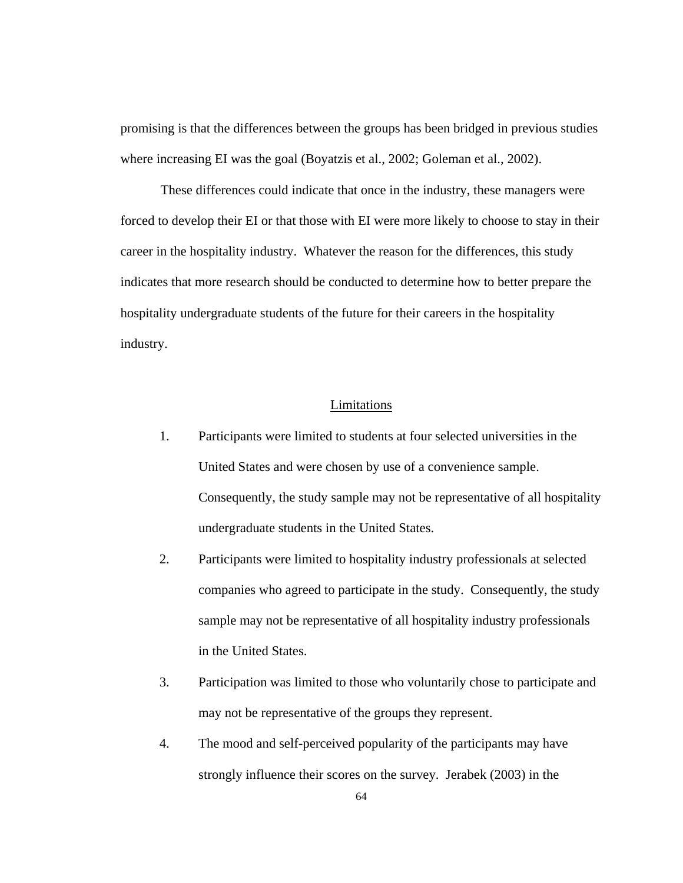promising is that the differences between the groups has been bridged in previous studies where increasing EI was the goal (Boyatzis et al., 2002; Goleman et al., 2002).

 These differences could indicate that once in the industry, these managers were forced to develop their EI or that those with EI were more likely to choose to stay in their career in the hospitality industry. Whatever the reason for the differences, this study indicates that more research should be conducted to determine how to better prepare the hospitality undergraduate students of the future for their careers in the hospitality industry.

# Limitations

- 1. Participants were limited to students at four selected universities in the United States and were chosen by use of a convenience sample. Consequently, the study sample may not be representative of all hospitality undergraduate students in the United States.
- 2. Participants were limited to hospitality industry professionals at selected companies who agreed to participate in the study. Consequently, the study sample may not be representative of all hospitality industry professionals in the United States.
- 3. Participation was limited to those who voluntarily chose to participate and may not be representative of the groups they represent.
- 4. The mood and self-perceived popularity of the participants may have strongly influence their scores on the survey. Jerabek (2003) in the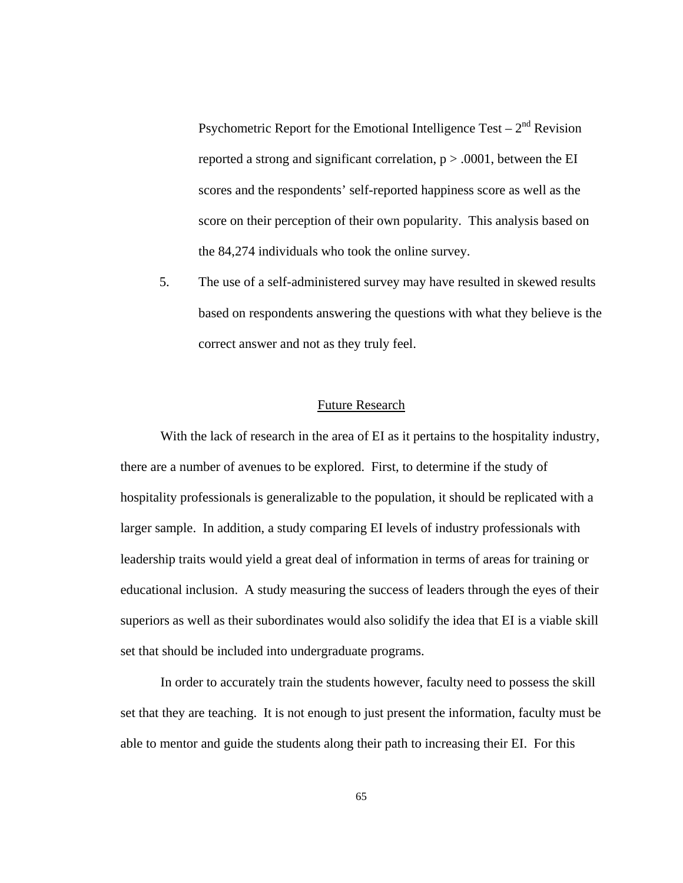Psychometric Report for the Emotional Intelligence Test –  $2<sup>nd</sup>$  Revision reported a strong and significant correlation,  $p > .0001$ , between the EI scores and the respondents' self-reported happiness score as well as the score on their perception of their own popularity. This analysis based on the 84,274 individuals who took the online survey.

5. The use of a self-administered survey may have resulted in skewed results based on respondents answering the questions with what they believe is the correct answer and not as they truly feel.

## Future Research

 With the lack of research in the area of EI as it pertains to the hospitality industry, there are a number of avenues to be explored. First, to determine if the study of hospitality professionals is generalizable to the population, it should be replicated with a larger sample. In addition, a study comparing EI levels of industry professionals with leadership traits would yield a great deal of information in terms of areas for training or educational inclusion. A study measuring the success of leaders through the eyes of their superiors as well as their subordinates would also solidify the idea that EI is a viable skill set that should be included into undergraduate programs.

 In order to accurately train the students however, faculty need to possess the skill set that they are teaching. It is not enough to just present the information, faculty must be able to mentor and guide the students along their path to increasing their EI. For this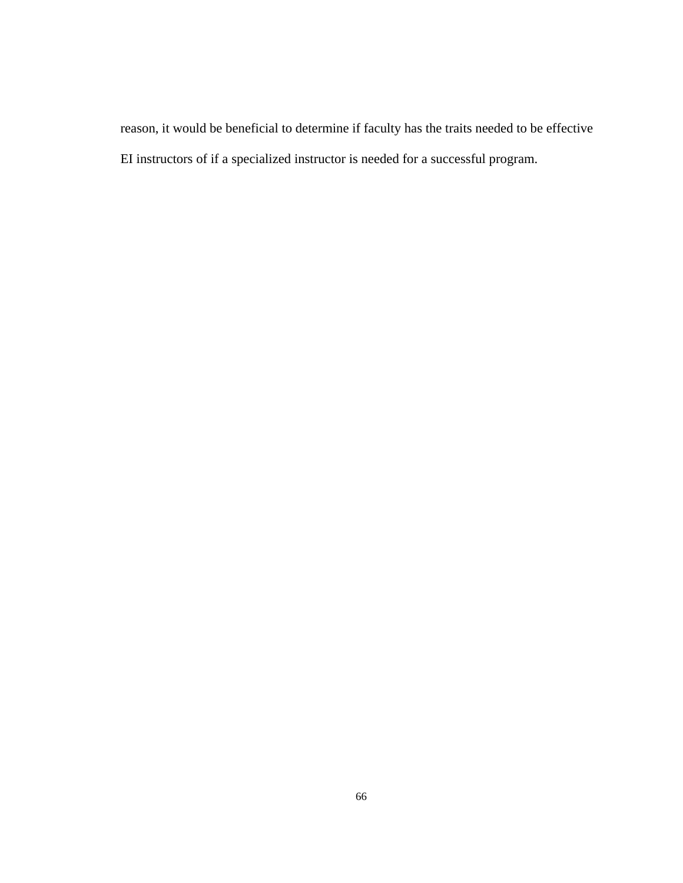reason, it would be beneficial to determine if faculty has the traits needed to be effective EI instructors of if a specialized instructor is needed for a successful program.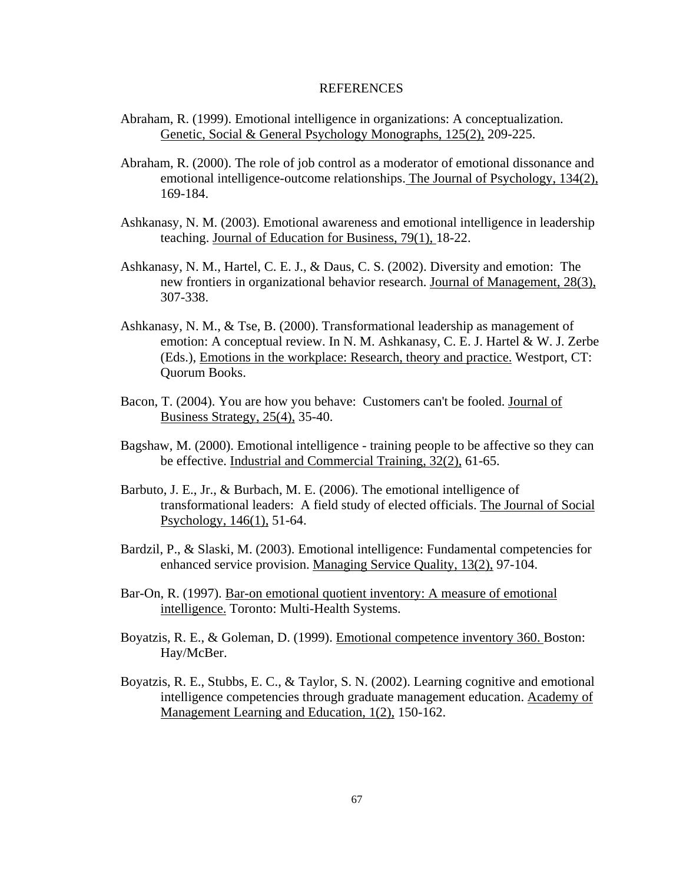### REFERENCES

- Abraham, R. (1999). Emotional intelligence in organizations: A conceptualization. Genetic, Social & General Psychology Monographs, 125(2), 209-225.
- Abraham, R. (2000). The role of job control as a moderator of emotional dissonance and emotional intelligence-outcome relationships. The Journal of Psychology, 134(2), 169-184.
- Ashkanasy, N. M. (2003). Emotional awareness and emotional intelligence in leadership teaching. Journal of Education for Business, 79(1), 18-22.
- Ashkanasy, N. M., Hartel, C. E. J., & Daus, C. S. (2002). Diversity and emotion: The new frontiers in organizational behavior research. Journal of Management, 28(3), 307-338.
- Ashkanasy, N. M., & Tse, B. (2000). Transformational leadership as management of emotion: A conceptual review. In N. M. Ashkanasy, C. E. J. Hartel & W. J. Zerbe (Eds.), Emotions in the workplace: Research, theory and practice. Westport, CT: Quorum Books.
- Bacon, T. (2004). You are how you behave: Customers can't be fooled. Journal of Business Strategy, 25(4), 35-40.
- Bagshaw, M. (2000). Emotional intelligence training people to be affective so they can be effective. Industrial and Commercial Training, 32(2), 61-65.
- Barbuto, J. E., Jr., & Burbach, M. E. (2006). The emotional intelligence of transformational leaders: A field study of elected officials. The Journal of Social Psychology, 146(1), 51-64.
- Bardzil, P., & Slaski, M. (2003). Emotional intelligence: Fundamental competencies for enhanced service provision. Managing Service Quality, 13(2), 97-104.
- Bar-On, R. (1997). Bar-on emotional quotient inventory: A measure of emotional intelligence. Toronto: Multi-Health Systems.
- Boyatzis, R. E., & Goleman, D. (1999). Emotional competence inventory 360. Boston: Hay/McBer.
- Boyatzis, R. E., Stubbs, E. C., & Taylor, S. N. (2002). Learning cognitive and emotional intelligence competencies through graduate management education. Academy of Management Learning and Education, 1(2), 150-162.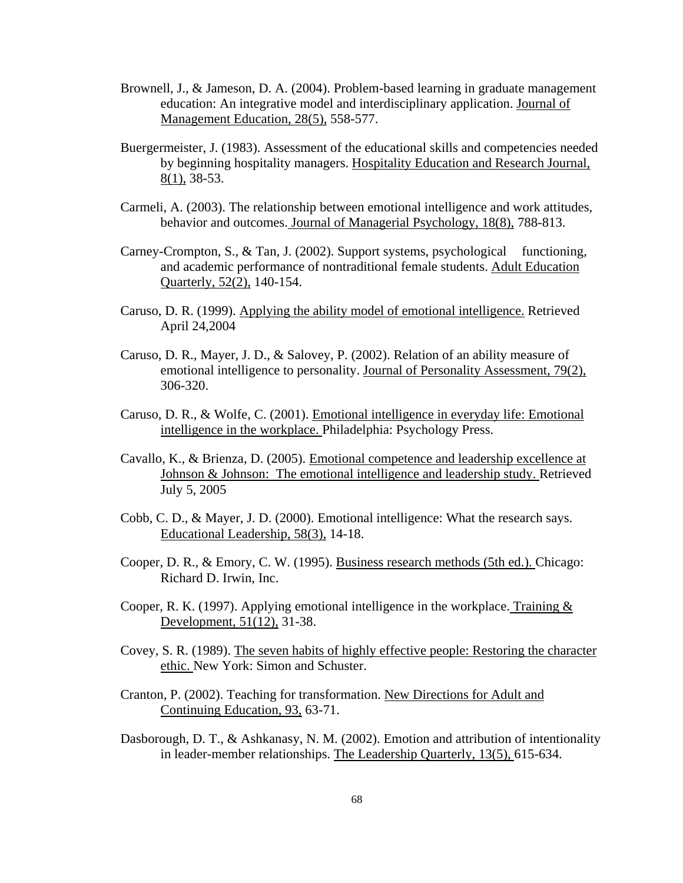- Brownell, J., & Jameson, D. A. (2004). Problem-based learning in graduate management education: An integrative model and interdisciplinary application. Journal of Management Education, 28(5), 558-577.
- Buergermeister, J. (1983). Assessment of the educational skills and competencies needed by beginning hospitality managers. Hospitality Education and Research Journal, 8(1), 38-53.
- Carmeli, A. (2003). The relationship between emotional intelligence and work attitudes, behavior and outcomes. Journal of Managerial Psychology, 18(8), 788-813.
- Carney-Crompton, S., & Tan, J. (2002). Support systems, psychological functioning, and academic performance of nontraditional female students. Adult Education Quarterly, 52(2), 140-154.
- Caruso, D. R. (1999). Applying the ability model of emotional intelligence. Retrieved April 24,2004
- Caruso, D. R., Mayer, J. D., & Salovey, P. (2002). Relation of an ability measure of emotional intelligence to personality. Journal of Personality Assessment, 79(2), 306-320.
- Caruso, D. R., & Wolfe, C. (2001). Emotional intelligence in everyday life: Emotional intelligence in the workplace. Philadelphia: Psychology Press.
- Cavallo, K., & Brienza, D. (2005). Emotional competence and leadership excellence at Johnson & Johnson: The emotional intelligence and leadership study. Retrieved July 5, 2005
- Cobb, C. D., & Mayer, J. D. (2000). Emotional intelligence: What the research says. Educational Leadership, 58(3), 14-18.
- Cooper, D. R., & Emory, C. W. (1995). Business research methods (5th ed.). Chicago: Richard D. Irwin, Inc.
- Cooper, R. K. (1997). Applying emotional intelligence in the workplace. Training  $&$ Development, 51(12), 31-38.
- Covey, S. R. (1989). The seven habits of highly effective people: Restoring the character ethic. New York: Simon and Schuster.
- Cranton, P. (2002). Teaching for transformation. New Directions for Adult and Continuing Education, 93, 63-71.
- Dasborough, D. T., & Ashkanasy, N. M. (2002). Emotion and attribution of intentionality in leader-member relationships. The Leadership Quarterly, 13(5), 615-634.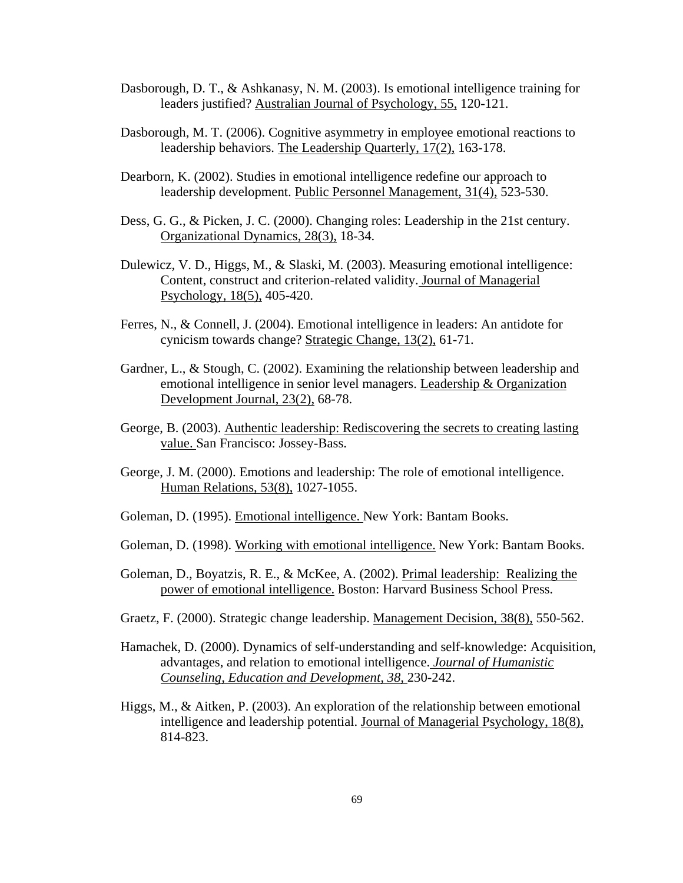- Dasborough, D. T., & Ashkanasy, N. M. (2003). Is emotional intelligence training for leaders justified? Australian Journal of Psychology, 55, 120-121.
- Dasborough, M. T. (2006). Cognitive asymmetry in employee emotional reactions to leadership behaviors. The Leadership Quarterly, 17(2), 163-178.
- Dearborn, K. (2002). Studies in emotional intelligence redefine our approach to leadership development. Public Personnel Management, 31(4), 523-530.
- Dess, G. G., & Picken, J. C. (2000). Changing roles: Leadership in the 21st century. Organizational Dynamics, 28(3), 18-34.
- Dulewicz, V. D., Higgs, M., & Slaski, M. (2003). Measuring emotional intelligence: Content, construct and criterion-related validity. Journal of Managerial Psychology, 18(5), 405-420.
- Ferres, N., & Connell, J. (2004). Emotional intelligence in leaders: An antidote for cynicism towards change? Strategic Change, 13(2), 61-71.
- Gardner, L., & Stough, C. (2002). Examining the relationship between leadership and emotional intelligence in senior level managers. Leadership & Organization Development Journal, 23(2), 68-78.
- George, B. (2003). Authentic leadership: Rediscovering the secrets to creating lasting value. San Francisco: Jossey-Bass.
- George, J. M. (2000). Emotions and leadership: The role of emotional intelligence. Human Relations, 53(8), 1027-1055.
- Goleman, D. (1995). Emotional intelligence. New York: Bantam Books.
- Goleman, D. (1998). Working with emotional intelligence. New York: Bantam Books.
- Goleman, D., Boyatzis, R. E., & McKee, A. (2002). Primal leadership: Realizing the power of emotional intelligence. Boston: Harvard Business School Press.
- Graetz, F. (2000). Strategic change leadership. Management Decision, 38(8), 550-562.
- Hamachek, D. (2000). Dynamics of self-understanding and self-knowledge: Acquisition, advantages, and relation to emotional intelligence. *Journal of Humanistic Counseling, Education and Development, 38,* 230-242.
- Higgs, M., & Aitken, P. (2003). An exploration of the relationship between emotional intelligence and leadership potential. Journal of Managerial Psychology, 18(8), 814-823.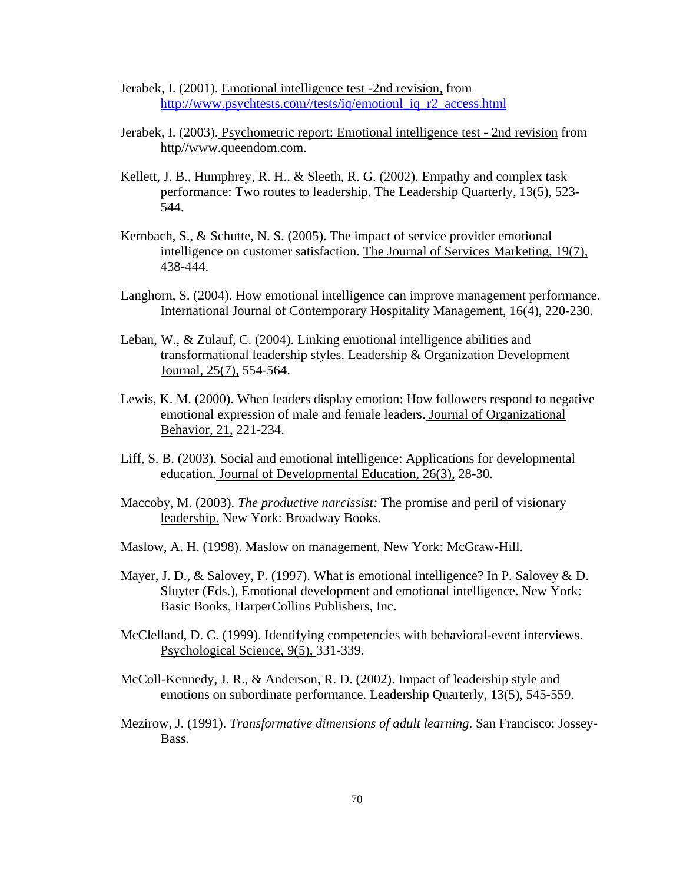- Jerabek, I. (2001). Emotional intelligence test -2nd revision, from [http://www.psychtests.com//tests/iq/emotionl\\_iq\\_r2\\_access.html](http://www.psychtests.com//tests/iq/emotionl_iq_r2_access.html)
- Jerabek, I. (2003). Psychometric report: Emotional intelligence test 2nd revision from http//www.queendom.com.
- Kellett, J. B., Humphrey, R. H., & Sleeth, R. G. (2002). Empathy and complex task performance: Two routes to leadership. The Leadership Quarterly, 13(5), 523- 544.
- Kernbach, S., & Schutte, N. S. (2005). The impact of service provider emotional intelligence on customer satisfaction. The Journal of Services Marketing, 19(7), 438-444.
- Langhorn, S. (2004). How emotional intelligence can improve management performance. International Journal of Contemporary Hospitality Management, 16(4), 220-230.
- Leban, W., & Zulauf, C. (2004). Linking emotional intelligence abilities and transformational leadership styles. Leadership & Organization Development Journal, 25(7), 554-564.
- Lewis, K. M. (2000). When leaders display emotion: How followers respond to negative emotional expression of male and female leaders. Journal of Organizational Behavior, 21, 221-234.
- Liff, S. B. (2003). Social and emotional intelligence: Applications for developmental education. Journal of Developmental Education, 26(3), 28-30.
- Maccoby, M. (2003). *The productive narcissist:* The promise and peril of visionary leadership. New York: Broadway Books.
- Maslow, A. H. (1998). Maslow on management. New York: McGraw-Hill.
- Mayer, J. D., & Salovey, P. (1997). What is emotional intelligence? In P. Salovey & D. Sluyter (Eds.), Emotional development and emotional intelligence. New York: Basic Books, HarperCollins Publishers, Inc.
- McClelland, D. C. (1999). Identifying competencies with behavioral-event interviews. Psychological Science, 9(5), 331-339.
- McColl-Kennedy, J. R., & Anderson, R. D. (2002). Impact of leadership style and emotions on subordinate performance. Leadership Quarterly, 13(5), 545-559.
- Mezirow, J. (1991). *Transformative dimensions of adult learning*. San Francisco: Jossey-Bass.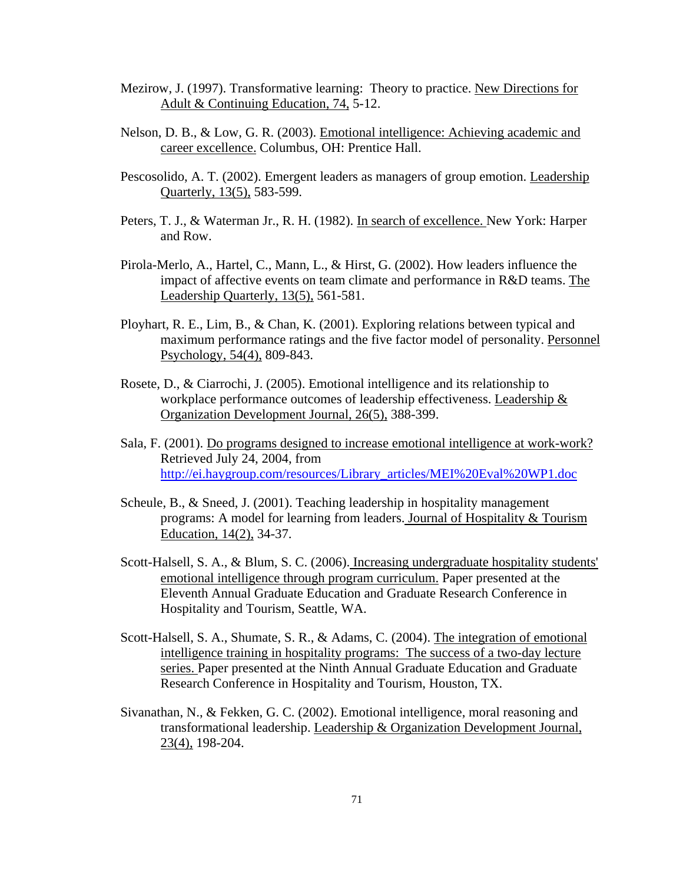- Mezirow, J. (1997). Transformative learning: Theory to practice. New Directions for Adult & Continuing Education, 74, 5-12.
- Nelson, D. B., & Low, G. R. (2003). Emotional intelligence: Achieving academic and career excellence. Columbus, OH: Prentice Hall.
- Pescosolido, A. T. (2002). Emergent leaders as managers of group emotion. Leadership Quarterly, 13(5), 583-599.
- Peters, T. J., & Waterman Jr., R. H. (1982). In search of excellence. New York: Harper and Row.
- Pirola-Merlo, A., Hartel, C., Mann, L., & Hirst, G. (2002). How leaders influence the impact of affective events on team climate and performance in R&D teams. The Leadership Quarterly, 13(5), 561-581.
- Ployhart, R. E., Lim, B., & Chan, K. (2001). Exploring relations between typical and maximum performance ratings and the five factor model of personality. Personnel Psychology, 54(4), 809-843.
- Rosete, D., & Ciarrochi, J. (2005). Emotional intelligence and its relationship to workplace performance outcomes of leadership effectiveness. Leadership & Organization Development Journal, 26(5), 388-399.
- Sala, F. (2001). Do programs designed to increase emotional intelligence at work-work? Retrieved July 24, 2004, from [http://ei.haygroup.com/resources/Library\\_articles/MEI%20Eval%20WP1.doc](http://ei.haygroup.com/resources/Library_articles/MEI%20Eval%20WP1.doc)
- Scheule, B., & Sneed, J. (2001). Teaching leadership in hospitality management programs: A model for learning from leaders. Journal of Hospitality & Tourism Education, 14(2), 34-37.
- Scott-Halsell, S. A., & Blum, S. C. (2006). Increasing undergraduate hospitality students' emotional intelligence through program curriculum. Paper presented at the Eleventh Annual Graduate Education and Graduate Research Conference in Hospitality and Tourism, Seattle, WA.
- Scott-Halsell, S. A., Shumate, S. R., & Adams, C. (2004). The integration of emotional intelligence training in hospitality programs: The success of a two-day lecture series. Paper presented at the Ninth Annual Graduate Education and Graduate Research Conference in Hospitality and Tourism, Houston, TX.
- Sivanathan, N., & Fekken, G. C. (2002). Emotional intelligence, moral reasoning and transformational leadership. Leadership & Organization Development Journal, 23(4), 198-204.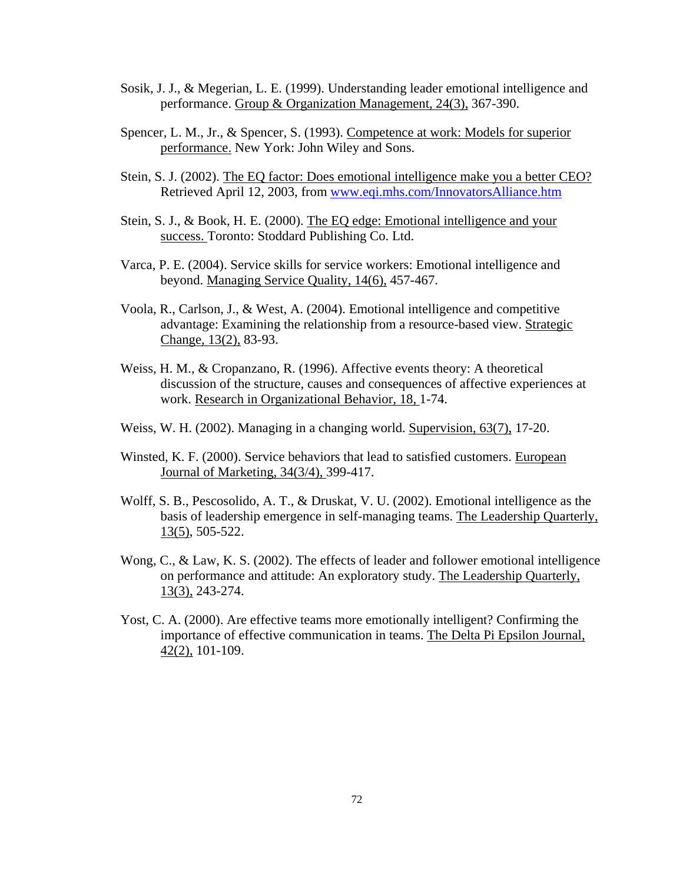- Sosik, J. J., & Megerian, L. E. (1999). Understanding leader emotional intelligence and performance. Group & Organization Management, 24(3), 367-390.
- Spencer, L. M., Jr., & Spencer, S. (1993). Competence at work: Models for superior performance. New York: John Wiley and Sons.
- Stein, S. J. (2002). The EQ factor: Does emotional intelligence make you a better CEO? Retrieved April 12, 2003, from [www.eqi.mhs.com/InnovatorsAlliance.htm](http://www.eqi.mhs.com/InnovatorsAlliance.htm)
- Stein, S. J., & Book, H. E. (2000). The EQ edge: Emotional intelligence and your success. Toronto: Stoddard Publishing Co. Ltd.
- Varca, P. E. (2004). Service skills for service workers: Emotional intelligence and beyond. Managing Service Quality, 14(6), 457-467.
- Voola, R., Carlson, J., & West, A. (2004). Emotional intelligence and competitive advantage: Examining the relationship from a resource-based view. Strategic Change, 13(2), 83-93.
- Weiss, H. M., & Cropanzano, R. (1996). Affective events theory: A theoretical discussion of the structure, causes and consequences of affective experiences at work. Research in Organizational Behavior, 18, 1-74.
- Weiss, W. H. (2002). Managing in a changing world. Supervision, 63(7), 17-20.
- Winsted, K. F. (2000). Service behaviors that lead to satisfied customers. European Journal of Marketing, 34(3/4), 399-417.
- Wolff, S. B., Pescosolido, A. T., & Druskat, V. U. (2002). Emotional intelligence as the basis of leadership emergence in self-managing teams. The Leadership Quarterly, 13(5), 505-522.
- Wong, C., & Law, K. S. (2002). The effects of leader and follower emotional intelligence on performance and attitude: An exploratory study. The Leadership Quarterly, 13(3), 243-274.
- Yost, C. A. (2000). Are effective teams more emotionally intelligent? Confirming the importance of effective communication in teams. The Delta Pi Epsilon Journal, 42(2), 101-109.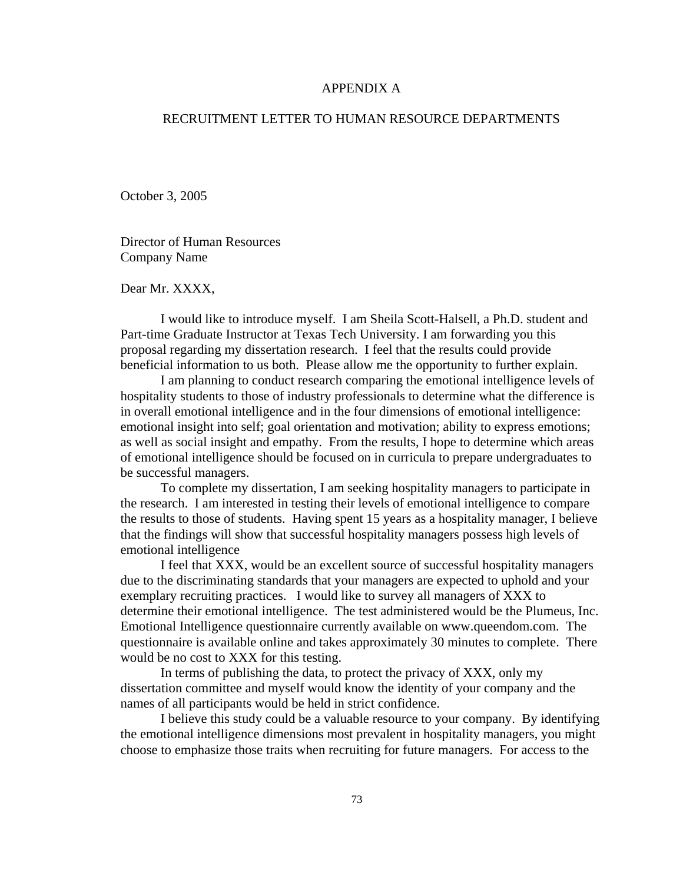### APPENDIX A

## RECRUITMENT LETTER TO HUMAN RESOURCE DEPARTMENTS

October 3, 2005

Director of Human Resources Company Name

Dear Mr. XXXX,

 I would like to introduce myself. I am Sheila Scott-Halsell, a Ph.D. student and Part-time Graduate Instructor at Texas Tech University. I am forwarding you this proposal regarding my dissertation research. I feel that the results could provide beneficial information to us both. Please allow me the opportunity to further explain.

 I am planning to conduct research comparing the emotional intelligence levels of hospitality students to those of industry professionals to determine what the difference is in overall emotional intelligence and in the four dimensions of emotional intelligence: emotional insight into self; goal orientation and motivation; ability to express emotions; as well as social insight and empathy. From the results, I hope to determine which areas of emotional intelligence should be focused on in curricula to prepare undergraduates to be successful managers.

To complete my dissertation, I am seeking hospitality managers to participate in the research. I am interested in testing their levels of emotional intelligence to compare the results to those of students. Having spent 15 years as a hospitality manager, I believe that the findings will show that successful hospitality managers possess high levels of emotional intelligence

 I feel that XXX, would be an excellent source of successful hospitality managers due to the discriminating standards that your managers are expected to uphold and your exemplary recruiting practices. I would like to survey all managers of XXX to determine their emotional intelligence. The test administered would be the Plumeus, Inc. Emotional Intelligence questionnaire currently available on www.queendom.com. The questionnaire is available online and takes approximately 30 minutes to complete. There would be no cost to XXX for this testing.

In terms of publishing the data, to protect the privacy of XXX, only my dissertation committee and myself would know the identity of your company and the names of all participants would be held in strict confidence.

I believe this study could be a valuable resource to your company. By identifying the emotional intelligence dimensions most prevalent in hospitality managers, you might choose to emphasize those traits when recruiting for future managers. For access to the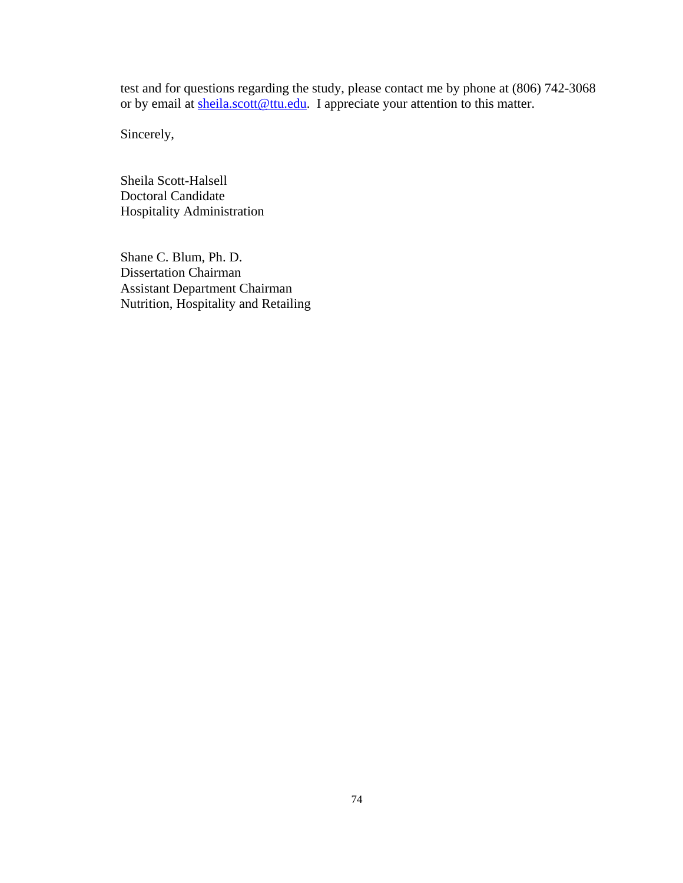test and for questions regarding the study, please contact me by phone at (806) 742-3068 or by email at [sheila.scott@ttu.edu.](mailto:sheila.scott@ttu.edu) I appreciate your attention to this matter.

Sincerely,

Sheila Scott-Halsell Doctoral Candidate Hospitality Administration

Shane C. Blum, Ph. D. Dissertation Chairman Assistant Department Chairman Nutrition, Hospitality and Retailing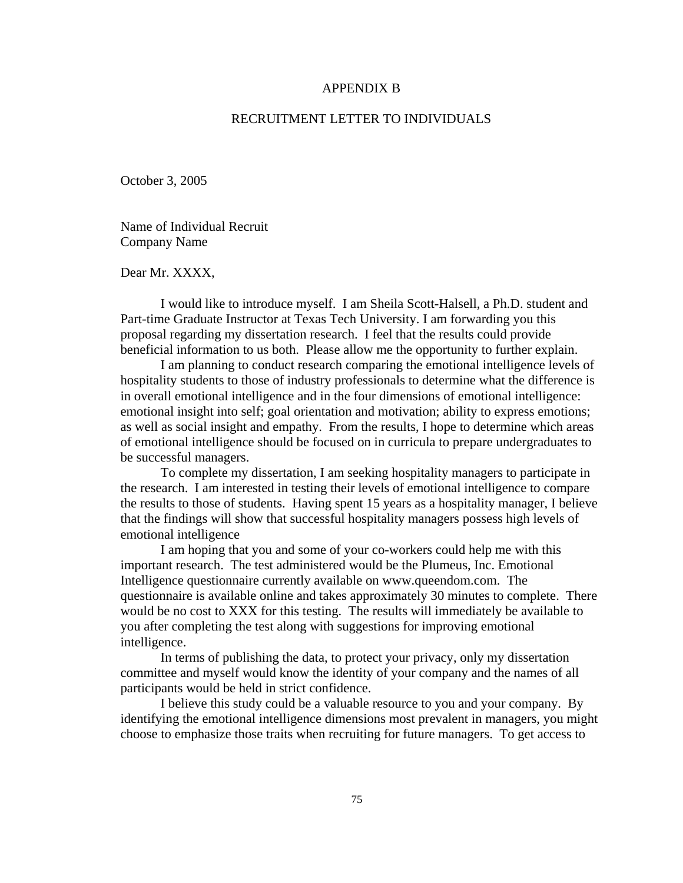#### APPENDIX B

## RECRUITMENT LETTER TO INDIVIDUALS

October 3, 2005

Name of Individual Recruit Company Name

Dear Mr. XXXX,

 I would like to introduce myself. I am Sheila Scott-Halsell, a Ph.D. student and Part-time Graduate Instructor at Texas Tech University. I am forwarding you this proposal regarding my dissertation research. I feel that the results could provide beneficial information to us both. Please allow me the opportunity to further explain.

 I am planning to conduct research comparing the emotional intelligence levels of hospitality students to those of industry professionals to determine what the difference is in overall emotional intelligence and in the four dimensions of emotional intelligence: emotional insight into self; goal orientation and motivation; ability to express emotions; as well as social insight and empathy. From the results, I hope to determine which areas of emotional intelligence should be focused on in curricula to prepare undergraduates to be successful managers.

To complete my dissertation, I am seeking hospitality managers to participate in the research. I am interested in testing their levels of emotional intelligence to compare the results to those of students. Having spent 15 years as a hospitality manager, I believe that the findings will show that successful hospitality managers possess high levels of emotional intelligence

 I am hoping that you and some of your co-workers could help me with this important research. The test administered would be the Plumeus, Inc. Emotional Intelligence questionnaire currently available on www.queendom.com. The questionnaire is available online and takes approximately 30 minutes to complete. There would be no cost to XXX for this testing. The results will immediately be available to you after completing the test along with suggestions for improving emotional intelligence.

In terms of publishing the data, to protect your privacy, only my dissertation committee and myself would know the identity of your company and the names of all participants would be held in strict confidence.

I believe this study could be a valuable resource to you and your company. By identifying the emotional intelligence dimensions most prevalent in managers, you might choose to emphasize those traits when recruiting for future managers. To get access to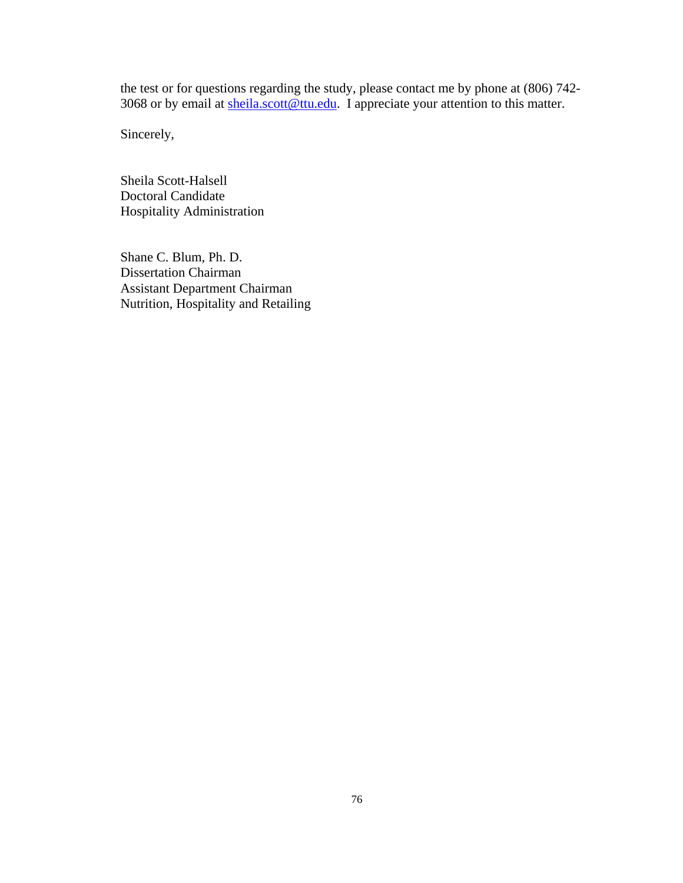the test or for questions regarding the study, please contact me by phone at (806) 742- 3068 or by email at [sheila.scott@ttu.edu](mailto:sheila.scott@ttu.edu). I appreciate your attention to this matter.

Sincerely,

Sheila Scott-Halsell Doctoral Candidate Hospitality Administration

Shane C. Blum, Ph. D. Dissertation Chairman Assistant Department Chairman Nutrition, Hospitality and Retailing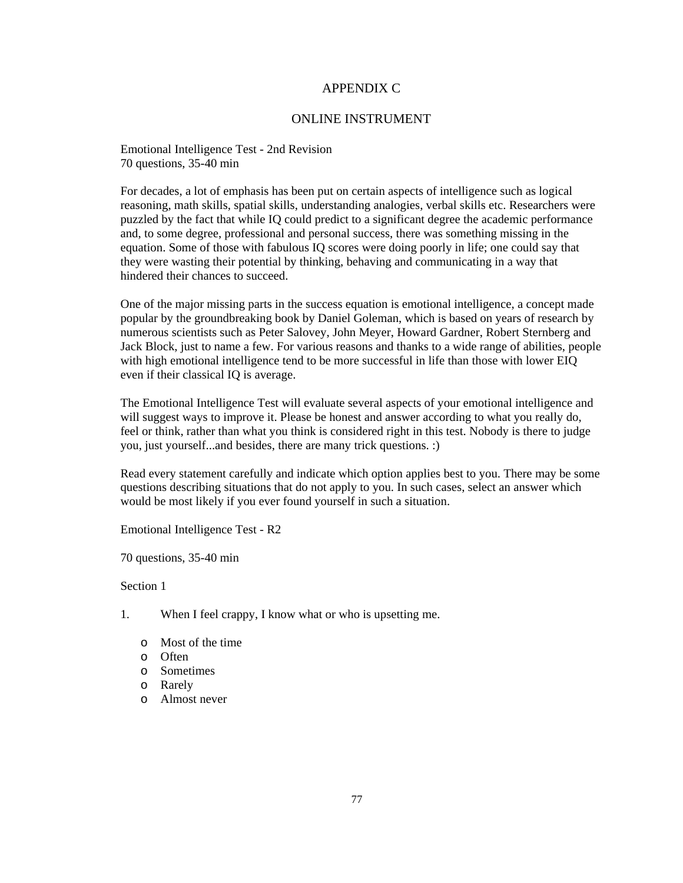### APPENDIX C

#### ONLINE INSTRUMENT

Emotional Intelligence Test - 2nd Revision 70 questions, 35-40 min

For decades, a lot of emphasis has been put on certain aspects of intelligence such as logical reasoning, math skills, spatial skills, understanding analogies, verbal skills etc. Researchers were puzzled by the fact that while IQ could predict to a significant degree the academic performance and, to some degree, professional and personal success, there was something missing in the equation. Some of those with fabulous IQ scores were doing poorly in life; one could say that they were wasting their potential by thinking, behaving and communicating in a way that hindered their chances to succeed.

One of the major missing parts in the success equation is emotional intelligence, a concept made popular by the groundbreaking book by Daniel Goleman, which is based on years of research by numerous scientists such as Peter Salovey, John Meyer, Howard Gardner, Robert Sternberg and Jack Block, just to name a few. For various reasons and thanks to a wide range of abilities, people with high emotional intelligence tend to be more successful in life than those with lower EIQ even if their classical IQ is average.

The Emotional Intelligence Test will evaluate several aspects of your emotional intelligence and will suggest ways to improve it. Please be honest and answer according to what you really do, feel or think, rather than what you think is considered right in this test. Nobody is there to judge you, just yourself...and besides, there are many trick questions. :)

Read every statement carefully and indicate which option applies best to you. There may be some questions describing situations that do not apply to you. In such cases, select an answer which would be most likely if you ever found yourself in such a situation.

Emotional Intelligence Test - R2

70 questions, 35-40 min

- 1. When I feel crappy, I know what or who is upsetting me.
	- o Most of the time
	- o Often
	- o Sometimes
	- o Rarely
	- o Almost never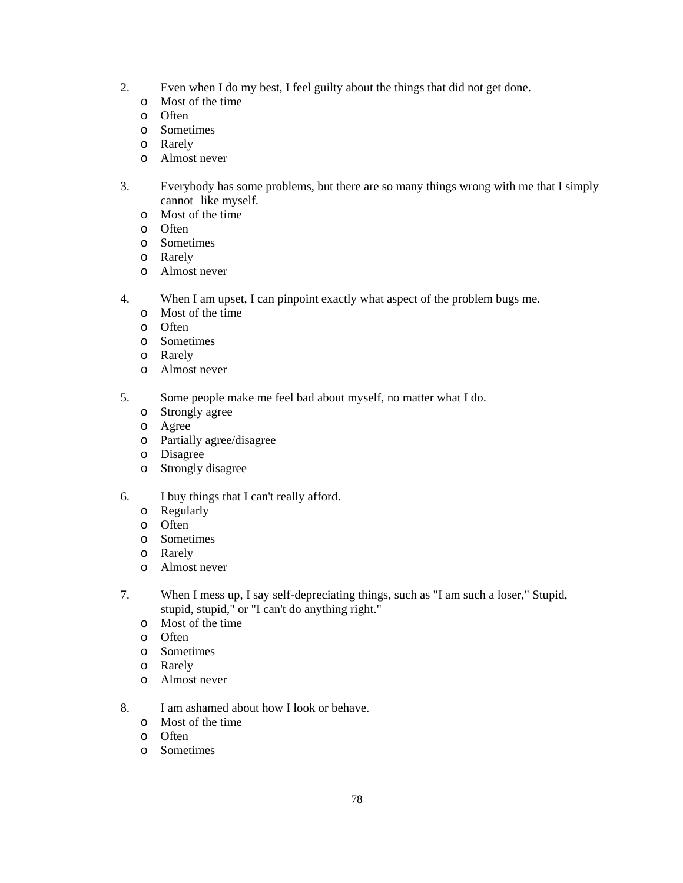- 2. Even when I do my best, I feel guilty about the things that did not get done.
	- o Most of the time
	- o Often
	- o Sometimes
	- o Rarely
	- o Almost never
- 3. Everybody has some problems, but there are so many things wrong with me that I simply cannot like myself.
	- o Most of the time
	- o Often
	- o Sometimes
	- o Rarely
	- o Almost never
- 4. When I am upset, I can pinpoint exactly what aspect of the problem bugs me.
	- o Most of the time
	- o Often
	- o Sometimes
	- o Rarely
	- o Almost never
- 5. Some people make me feel bad about myself, no matter what I do.
	- o Strongly agree
	- o Agree
	- o Partially agree/disagree
	- o Disagree
	- o Strongly disagree
- 6. I buy things that I can't really afford.
	- o Regularly
	- o Often
	- o Sometimes
	- o Rarely
	- o Almost never
- 7. When I mess up, I say self-depreciating things, such as "I am such a loser," Stupid, stupid, stupid," or "I can't do anything right."
	- o Most of the time
	- o Often
	- o Sometimes
	- o Rarely
	- o Almost never
- 8. I am ashamed about how I look or behave.
	- o Most of the time
	- o Often
	- o Sometimes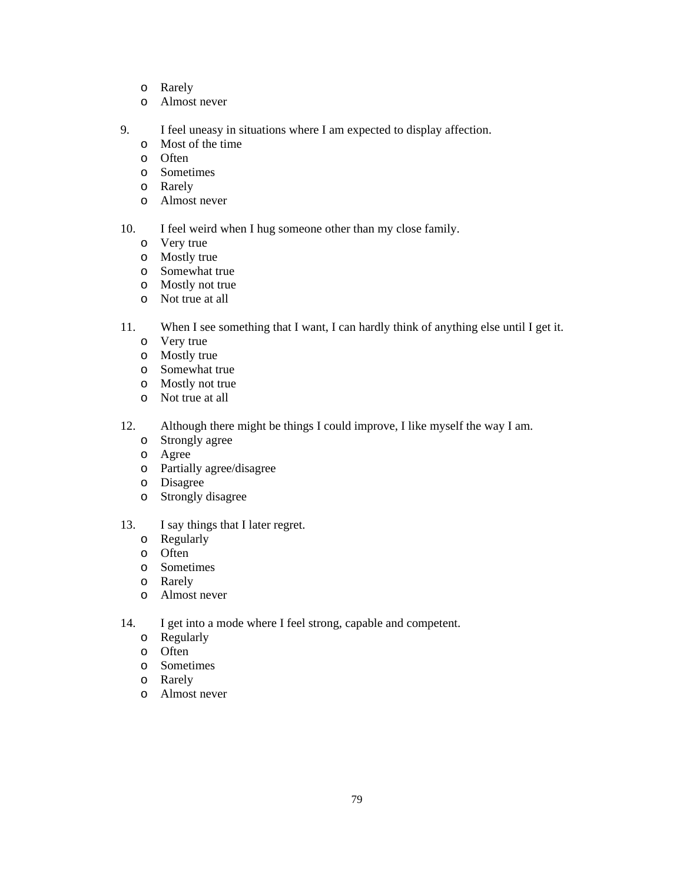- o Rarely
- o Almost never
- 9. I feel uneasy in situations where I am expected to display affection.
	- o Most of the time
	- o Often
	- o Sometimes
	- o Rarely
	- o Almost never
- 10. I feel weird when I hug someone other than my close family.
	- o Very true
	- o Mostly true
	- o Somewhat true
	- o Mostly not true
	- o Not true at all
- 11. When I see something that I want, I can hardly think of anything else until I get it.
	- o Very true
	- o Mostly true
	- o Somewhat true
	- o Mostly not true
	- o Not true at all
- 12. Although there might be things I could improve, I like myself the way I am.
	- o Strongly agree
	- o Agree
	- o Partially agree/disagree
	- o Disagree
	- o Strongly disagree
- 13. I say things that I later regret.
	- o Regularly
	- o Often
	- o Sometimes
	- o Rarely
	- o Almost never
- 14. I get into a mode where I feel strong, capable and competent.
	- o Regularly
	- o Often
	- o Sometimes
	- o Rarely
	- o Almost never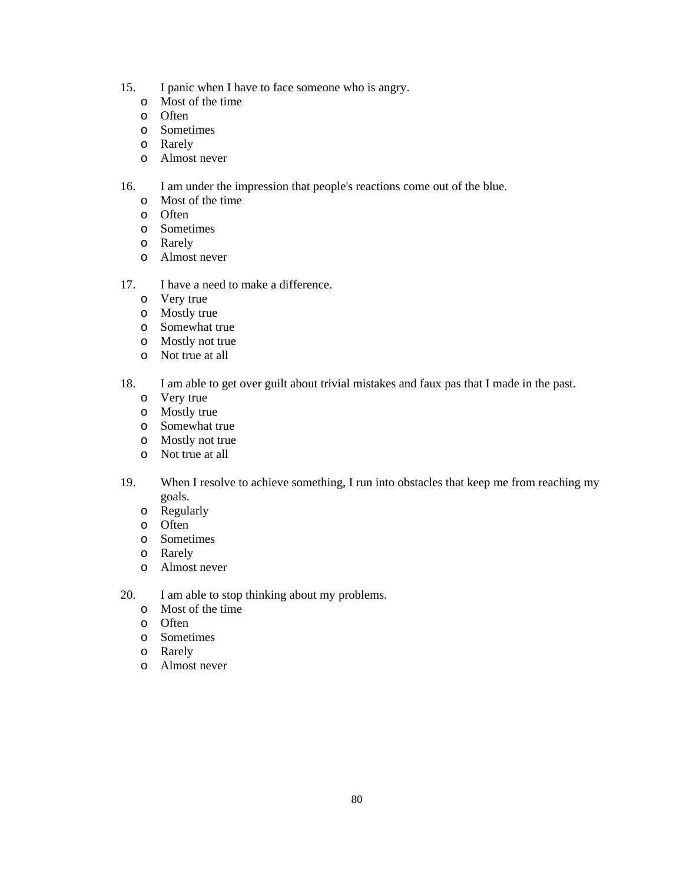- 15. I panic when I have to face someone who is angry.
	- o Most of the time
	- o Often
	- o Sometimes
	- o Rarely
	- o Almost never
- 16. I am under the impression that people's reactions come out of the blue.
	- o Most of the time
	- o Often
	- o Sometimes
	- o Rarely
	- o Almost never
- 17. I have a need to make a difference.
	- o Very true
	- o Mostly true
	- o Somewhat true
	- o Mostly not true
	- o Not true at all
- 18. I am able to get over guilt about trivial mistakes and faux pas that I made in the past.
	- o Very true
	- o Mostly true
	- o Somewhat true
	- o Mostly not true
	- o Not true at all
- 19. When I resolve to achieve something, I run into obstacles that keep me from reaching my goals.
	- o Regularly
	- o Often
	- o Sometimes
	- o Rarely
	- o Almost never
- 20. I am able to stop thinking about my problems.
	- o Most of the time
	- o Often
	- o Sometimes
	- o Rarely
	- o Almost never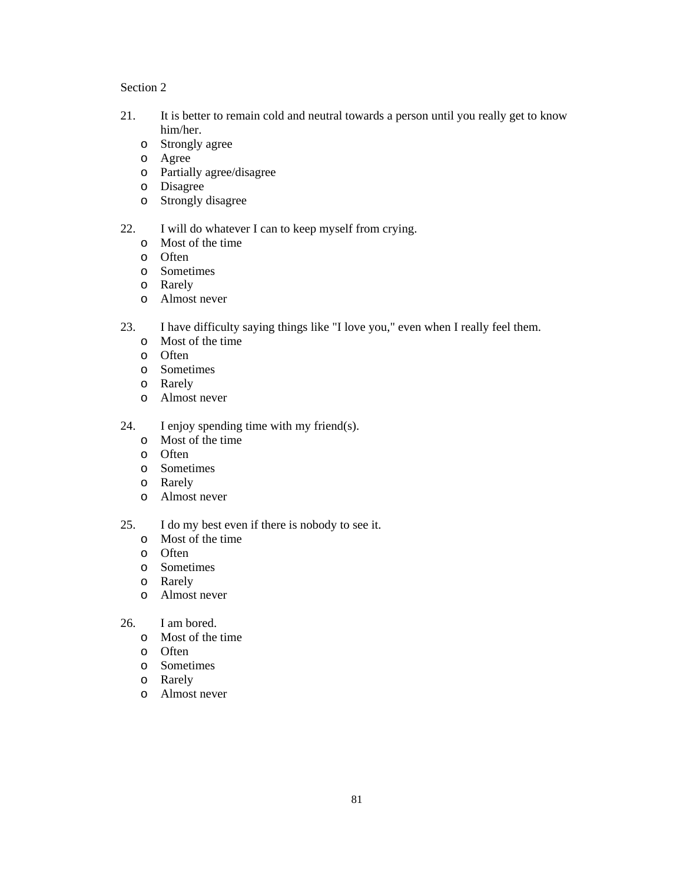- 21. It is better to remain cold and neutral towards a person until you really get to know him/her.
	- o Strongly agree
	- o Agree
	- o Partially agree/disagree
	- o Disagree
	- o Strongly disagree
- 22. I will do whatever I can to keep myself from crying.
	- o Most of the time
	- o Often
	- o Sometimes
	- o Rarely
	- o Almost never
- 23. I have difficulty saying things like "I love you," even when I really feel them.
	- o Most of the time
	- o Often
	- o Sometimes
	- o Rarely
	- o Almost never
- 24. I enjoy spending time with my friend(s).
	- o Most of the time
	- o Often
	- o Sometimes
	- o Rarely
	- o Almost never
- 25. I do my best even if there is nobody to see it.
	- o Most of the time
	- o Often
	- o Sometimes
	- o Rarely
	- o Almost never
- 26. I am bored.
	- o Most of the time
	- o Often
	- o Sometimes
	- o Rarely
	- o Almost never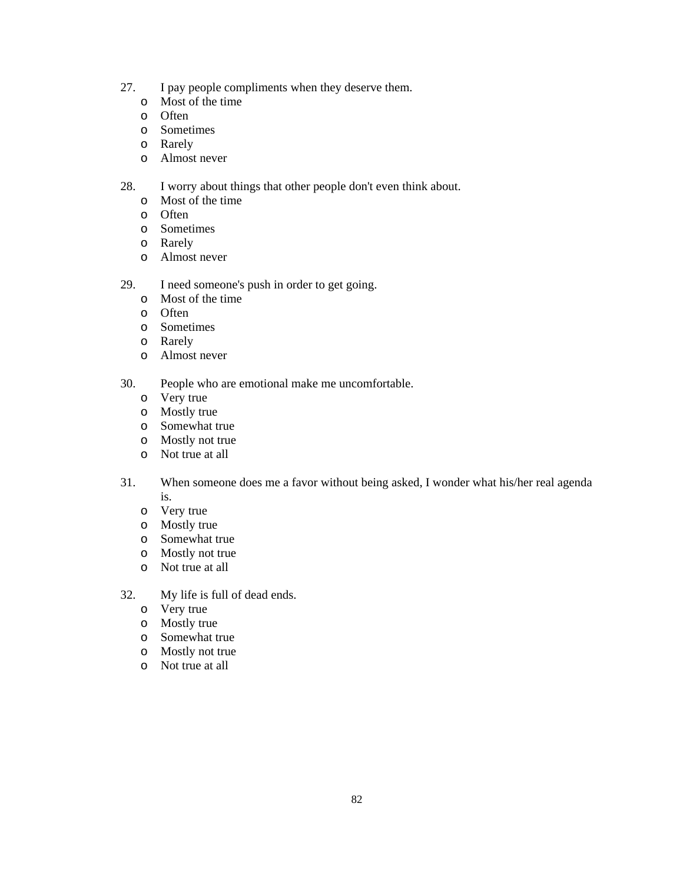- 27. I pay people compliments when they deserve them.
	- o Most of the time
	- o Often
	- o Sometimes
	- o Rarely
	- o Almost never
- 28. I worry about things that other people don't even think about.
	- o Most of the time
	- o Often
	- o Sometimes
	- o Rarely
	- o Almost never
- 29. I need someone's push in order to get going.
	- o Most of the time
	- o Often
	- o Sometimes
	- o Rarely
	- o Almost never
- 30. People who are emotional make me uncomfortable.
	- o Very true
	- o Mostly true
	- o Somewhat true
	- o Mostly not true
	- o Not true at all
- 31. When someone does me a favor without being asked, I wonder what his/her real agenda is.
	- o Very true
	- o Mostly true
	- o Somewhat true
	- o Mostly not true
	- o Not true at all
- 32. My life is full of dead ends.
	- o Very true
	- o Mostly true
	- o Somewhat true
	- o Mostly not true
	- o Not true at all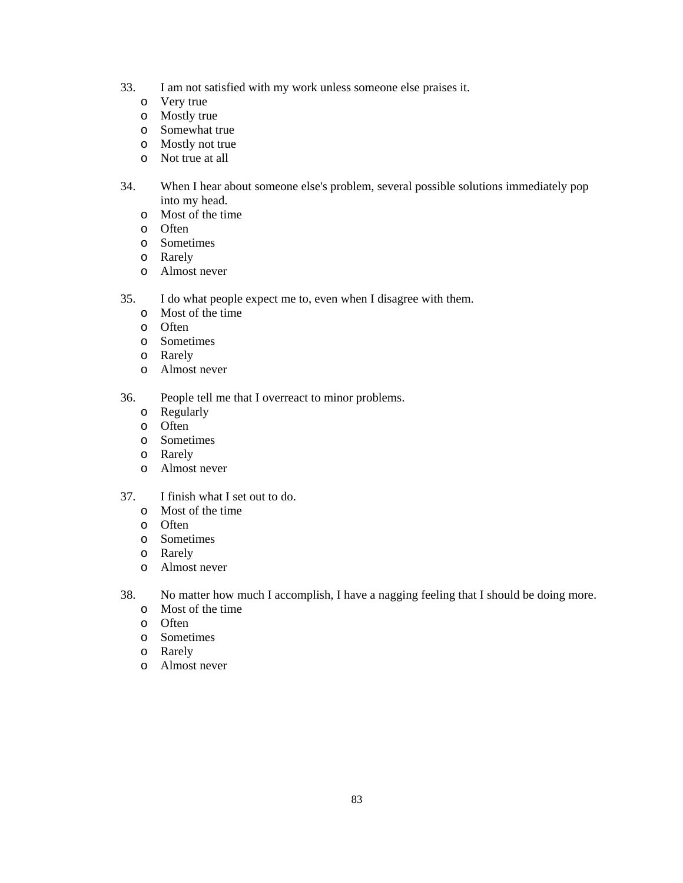- 33. I am not satisfied with my work unless someone else praises it.
	- o Very true
	- o Mostly true
	- o Somewhat true
	- o Mostly not true
	- o Not true at all
- 34. When I hear about someone else's problem, several possible solutions immediately pop into my head.
	- o Most of the time
	- o Often
	- o Sometimes
	- o Rarely
	- o Almost never
- 35. I do what people expect me to, even when I disagree with them.
	- o Most of the time
	- o Often
	- o Sometimes
	- o Rarely
	- o Almost never

36. People tell me that I overreact to minor problems.

- o Regularly
- o Often
- o Sometimes
- o Rarely
- o Almost never
- 37. I finish what I set out to do.
	- o Most of the time
	- o Often
	- o Sometimes
	- o Rarely
	- o Almost never
- 38. No matter how much I accomplish, I have a nagging feeling that I should be doing more.
	- o Most of the time
	- o Often
	- o Sometimes
	- o Rarely
	- o Almost never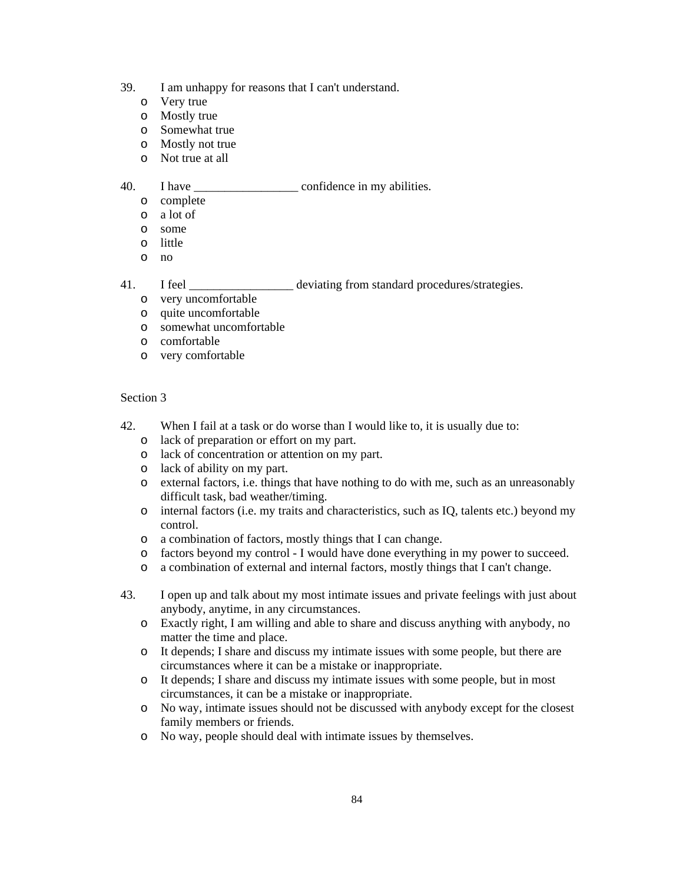- 39. I am unhappy for reasons that I can't understand.
	- o Very true
	- o Mostly true
	- o Somewhat true
	- o Mostly not true
	- o Not true at all

### 40. I have confidence in my abilities.

- o complete
- o a lot of
- o some
- o little
- o no
- 41. I feel electron deviating from standard procedures/strategies.
	- o very uncomfortable
	- o quite uncomfortable
	- o somewhat uncomfortable
	- o comfortable
	- o very comfortable

- 42. When I fail at a task or do worse than I would like to, it is usually due to:
	- o lack of preparation or effort on my part.
	- o lack of concentration or attention on my part.
	- o lack of ability on my part.
	- o external factors, i.e. things that have nothing to do with me, such as an unreasonably difficult task, bad weather/timing.
	- o internal factors (i.e. my traits and characteristics, such as IQ, talents etc.) beyond my control.
	- o a combination of factors, mostly things that I can change.
	- o factors beyond my control I would have done everything in my power to succeed.
	- o a combination of external and internal factors, mostly things that I can't change.
- 43. I open up and talk about my most intimate issues and private feelings with just about anybody, anytime, in any circumstances.
	- o Exactly right, I am willing and able to share and discuss anything with anybody, no matter the time and place.
	- o It depends; I share and discuss my intimate issues with some people, but there are circumstances where it can be a mistake or inappropriate.
	- o It depends; I share and discuss my intimate issues with some people, but in most circumstances, it can be a mistake or inappropriate.
	- o No way, intimate issues should not be discussed with anybody except for the closest family members or friends.
	- o No way, people should deal with intimate issues by themselves.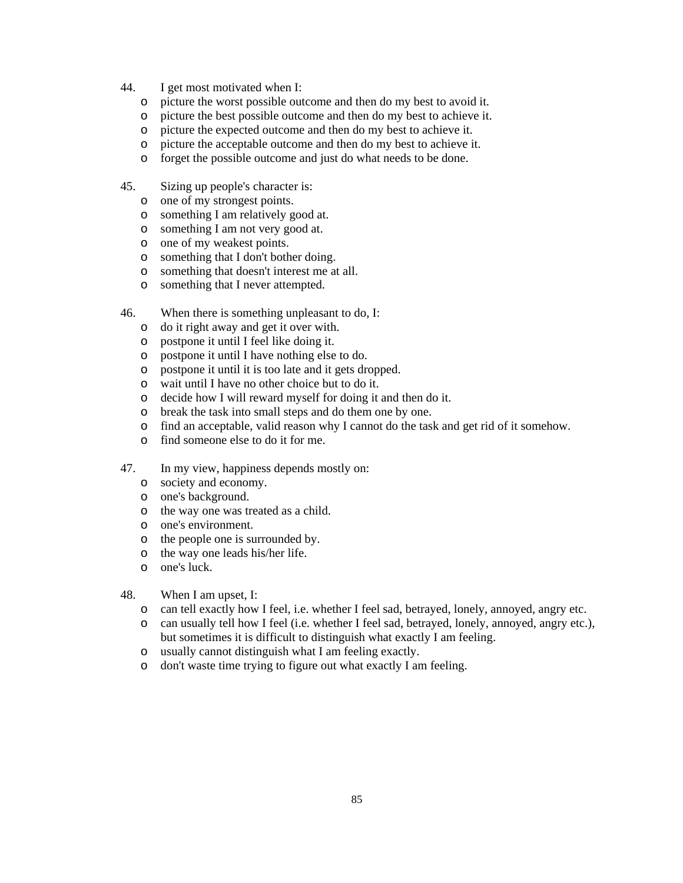- 44. I get most motivated when I:
	- o picture the worst possible outcome and then do my best to avoid it.
	- o picture the best possible outcome and then do my best to achieve it.
	- o picture the expected outcome and then do my best to achieve it.
	- o picture the acceptable outcome and then do my best to achieve it.
	- o forget the possible outcome and just do what needs to be done.
- 45. Sizing up people's character is:
	- o one of my strongest points.
	- o something I am relatively good at.
	- o something I am not very good at.
	- o one of my weakest points.
	- o something that I don't bother doing.
	- o something that doesn't interest me at all.
	- o something that I never attempted.
- 46. When there is something unpleasant to do, I:
	- o do it right away and get it over with.
	- o postpone it until I feel like doing it.
	- o postpone it until I have nothing else to do.
	- o postpone it until it is too late and it gets dropped.
	- o wait until I have no other choice but to do it.
	- o decide how I will reward myself for doing it and then do it.
	- o break the task into small steps and do them one by one.
	- o find an acceptable, valid reason why I cannot do the task and get rid of it somehow.
	- o find someone else to do it for me.
- 47. In my view, happiness depends mostly on:
	- o society and economy.
	- o one's background.
	- o the way one was treated as a child.
	- o one's environment.
	- o the people one is surrounded by.
	- o the way one leads his/her life.
	- o one's luck.
- 48. When I am upset, I:
	- o can tell exactly how I feel, i.e. whether I feel sad, betrayed, lonely, annoyed, angry etc.
	- o can usually tell how I feel (i.e. whether I feel sad, betrayed, lonely, annoyed, angry etc.), but sometimes it is difficult to distinguish what exactly I am feeling.
	- o usually cannot distinguish what I am feeling exactly.
	- o don't waste time trying to figure out what exactly I am feeling.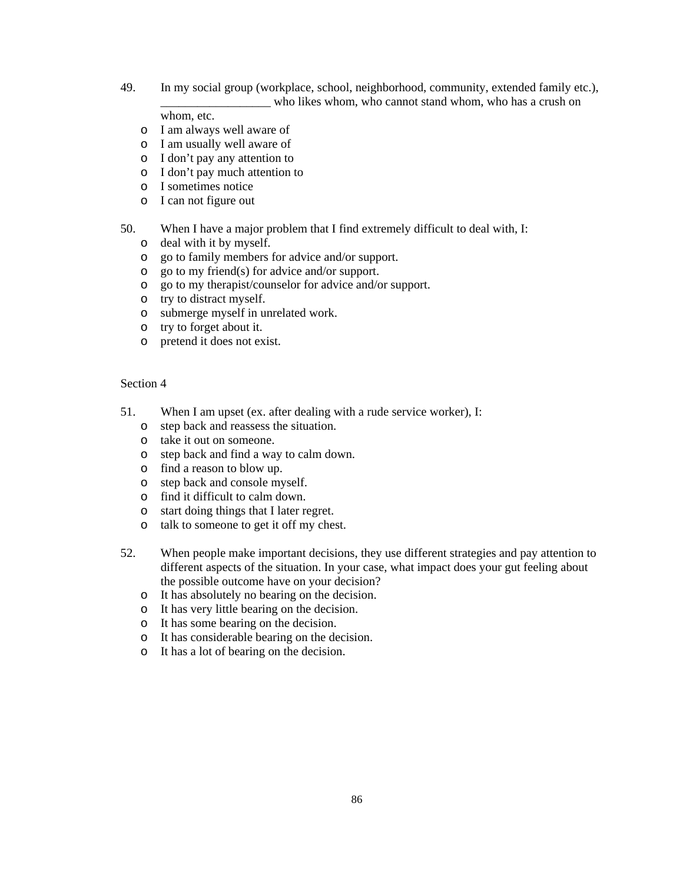49. In my social group (workplace, school, neighborhood, community, extended family etc.), who likes whom, who cannot stand whom, who has a crush on

whom, etc.

- o I am always well aware of
- o I am usually well aware of
- o I don't pay any attention to
- o I don't pay much attention to
- o I sometimes notice
- o I can not figure out

## 50. When I have a major problem that I find extremely difficult to deal with, I:

- o deal with it by myself.
- o go to family members for advice and/or support.
- o go to my friend(s) for advice and/or support.
- o go to my therapist/counselor for advice and/or support.
- o try to distract myself.
- o submerge myself in unrelated work.
- o try to forget about it.
- o pretend it does not exist.

- 51. When I am upset (ex. after dealing with a rude service worker), I:
	- o step back and reassess the situation.
	- o take it out on someone.
	- o step back and find a way to calm down.
	- o find a reason to blow up.
	- o step back and console myself.
	- o find it difficult to calm down.
	- o start doing things that I later regret.
	- o talk to someone to get it off my chest.
- 52. When people make important decisions, they use different strategies and pay attention to different aspects of the situation. In your case, what impact does your gut feeling about the possible outcome have on your decision?
	- o It has absolutely no bearing on the decision.
	- o It has very little bearing on the decision.
	- o It has some bearing on the decision.
	- o It has considerable bearing on the decision.
	- o It has a lot of bearing on the decision.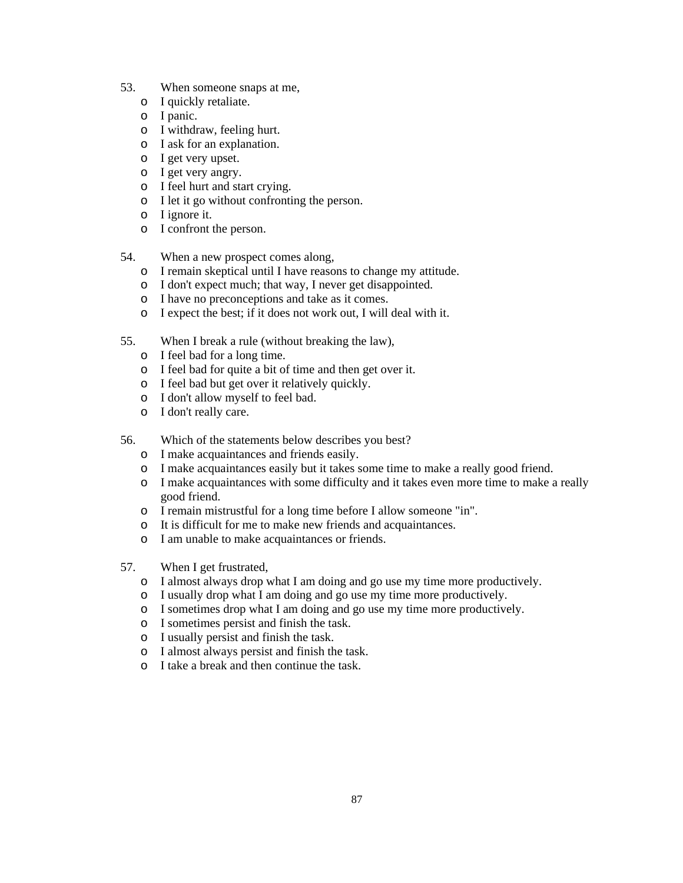- 53. When someone snaps at me,
	- o I quickly retaliate.
	- o I panic.
	- o I withdraw, feeling hurt.
	- o I ask for an explanation.
	- o I get very upset.
	- o I get very angry.
	- o I feel hurt and start crying.
	- o I let it go without confronting the person.
	- o I ignore it.
	- o I confront the person.
- 54. When a new prospect comes along,
	- o I remain skeptical until I have reasons to change my attitude.
	- o I don't expect much; that way, I never get disappointed.
	- o I have no preconceptions and take as it comes.
	- o I expect the best; if it does not work out, I will deal with it.
- 55. When I break a rule (without breaking the law),
	- o I feel bad for a long time.
	- o I feel bad for quite a bit of time and then get over it.
	- o I feel bad but get over it relatively quickly.
	- o I don't allow myself to feel bad.
	- o I don't really care.
- 56. Which of the statements below describes you best?
	- o I make acquaintances and friends easily.
	- o I make acquaintances easily but it takes some time to make a really good friend.
	- o I make acquaintances with some difficulty and it takes even more time to make a really good friend.
	- o I remain mistrustful for a long time before I allow someone "in".
	- o It is difficult for me to make new friends and acquaintances.
	- o I am unable to make acquaintances or friends.
- 57. When I get frustrated,
	- o I almost always drop what I am doing and go use my time more productively.
	- o I usually drop what I am doing and go use my time more productively.
	- o I sometimes drop what I am doing and go use my time more productively.
	- o I sometimes persist and finish the task.
	- o I usually persist and finish the task.
	- o I almost always persist and finish the task.
	- o I take a break and then continue the task.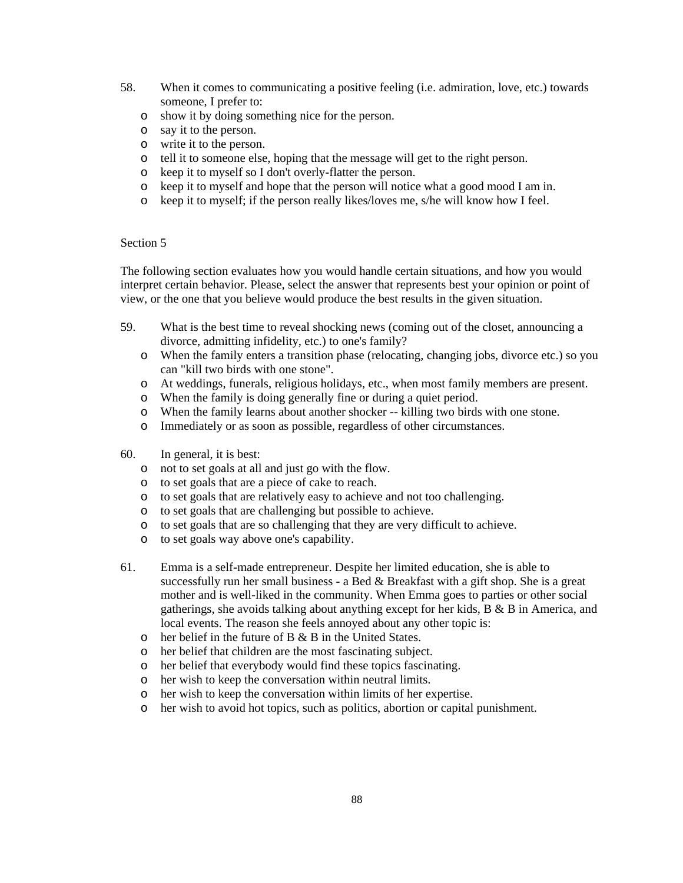- 58. When it comes to communicating a positive feeling (i.e. admiration, love, etc.) towards someone, I prefer to:
	- o show it by doing something nice for the person.
	- o say it to the person.
	- o write it to the person.
	- o tell it to someone else, hoping that the message will get to the right person.
	- o keep it to myself so I don't overly-flatter the person.
	- o keep it to myself and hope that the person will notice what a good mood I am in.
	- o keep it to myself; if the person really likes/loves me, s/he will know how I feel.

#### Section 5

The following section evaluates how you would handle certain situations, and how you would interpret certain behavior. Please, select the answer that represents best your opinion or point of view, or the one that you believe would produce the best results in the given situation.

- 59. What is the best time to reveal shocking news (coming out of the closet, announcing a divorce, admitting infidelity, etc.) to one's family?
	- o When the family enters a transition phase (relocating, changing jobs, divorce etc.) so you can "kill two birds with one stone".
	- o At weddings, funerals, religious holidays, etc., when most family members are present.
	- o When the family is doing generally fine or during a quiet period.
	- o When the family learns about another shocker -- killing two birds with one stone.
	- o Immediately or as soon as possible, regardless of other circumstances.
- 60. In general, it is best:
	- o not to set goals at all and just go with the flow.
	- o to set goals that are a piece of cake to reach.
	- o to set goals that are relatively easy to achieve and not too challenging.
	- o to set goals that are challenging but possible to achieve.
	- o to set goals that are so challenging that they are very difficult to achieve.
	- o to set goals way above one's capability.
- 61. Emma is a self-made entrepreneur. Despite her limited education, she is able to successfully run her small business - a Bed & Breakfast with a gift shop. She is a great mother and is well-liked in the community. When Emma goes to parties or other social gatherings, she avoids talking about anything except for her kids, B & B in America, and local events. The reason she feels annoyed about any other topic is:
	- o her belief in the future of B & B in the United States.
	- o her belief that children are the most fascinating subject.
	- o her belief that everybody would find these topics fascinating.
	- o her wish to keep the conversation within neutral limits.
	- o her wish to keep the conversation within limits of her expertise.
	- o her wish to avoid hot topics, such as politics, abortion or capital punishment.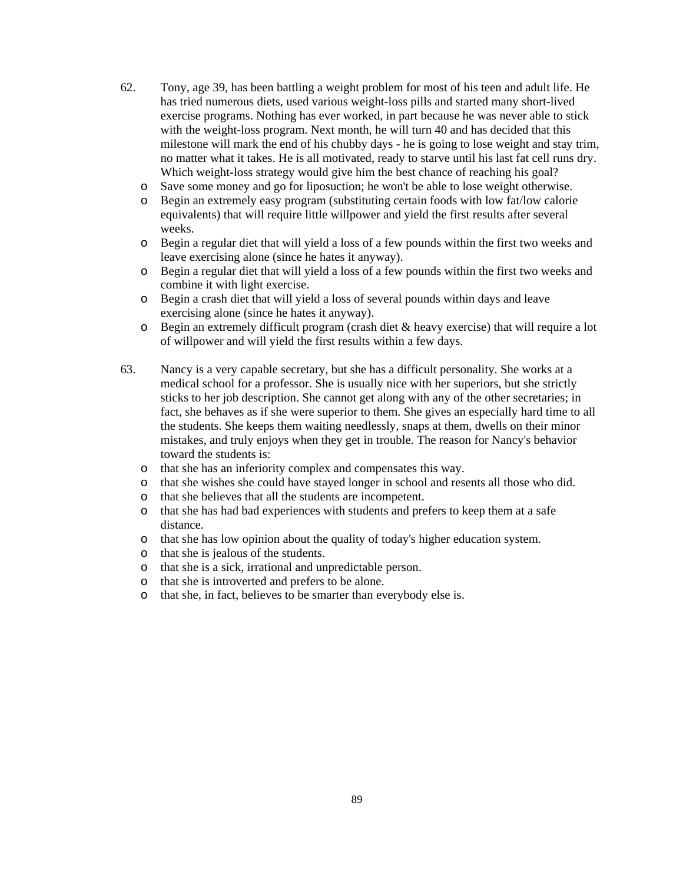- 62. Tony, age 39, has been battling a weight problem for most of his teen and adult life. He has tried numerous diets, used various weight-loss pills and started many short-lived exercise programs. Nothing has ever worked, in part because he was never able to stick with the weight-loss program. Next month, he will turn 40 and has decided that this milestone will mark the end of his chubby days - he is going to lose weight and stay trim, no matter what it takes. He is all motivated, ready to starve until his last fat cell runs dry. Which weight-loss strategy would give him the best chance of reaching his goal?
	- o Save some money and go for liposuction; he won't be able to lose weight otherwise.
	- o Begin an extremely easy program (substituting certain foods with low fat/low calorie equivalents) that will require little willpower and yield the first results after several weeks.
	- o Begin a regular diet that will yield a loss of a few pounds within the first two weeks and leave exercising alone (since he hates it anyway).
	- o Begin a regular diet that will yield a loss of a few pounds within the first two weeks and combine it with light exercise.
	- o Begin a crash diet that will yield a loss of several pounds within days and leave exercising alone (since he hates it anyway).
	- o Begin an extremely difficult program (crash diet & heavy exercise) that will require a lot of willpower and will yield the first results within a few days.
- 63. Nancy is a very capable secretary, but she has a difficult personality. She works at a medical school for a professor. She is usually nice with her superiors, but she strictly sticks to her job description. She cannot get along with any of the other secretaries; in fact, she behaves as if she were superior to them. She gives an especially hard time to all the students. She keeps them waiting needlessly, snaps at them, dwells on their minor mistakes, and truly enjoys when they get in trouble. The reason for Nancy's behavior toward the students is:
	- o that she has an inferiority complex and compensates this way.
	- o that she wishes she could have stayed longer in school and resents all those who did.
	- o that she believes that all the students are incompetent.
	- o that she has had bad experiences with students and prefers to keep them at a safe distance.
	- o that she has low opinion about the quality of today's higher education system.
	- o that she is jealous of the students.
	- o that she is a sick, irrational and unpredictable person.
	- o that she is introverted and prefers to be alone.
	- o that she, in fact, believes to be smarter than everybody else is.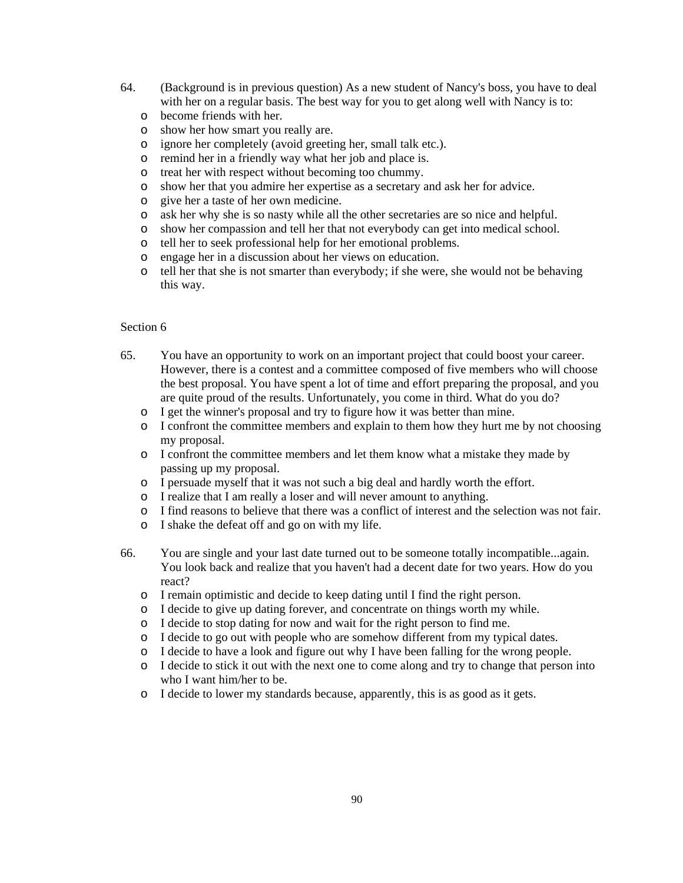- 64. (Background is in previous question) As a new student of Nancy's boss, you have to deal with her on a regular basis. The best way for you to get along well with Nancy is to:
	- o become friends with her.
	- o show her how smart you really are.
	- o ignore her completely (avoid greeting her, small talk etc.).
	- o remind her in a friendly way what her job and place is.
	- o treat her with respect without becoming too chummy.
	- o show her that you admire her expertise as a secretary and ask her for advice.
	- o give her a taste of her own medicine.
	- o ask her why she is so nasty while all the other secretaries are so nice and helpful.
	- o show her compassion and tell her that not everybody can get into medical school.
	- o tell her to seek professional help for her emotional problems.
	- o engage her in a discussion about her views on education.
	- o tell her that she is not smarter than everybody; if she were, she would not be behaving this way.

- 65. You have an opportunity to work on an important project that could boost your career. However, there is a contest and a committee composed of five members who will choose the best proposal. You have spent a lot of time and effort preparing the proposal, and you are quite proud of the results. Unfortunately, you come in third. What do you do?
	- o I get the winner's proposal and try to figure how it was better than mine.
	- o I confront the committee members and explain to them how they hurt me by not choosing my proposal.
	- o I confront the committee members and let them know what a mistake they made by passing up my proposal.
	- o I persuade myself that it was not such a big deal and hardly worth the effort.
	- o I realize that I am really a loser and will never amount to anything.
	- o I find reasons to believe that there was a conflict of interest and the selection was not fair.
	- o I shake the defeat off and go on with my life.
- 66. You are single and your last date turned out to be someone totally incompatible...again. You look back and realize that you haven't had a decent date for two years. How do you react?
	- o I remain optimistic and decide to keep dating until I find the right person.
	- o I decide to give up dating forever, and concentrate on things worth my while.
	- o I decide to stop dating for now and wait for the right person to find me.
	- o I decide to go out with people who are somehow different from my typical dates.
	- o I decide to have a look and figure out why I have been falling for the wrong people.
	- o I decide to stick it out with the next one to come along and try to change that person into who I want him/her to be.
	- o I decide to lower my standards because, apparently, this is as good as it gets.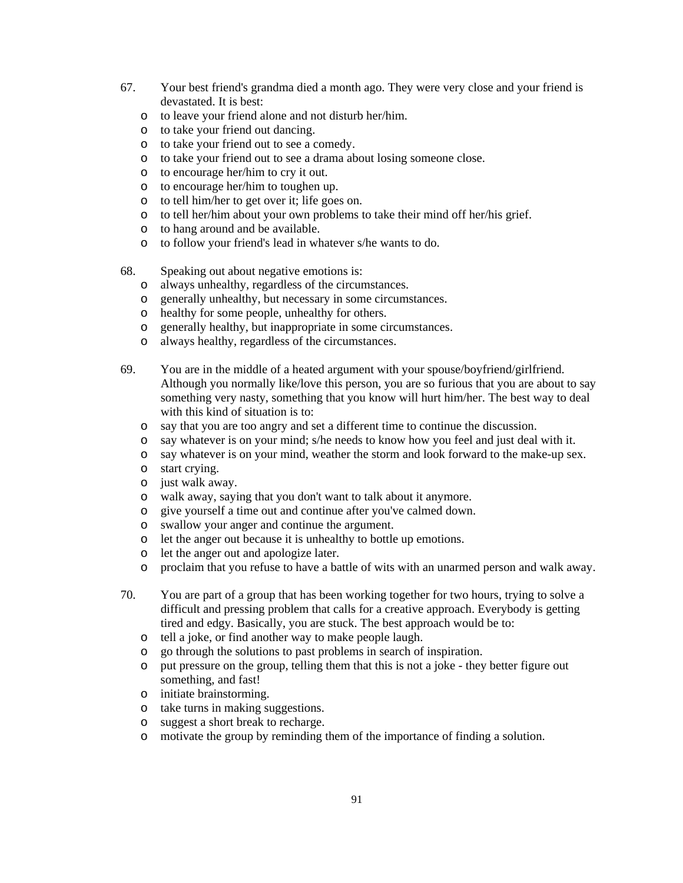- 67. Your best friend's grandma died a month ago. They were very close and your friend is devastated. It is best:
	- o to leave your friend alone and not disturb her/him.
	- o to take your friend out dancing.
	- o to take your friend out to see a comedy.
	- o to take your friend out to see a drama about losing someone close.
	- o to encourage her/him to cry it out.
	- o to encourage her/him to toughen up.
	- o to tell him/her to get over it; life goes on.
	- o to tell her/him about your own problems to take their mind off her/his grief.
	- o to hang around and be available.
	- o to follow your friend's lead in whatever s/he wants to do.
- 68. Speaking out about negative emotions is:
	- o always unhealthy, regardless of the circumstances.
	- o generally unhealthy, but necessary in some circumstances.
	- o healthy for some people, unhealthy for others.
	- o generally healthy, but inappropriate in some circumstances.
	- o always healthy, regardless of the circumstances.
- 69. You are in the middle of a heated argument with your spouse/boyfriend/girlfriend. Although you normally like/love this person, you are so furious that you are about to say something very nasty, something that you know will hurt him/her. The best way to deal with this kind of situation is to:
	- o say that you are too angry and set a different time to continue the discussion.
	- o say whatever is on your mind; s/he needs to know how you feel and just deal with it.
	- o say whatever is on your mind, weather the storm and look forward to the make-up sex.
	- o start crying.
	- o just walk away.
	- o walk away, saying that you don't want to talk about it anymore.
	- o give yourself a time out and continue after you've calmed down.
	- o swallow your anger and continue the argument.
	- o let the anger out because it is unhealthy to bottle up emotions.
	- o let the anger out and apologize later.
	- o proclaim that you refuse to have a battle of wits with an unarmed person and walk away.
- 70. You are part of a group that has been working together for two hours, trying to solve a difficult and pressing problem that calls for a creative approach. Everybody is getting tired and edgy. Basically, you are stuck. The best approach would be to:
	- o tell a joke, or find another way to make people laugh.
	- o go through the solutions to past problems in search of inspiration.
	- o put pressure on the group, telling them that this is not a joke they better figure out something, and fast!
	- o initiate brainstorming.
	- o take turns in making suggestions.
	- o suggest a short break to recharge.
	- o motivate the group by reminding them of the importance of finding a solution.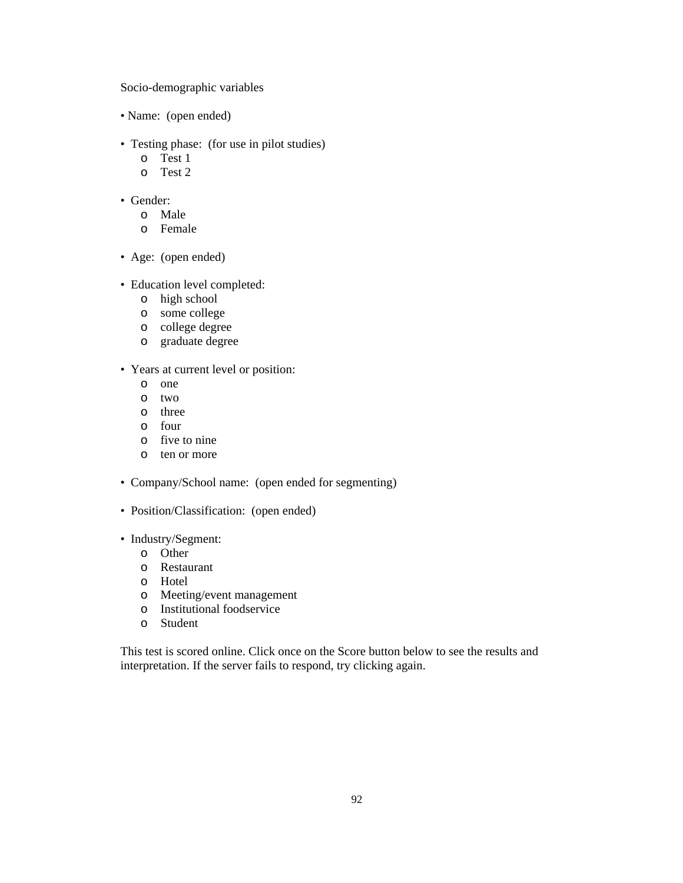Socio-demographic variables

- Name: (open ended)
- Testing phase: (for use in pilot studies)
	- o Test 1
	- o Test 2
- Gender:
	- o Male
	- o Female
- Age: (open ended)
- Education level completed:
	- o high school
	- o some college
	- o college degree
	- o graduate degree
- Years at current level or position:
	- o one
	- o two
	- o three
	- o four
	- o five to nine
	- o ten or more
- Company/School name: (open ended for segmenting)
- Position/Classification: (open ended)
- Industry/Segment:
	- o Other
	- o Restaurant
	- o Hotel
	- o Meeting/event management
	- o Institutional foodservice
	- o Student

This test is scored online. Click once on the Score button below to see the results and interpretation. If the server fails to respond, try clicking again.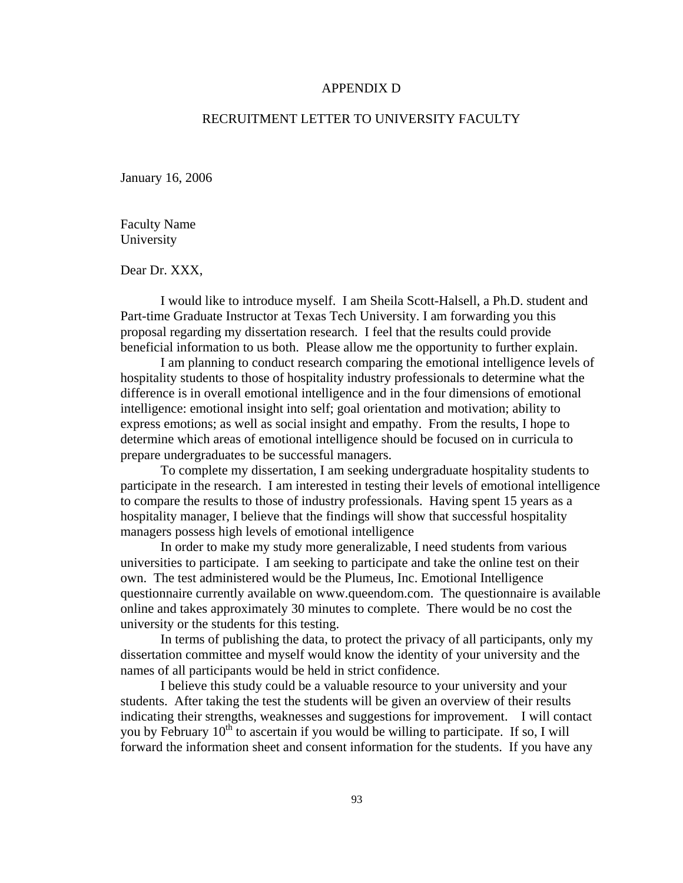#### APPENDIX D

## RECRUITMENT LETTER TO UNIVERSITY FACULTY

January 16, 2006

Faculty Name University

Dear Dr. XXX,

 I would like to introduce myself. I am Sheila Scott-Halsell, a Ph.D. student and Part-time Graduate Instructor at Texas Tech University. I am forwarding you this proposal regarding my dissertation research. I feel that the results could provide beneficial information to us both. Please allow me the opportunity to further explain.

 I am planning to conduct research comparing the emotional intelligence levels of hospitality students to those of hospitality industry professionals to determine what the difference is in overall emotional intelligence and in the four dimensions of emotional intelligence: emotional insight into self; goal orientation and motivation; ability to express emotions; as well as social insight and empathy. From the results, I hope to determine which areas of emotional intelligence should be focused on in curricula to prepare undergraduates to be successful managers.

To complete my dissertation, I am seeking undergraduate hospitality students to participate in the research. I am interested in testing their levels of emotional intelligence to compare the results to those of industry professionals. Having spent 15 years as a hospitality manager, I believe that the findings will show that successful hospitality managers possess high levels of emotional intelligence

 In order to make my study more generalizable, I need students from various universities to participate. I am seeking to participate and take the online test on their own. The test administered would be the Plumeus, Inc. Emotional Intelligence questionnaire currently available on www.queendom.com. The questionnaire is available online and takes approximately 30 minutes to complete. There would be no cost the university or the students for this testing.

In terms of publishing the data, to protect the privacy of all participants, only my dissertation committee and myself would know the identity of your university and the names of all participants would be held in strict confidence.

I believe this study could be a valuable resource to your university and your students. After taking the test the students will be given an overview of their results indicating their strengths, weaknesses and suggestions for improvement. I will contact you by February  $10^{th}$  to ascertain if you would be willing to participate. If so, I will forward the information sheet and consent information for the students. If you have any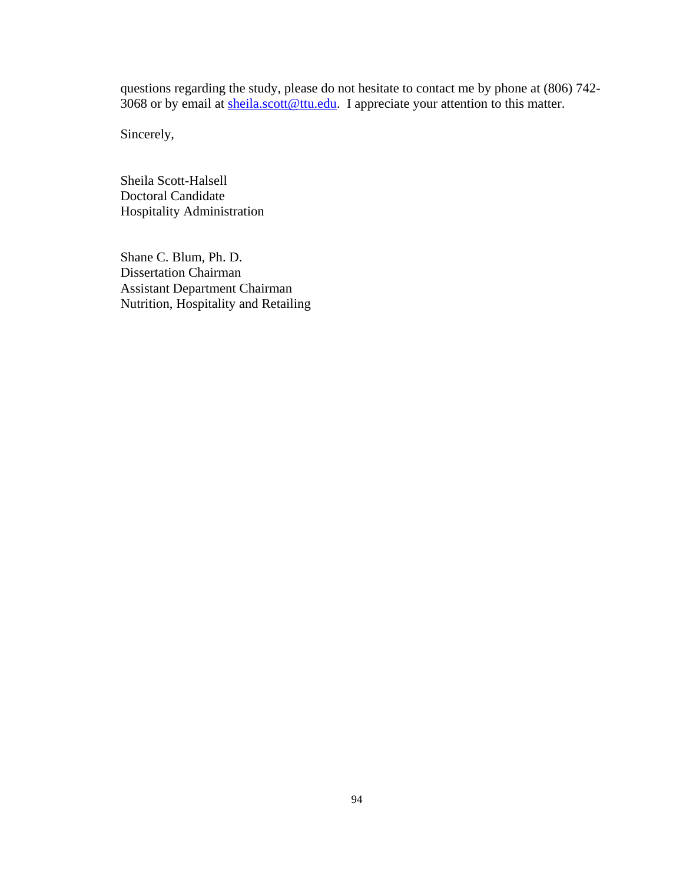questions regarding the study, please do not hesitate to contact me by phone at (806) 742- 3068 or by email at [sheila.scott@ttu.edu](mailto:sheila.scott@ttu.edu). I appreciate your attention to this matter.

Sincerely,

Sheila Scott-Halsell Doctoral Candidate Hospitality Administration

Shane C. Blum, Ph. D. Dissertation Chairman Assistant Department Chairman Nutrition, Hospitality and Retailing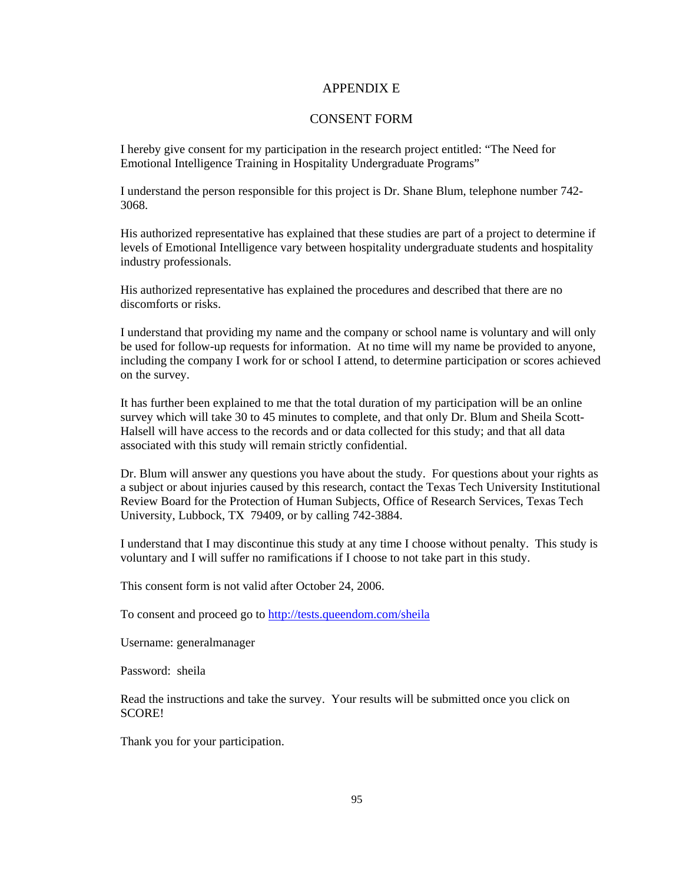### APPENDIX E

# CONSENT FORM

I hereby give consent for my participation in the research project entitled: "The Need for Emotional Intelligence Training in Hospitality Undergraduate Programs"

I understand the person responsible for this project is Dr. Shane Blum, telephone number 742- 3068.

His authorized representative has explained that these studies are part of a project to determine if levels of Emotional Intelligence vary between hospitality undergraduate students and hospitality industry professionals.

His authorized representative has explained the procedures and described that there are no discomforts or risks.

I understand that providing my name and the company or school name is voluntary and will only be used for follow-up requests for information. At no time will my name be provided to anyone, including the company I work for or school I attend, to determine participation or scores achieved on the survey.

It has further been explained to me that the total duration of my participation will be an online survey which will take 30 to 45 minutes to complete, and that only Dr. Blum and Sheila Scott-Halsell will have access to the records and or data collected for this study; and that all data associated with this study will remain strictly confidential.

Dr. Blum will answer any questions you have about the study. For questions about your rights as a subject or about injuries caused by this research, contact the Texas Tech University Institutional Review Board for the Protection of Human Subjects, Office of Research Services, Texas Tech University, Lubbock, TX 79409, or by calling 742-3884.

I understand that I may discontinue this study at any time I choose without penalty. This study is voluntary and I will suffer no ramifications if I choose to not take part in this study.

This consent form is not valid after October 24, 2006.

To consent and proceed go to <http://tests.queendom.com/sheila>

Username: generalmanager

Password: sheila

Read the instructions and take the survey. Your results will be submitted once you click on SCORE!

Thank you for your participation.